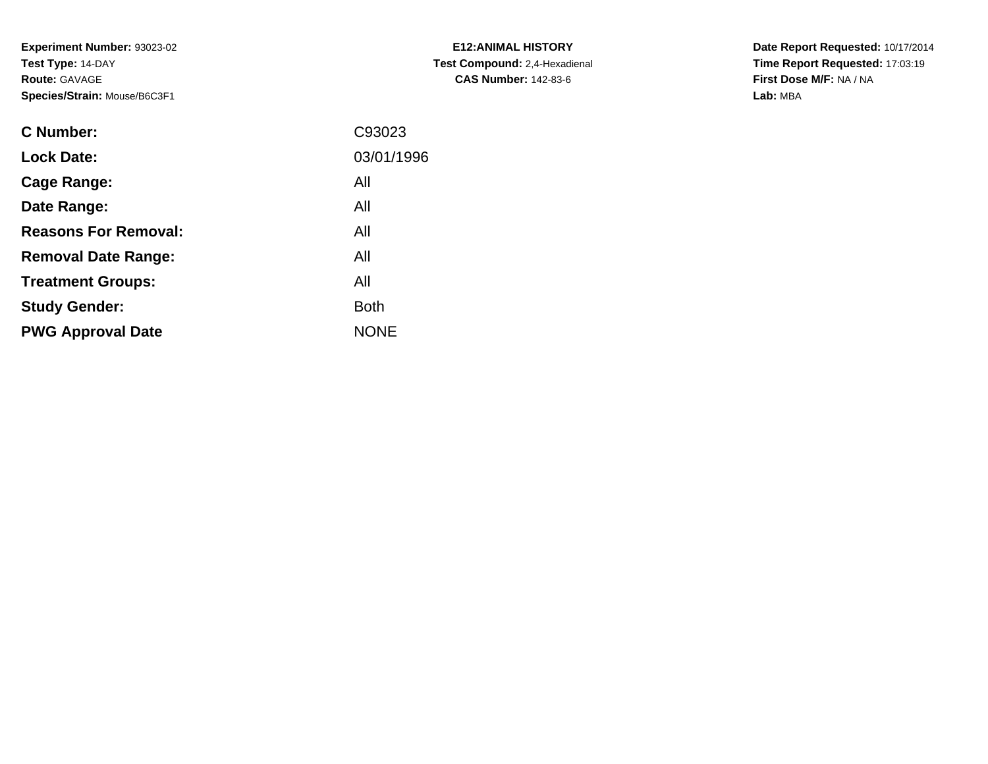**Experiment Number:** 93023-02**Test Type:** 14-DAY**Route:** GAVAGE**Species/Strain:** Mouse/B6C3F1

| <b>C Number:</b>            | C93023      |
|-----------------------------|-------------|
| <b>Lock Date:</b>           | 03/01/1996  |
| <b>Cage Range:</b>          | All         |
| Date Range:                 | All         |
| <b>Reasons For Removal:</b> | All         |
| <b>Removal Date Range:</b>  | All         |
| <b>Treatment Groups:</b>    | All         |
| <b>Study Gender:</b>        | <b>Both</b> |
| <b>PWG Approval Date</b>    | <b>NONE</b> |
|                             |             |

**E12:ANIMAL HISTORY Test Compound:** 2,4-Hexadienal **CAS Number:** 142-83-6

**Date Report Requested:** 10/17/2014 **Time Report Requested:** 17:03:19**First Dose M/F:** NA / NA**Lab:** MBA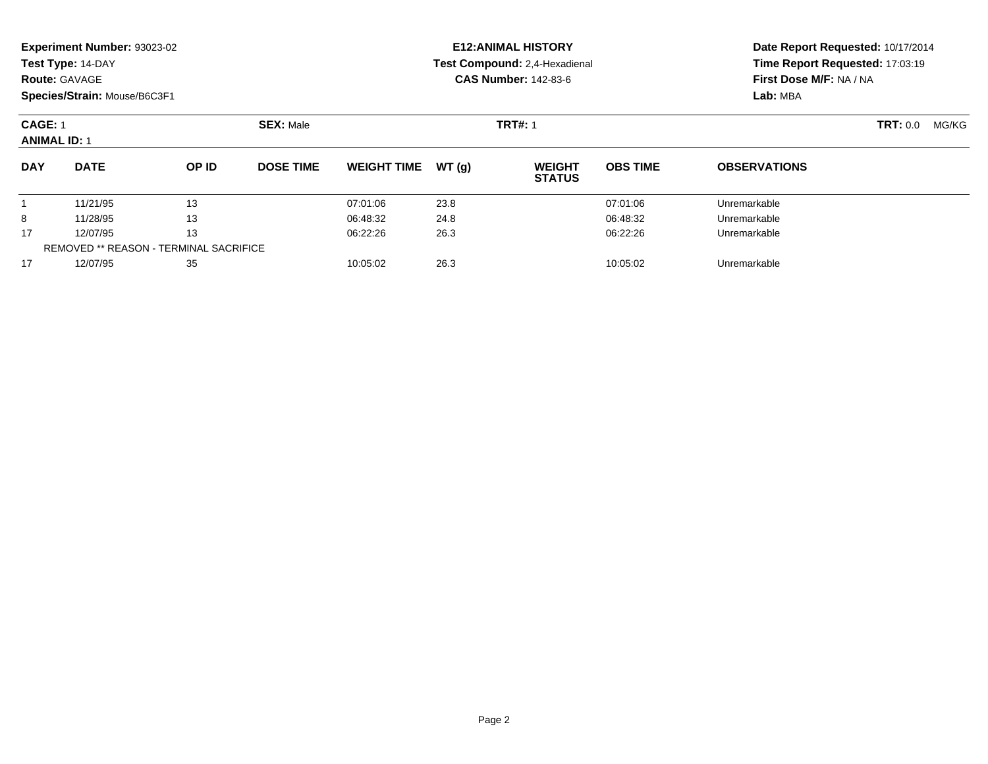|                                                               | <b>Experiment Number: 93023-02</b><br>Test Type: 14-DAY<br>Species/Strain: Mouse/B6C3F1 |       |                  |                    |       | <b>E12:ANIMAL HISTORY</b><br>Test Compound: 2.4-Hexadienal<br><b>CAS Number: 142-83-6</b> | Date Report Requested: 10/17/2014<br>Time Report Requested: 17:03:19<br>First Dose M/F: NA / NA<br>Lab: MBA |                     |                 |       |
|---------------------------------------------------------------|-----------------------------------------------------------------------------------------|-------|------------------|--------------------|-------|-------------------------------------------------------------------------------------------|-------------------------------------------------------------------------------------------------------------|---------------------|-----------------|-------|
| <b>Route: GAVAGE</b><br><b>CAGE: 1</b><br><b>ANIMAL ID: 1</b> |                                                                                         |       | <b>SEX: Male</b> |                    |       | <b>TRT#: 1</b>                                                                            |                                                                                                             |                     | <b>TRT: 0.0</b> | MG/KG |
| <b>DAY</b>                                                    | <b>DATE</b>                                                                             | OP ID | <b>DOSE TIME</b> | <b>WEIGHT TIME</b> | WT(g) | <b>WEIGHT</b><br><b>STATUS</b>                                                            | <b>OBS TIME</b>                                                                                             | <b>OBSERVATIONS</b> |                 |       |
|                                                               | 11/21/95                                                                                | 13    |                  | 07:01:06           | 23.8  |                                                                                           | 07:01:06                                                                                                    | Unremarkable        |                 |       |
| 8                                                             | 11/28/95                                                                                | 13    |                  | 06:48:32           | 24.8  |                                                                                           | 06:48:32                                                                                                    | Unremarkable        |                 |       |
| 17                                                            | 12/07/95                                                                                | 13    |                  | 06:22:26           | 26.3  |                                                                                           | 06:22:26                                                                                                    | Unremarkable        |                 |       |
|                                                               | <b>REMOVED ** REASON - TERMINAL SACRIFICE</b>                                           |       |                  |                    |       |                                                                                           |                                                                                                             |                     |                 |       |
| 17                                                            | 12/07/95                                                                                | 35    |                  | 10:05:02           | 26.3  |                                                                                           | 10:05:02                                                                                                    | Unremarkable        |                 |       |

12/07/95 <sup>35</sup> 10:05:02 26.3 10:05:02 Unremarkable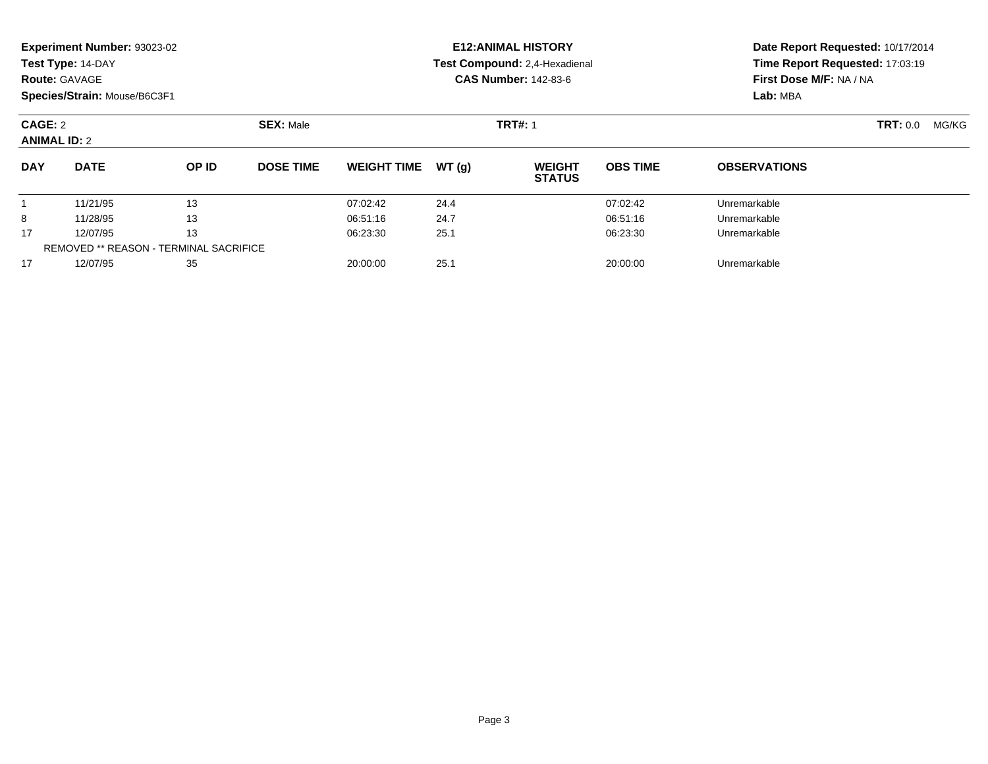|                                | Experiment Number: 93023-02<br>Test Type: 14-DAY<br><b>Route: GAVAGE</b><br>Species/Strain: Mouse/B6C3F1 |       |                  |                    |       | <b>E12: ANIMAL HISTORY</b><br><b>Test Compound: 2,4-Hexadienal</b><br><b>CAS Number: 142-83-6</b> | Date Report Requested: 10/17/2014<br>Time Report Requested: 17:03:19<br>First Dose M/F: NA / NA<br>Lab: MBA |                     |       |
|--------------------------------|----------------------------------------------------------------------------------------------------------|-------|------------------|--------------------|-------|---------------------------------------------------------------------------------------------------|-------------------------------------------------------------------------------------------------------------|---------------------|-------|
| CAGE: 2<br><b>ANIMAL ID: 2</b> |                                                                                                          |       | <b>SEX: Male</b> |                    |       | <b>TRT#: 1</b>                                                                                    |                                                                                                             | <b>TRT: 0.0</b>     | MG/KG |
| <b>DAY</b>                     | <b>DATE</b>                                                                                              | OP ID | <b>DOSE TIME</b> | <b>WEIGHT TIME</b> | WT(q) | <b>WEIGHT</b><br><b>STATUS</b>                                                                    | <b>OBS TIME</b>                                                                                             | <b>OBSERVATIONS</b> |       |
| 1                              | 11/21/95                                                                                                 | 13    |                  | 07:02:42           | 24.4  |                                                                                                   | 07:02:42                                                                                                    | Unremarkable        |       |
| 8                              | 11/28/95                                                                                                 | 13    |                  | 06:51:16           | 24.7  |                                                                                                   | 06:51:16                                                                                                    | Unremarkable        |       |
| 17                             | 12/07/95                                                                                                 | 13    |                  | 06:23:30           | 25.1  |                                                                                                   | 06:23:30                                                                                                    | Unremarkable        |       |
|                                | <b>REMOVED ** REASON - TERMINAL SACRIFICE</b>                                                            |       |                  |                    |       |                                                                                                   |                                                                                                             |                     |       |

12/07/95 <sup>35</sup> 20:00:00 25.1 20:00:00 Unremarkable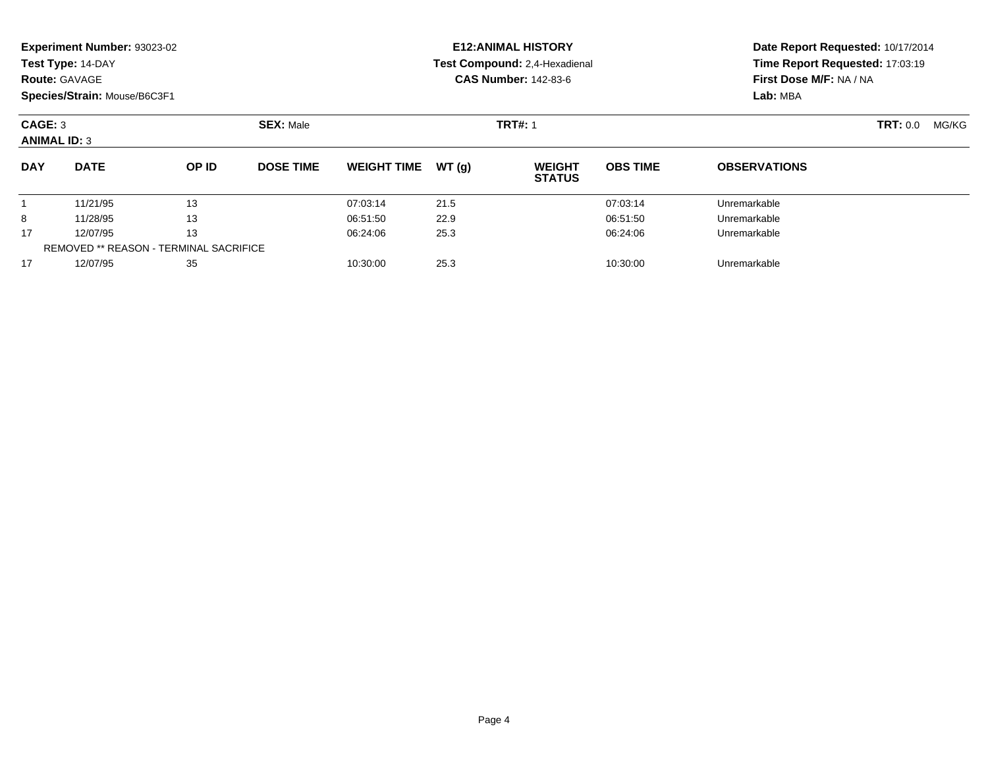|                                | <b>Experiment Number: 93023-02</b><br>Test Type: 14-DAY<br><b>Route: GAVAGE</b><br>Species/Strain: Mouse/B6C3F1 |                                               |                  |                    |       | <b>E12:ANIMAL HISTORY</b><br>Test Compound: 2,4-Hexadienal<br><b>CAS Number: 142-83-6</b> | Date Report Requested: 10/17/2014<br>Time Report Requested: 17:03:19<br>First Dose M/F: NA / NA<br>Lab: MBA |                     |                          |  |
|--------------------------------|-----------------------------------------------------------------------------------------------------------------|-----------------------------------------------|------------------|--------------------|-------|-------------------------------------------------------------------------------------------|-------------------------------------------------------------------------------------------------------------|---------------------|--------------------------|--|
| CAGE: 3<br><b>ANIMAL ID: 3</b> |                                                                                                                 |                                               | <b>SEX: Male</b> |                    |       | <b>TRT#: 1</b>                                                                            |                                                                                                             |                     | <b>TRT: 0.0</b><br>MG/KG |  |
| <b>DAY</b>                     | <b>DATE</b>                                                                                                     | OP ID                                         | <b>DOSE TIME</b> | <b>WEIGHT TIME</b> | WT(q) | <b>WEIGHT</b><br><b>STATUS</b>                                                            | <b>OBS TIME</b>                                                                                             | <b>OBSERVATIONS</b> |                          |  |
|                                | 11/21/95                                                                                                        | 13                                            |                  | 07:03:14           | 21.5  |                                                                                           | 07:03:14                                                                                                    | Unremarkable        |                          |  |
| 8                              | 11/28/95                                                                                                        | 13                                            |                  | 06:51:50           | 22.9  |                                                                                           | 06:51:50                                                                                                    | Unremarkable        |                          |  |
| 17                             | 12/07/95                                                                                                        | 13                                            |                  | 06:24:06           | 25.3  |                                                                                           | 06:24:06                                                                                                    | Unremarkable        |                          |  |
|                                |                                                                                                                 | <b>REMOVED ** REASON - TERMINAL SACRIFICE</b> |                  |                    |       |                                                                                           |                                                                                                             |                     |                          |  |
| 17                             | 12/07/95                                                                                                        | 35                                            |                  | 10:30:00           | 25.3  |                                                                                           | 10:30:00                                                                                                    | Unremarkable        |                          |  |
|                                |                                                                                                                 |                                               |                  |                    |       |                                                                                           |                                                                                                             |                     |                          |  |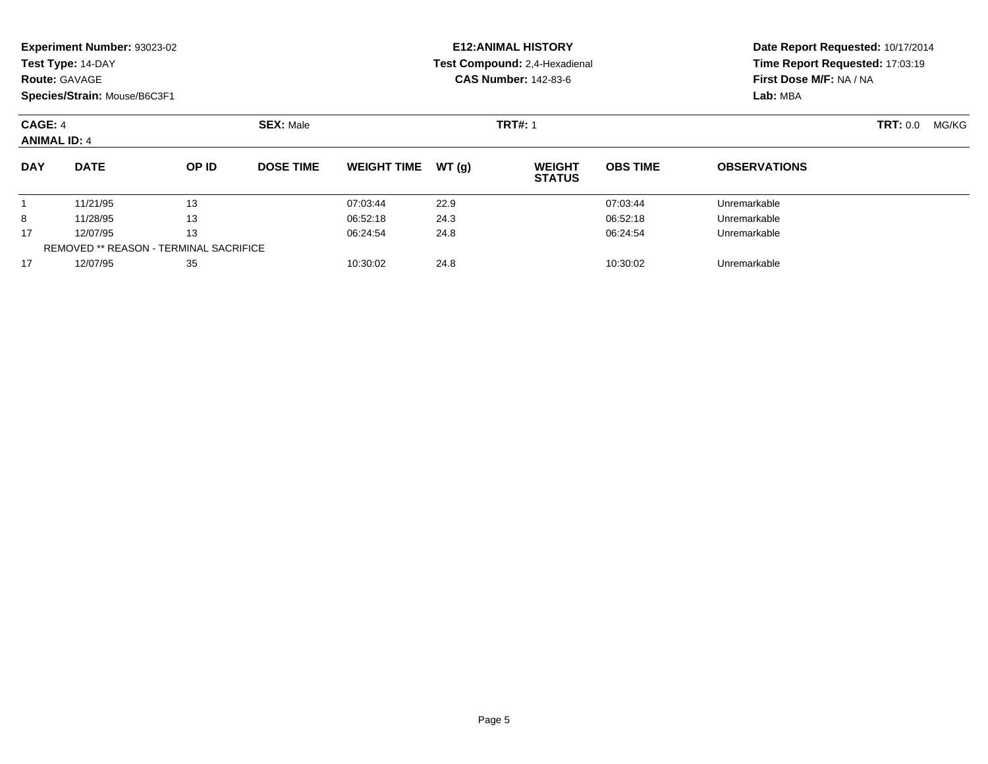|                                       | <b>Experiment Number: 93023-02</b><br>Test Type: 14-DAY<br><b>Route: GAVAGE</b><br>Species/Strain: Mouse/B6C3F1 |       |                  |                    |                | <b>E12:ANIMAL HISTORY</b><br>Test Compound: 2,4-Hexadienal<br><b>CAS Number: 142-83-6</b> | Date Report Requested: 10/17/2014<br>Time Report Requested: 17:03:19<br>First Dose M/F: NA / NA<br>Lab: MBA |                     |       |  |
|---------------------------------------|-----------------------------------------------------------------------------------------------------------------|-------|------------------|--------------------|----------------|-------------------------------------------------------------------------------------------|-------------------------------------------------------------------------------------------------------------|---------------------|-------|--|
| <b>CAGE: 4</b><br><b>ANIMAL ID: 4</b> |                                                                                                                 |       | <b>SEX: Male</b> |                    | <b>TRT#: 1</b> |                                                                                           |                                                                                                             | <b>TRT: 0.0</b>     | MG/KG |  |
| <b>DAY</b>                            | <b>DATE</b>                                                                                                     | OP ID | <b>DOSE TIME</b> | <b>WEIGHT TIME</b> | WT(g)          | <b>WEIGHT</b><br><b>STATUS</b>                                                            | <b>OBS TIME</b>                                                                                             | <b>OBSERVATIONS</b> |       |  |
|                                       | 11/21/95                                                                                                        | 13    |                  | 07:03:44           | 22.9           |                                                                                           | 07:03:44                                                                                                    | Unremarkable        |       |  |
| 8                                     | 11/28/95                                                                                                        | 13    |                  | 06:52:18           | 24.3           |                                                                                           | 06:52:18                                                                                                    | Unremarkable        |       |  |
| 17                                    | 12/07/95                                                                                                        | 13    |                  | 06:24:54           | 24.8           |                                                                                           | 06:24:54                                                                                                    | Unremarkable        |       |  |
|                                       | <b>REMOVED ** REASON - TERMINAL SACRIFICE</b>                                                                   |       |                  |                    |                |                                                                                           |                                                                                                             |                     |       |  |
| 17                                    | 12/07/95                                                                                                        | 35    |                  | 10:30:02           | 24.8           |                                                                                           | 10:30:02                                                                                                    | Unremarkable        |       |  |

12/07/95 <sup>35</sup> 10:30:02 24.8 10:30:02 Unremarkable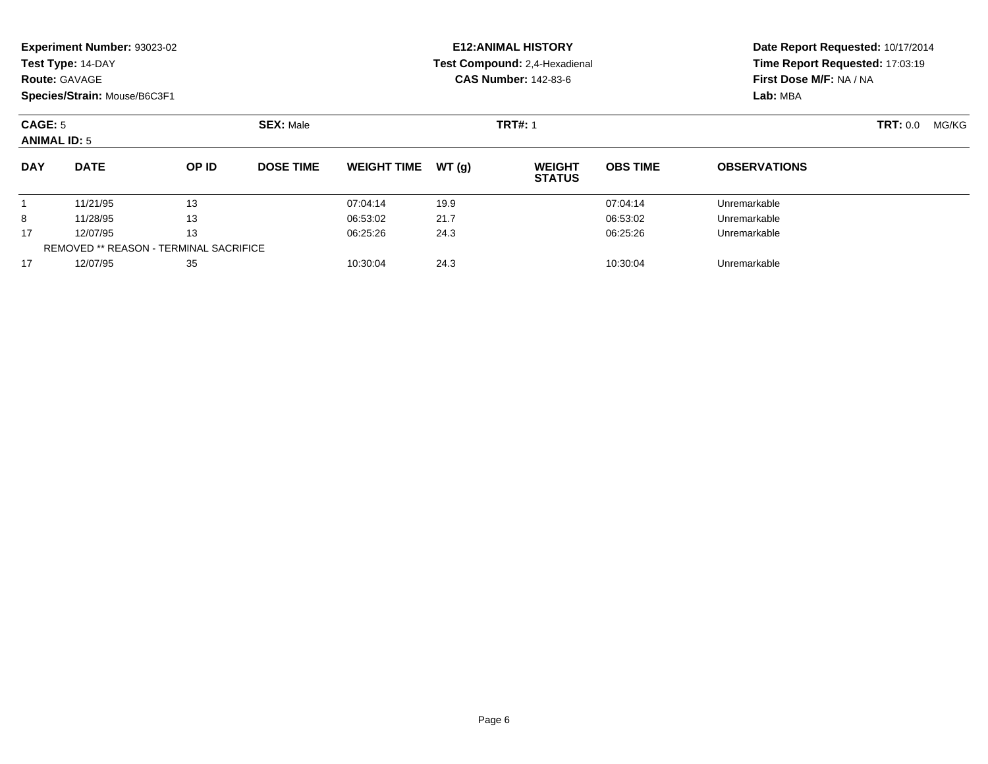|                                | <b>Experiment Number: 93023-02</b><br>Test Type: 14-DAY<br><b>Route: GAVAGE</b> |       |                  |                    |       | <b>E12: ANIMAL HISTORY</b><br>Test Compound: 2,4-Hexadienal<br><b>CAS Number: 142-83-6</b> | Date Report Requested: 10/17/2014<br>Time Report Requested: 17:03:19<br>First Dose M/F: NA / NA |                     |                 |       |
|--------------------------------|---------------------------------------------------------------------------------|-------|------------------|--------------------|-------|--------------------------------------------------------------------------------------------|-------------------------------------------------------------------------------------------------|---------------------|-----------------|-------|
|                                | Species/Strain: Mouse/B6C3F1                                                    |       |                  |                    |       |                                                                                            |                                                                                                 | Lab: MBA            |                 |       |
| CAGE: 5<br><b>ANIMAL ID: 5</b> |                                                                                 |       | <b>SEX: Male</b> | <b>TRT#: 1</b>     |       |                                                                                            |                                                                                                 |                     | <b>TRT: 0.0</b> | MG/KG |
| <b>DAY</b>                     | <b>DATE</b>                                                                     | OP ID | <b>DOSE TIME</b> | <b>WEIGHT TIME</b> | WT(g) | <b>WEIGHT</b><br><b>STATUS</b>                                                             | <b>OBS TIME</b>                                                                                 | <b>OBSERVATIONS</b> |                 |       |
|                                | 11/21/95                                                                        | 13    |                  | 07:04:14           | 19.9  |                                                                                            | 07:04:14                                                                                        | Unremarkable        |                 |       |
| 8                              | 11/28/95                                                                        | 13    |                  | 06:53:02           | 21.7  |                                                                                            | 06:53:02                                                                                        | Unremarkable        |                 |       |
| 17                             | 12/07/95                                                                        | 13    |                  | 06:25:26           | 24.3  |                                                                                            | 06:25:26                                                                                        | Unremarkable        |                 |       |
|                                | <b>REMOVED ** REASON - TERMINAL SACRIFICE</b>                                   |       |                  |                    |       |                                                                                            |                                                                                                 |                     |                 |       |
| 17                             | 12/07/95                                                                        | 35    |                  | 10:30:04           | 24.3  |                                                                                            | 10:30:04                                                                                        | Unremarkable        |                 |       |

12/07/95 <sup>35</sup> 10:30:04 24.3 10:30:04 Unremarkable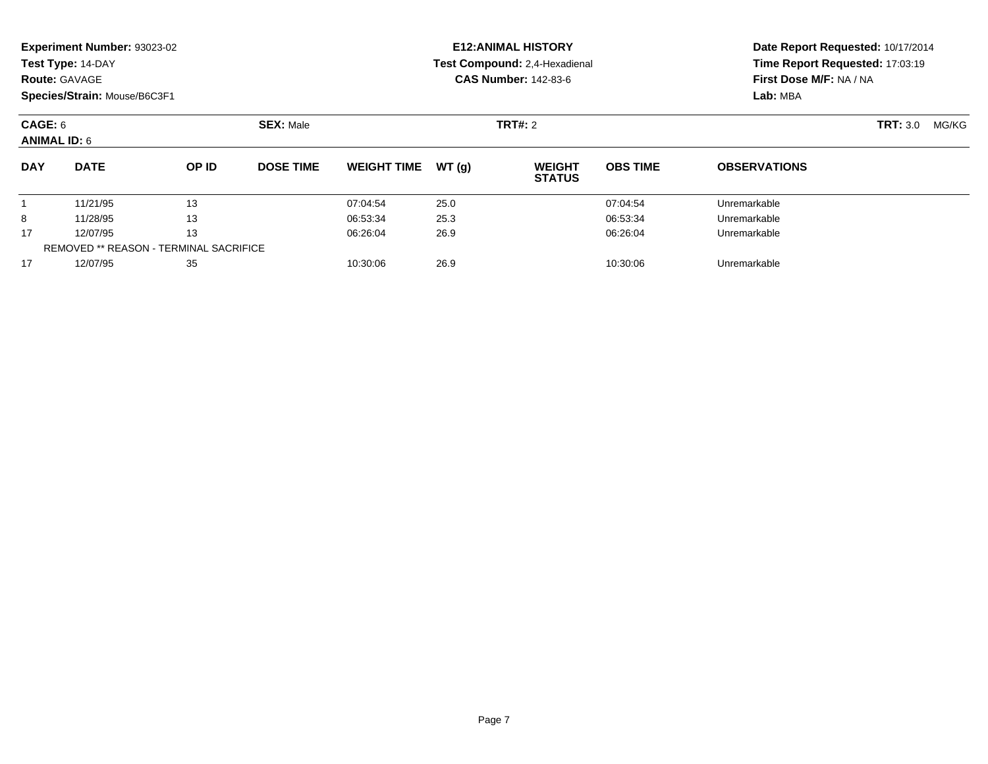| <b>Route: GAVAGE</b>                  | Experiment Number: 93023-02<br>Test Type: 14-DAY<br>Species/Strain: Mouse/B6C3F1 |                                                     |                  |                    |       | <b>E12: ANIMAL HISTORY</b><br>Test Compound: 2,4-Hexadienal<br><b>CAS Number: 142-83-6</b> | Date Report Requested: 10/17/2014<br>Time Report Requested: 17:03:19<br>First Dose M/F: NA / NA<br>Lab: MBA |                     |                 |       |
|---------------------------------------|----------------------------------------------------------------------------------|-----------------------------------------------------|------------------|--------------------|-------|--------------------------------------------------------------------------------------------|-------------------------------------------------------------------------------------------------------------|---------------------|-----------------|-------|
| <b>CAGE: 6</b><br><b>ANIMAL ID: 6</b> |                                                                                  |                                                     | <b>SEX: Male</b> |                    |       | <b>TRT#: 2</b>                                                                             |                                                                                                             |                     | <b>TRT: 3.0</b> | MG/KG |
| <b>DAY</b>                            | <b>DATE</b>                                                                      | OP ID                                               | <b>DOSE TIME</b> | <b>WEIGHT TIME</b> | WT(g) | <b>WEIGHT</b><br><b>STATUS</b>                                                             | <b>OBS TIME</b>                                                                                             | <b>OBSERVATIONS</b> |                 |       |
|                                       | 11/21/95                                                                         | 13                                                  |                  | 07:04:54           | 25.0  |                                                                                            | 07:04:54                                                                                                    | Unremarkable        |                 |       |
| 8                                     | 11/28/95                                                                         | 13                                                  |                  | 06:53:34           | 25.3  |                                                                                            | 06:53:34                                                                                                    | Unremarkable        |                 |       |
| 17                                    | 12/07/95                                                                         | 13<br><b>REMOVED ** REASON - TERMINAL SACRIFICE</b> |                  | 06:26:04           | 26.9  |                                                                                            | 06:26:04                                                                                                    | Unremarkable        |                 |       |
| 17                                    | 12/07/95                                                                         | 35                                                  |                  | 10:30:06           | 26.9  |                                                                                            | 10:30:06                                                                                                    | Unremarkable        |                 |       |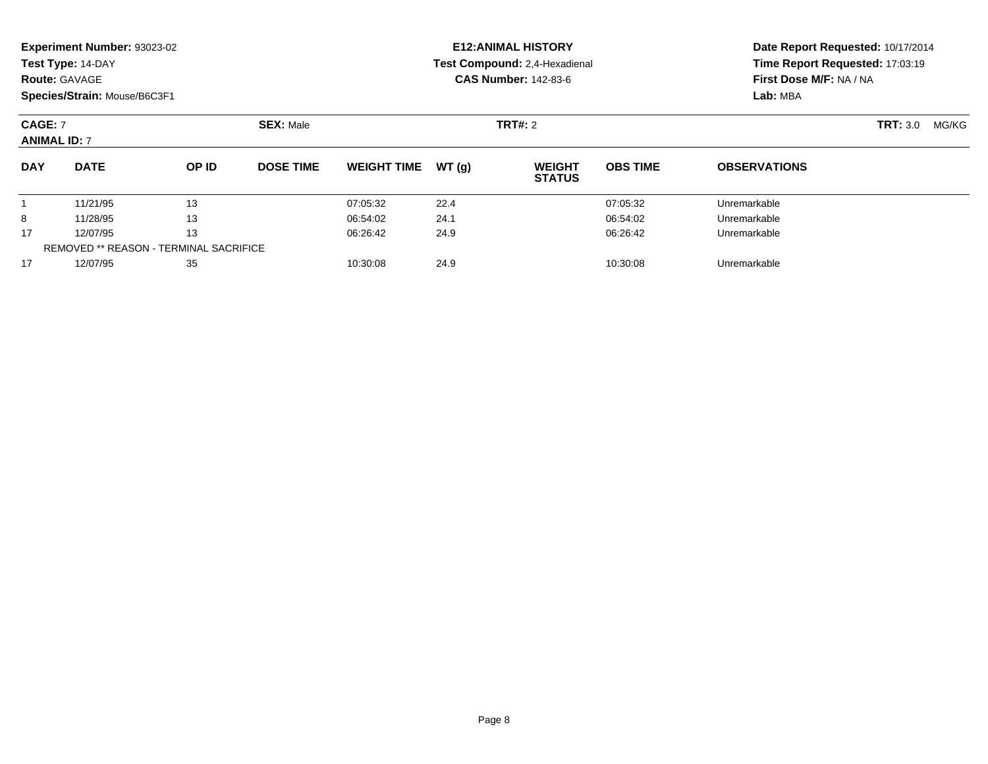| <b>Route: GAVAGE</b>                  | Experiment Number: 93023-02<br>Test Type: 14-DAY<br>Species/Strain: Mouse/B6C3F1 |                                                     |                  |                    |       | <b>E12: ANIMAL HISTORY</b><br>Test Compound: 2,4-Hexadienal<br><b>CAS Number: 142-83-6</b> | Date Report Requested: 10/17/2014<br>Time Report Requested: 17:03:19<br>First Dose M/F: NA / NA<br>Lab: MBA |                     |                 |       |
|---------------------------------------|----------------------------------------------------------------------------------|-----------------------------------------------------|------------------|--------------------|-------|--------------------------------------------------------------------------------------------|-------------------------------------------------------------------------------------------------------------|---------------------|-----------------|-------|
| <b>CAGE: 7</b><br><b>ANIMAL ID: 7</b> |                                                                                  |                                                     | <b>SEX: Male</b> |                    |       | TRT#: 2                                                                                    |                                                                                                             |                     | <b>TRT: 3.0</b> | MG/KG |
| <b>DAY</b>                            | <b>DATE</b>                                                                      | OP ID                                               | <b>DOSE TIME</b> | <b>WEIGHT TIME</b> | WT(q) | <b>WEIGHT</b><br><b>STATUS</b>                                                             | <b>OBS TIME</b>                                                                                             | <b>OBSERVATIONS</b> |                 |       |
|                                       | 11/21/95                                                                         | 13                                                  |                  | 07:05:32           | 22.4  |                                                                                            | 07:05:32                                                                                                    | Unremarkable        |                 |       |
| 8                                     | 11/28/95                                                                         | 13                                                  |                  | 06:54:02           | 24.1  |                                                                                            | 06:54:02                                                                                                    | Unremarkable        |                 |       |
| 17                                    | 12/07/95                                                                         | 13<br><b>REMOVED ** REASON - TERMINAL SACRIFICE</b> |                  | 06:26:42           | 24.9  |                                                                                            | 06:26:42                                                                                                    | Unremarkable        |                 |       |
| 17                                    | 12/07/95                                                                         | 35                                                  |                  | 10:30:08           | 24.9  |                                                                                            | 10:30:08                                                                                                    | Unremarkable        |                 |       |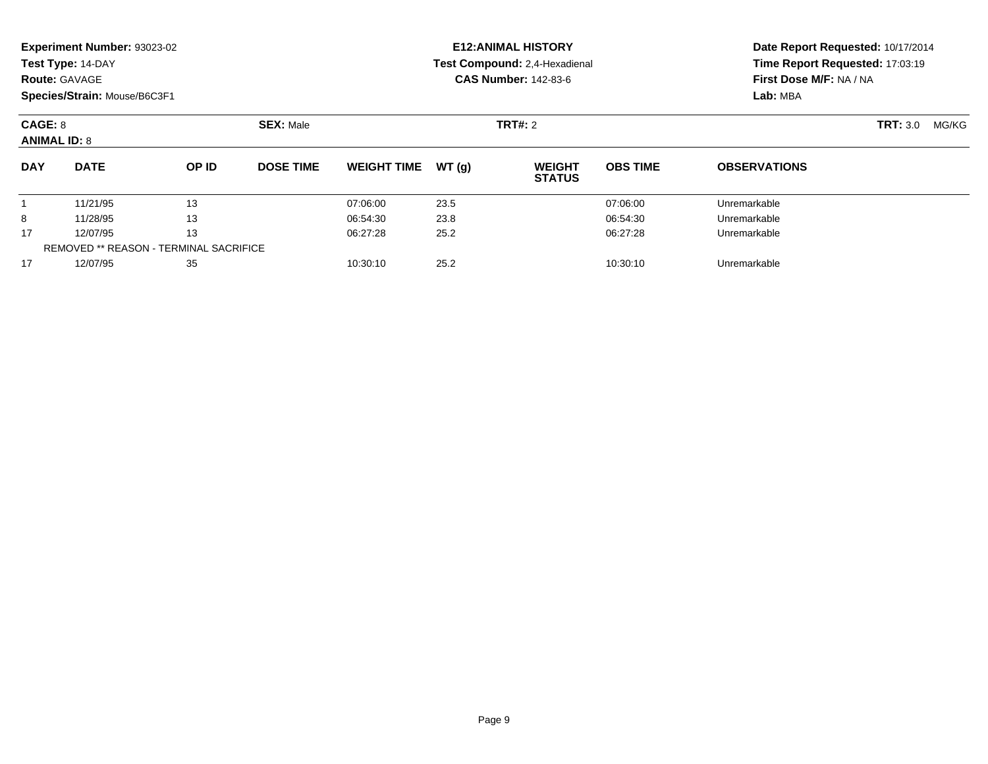| <b>Route: GAVAGE</b>           | Experiment Number: 93023-02<br>Test Type: 14-DAY<br>Species/Strain: Mouse/B6C3F1 |                                        |                  |                    |       | <b>E12: ANIMAL HISTORY</b><br>Test Compound: 2,4-Hexadienal<br><b>CAS Number: 142-83-6</b> | Date Report Requested: 10/17/2014<br>Time Report Requested: 17:03:19<br>First Dose M/F: NA / NA<br>Lab: MBA |                     |                          |
|--------------------------------|----------------------------------------------------------------------------------|----------------------------------------|------------------|--------------------|-------|--------------------------------------------------------------------------------------------|-------------------------------------------------------------------------------------------------------------|---------------------|--------------------------|
| CAGE: 8<br><b>ANIMAL ID: 8</b> |                                                                                  |                                        | <b>SEX: Male</b> |                    |       | TRT#: 2                                                                                    |                                                                                                             |                     | <b>TRT: 3.0</b><br>MG/KG |
| <b>DAY</b>                     | <b>DATE</b>                                                                      | OP ID                                  | <b>DOSE TIME</b> | <b>WEIGHT TIME</b> | WT(g) | <b>WEIGHT</b><br><b>STATUS</b>                                                             | <b>OBS TIME</b>                                                                                             | <b>OBSERVATIONS</b> |                          |
|                                | 11/21/95                                                                         | 13                                     |                  | 07:06:00           | 23.5  |                                                                                            | 07:06:00                                                                                                    | Unremarkable        |                          |
| 8                              | 11/28/95                                                                         | 13                                     |                  | 06:54:30           | 23.8  |                                                                                            | 06:54:30                                                                                                    | Unremarkable        |                          |
| 17                             | 12/07/95                                                                         | 13                                     |                  | 06:27:28           | 25.2  |                                                                                            | 06:27:28                                                                                                    | Unremarkable        |                          |
|                                |                                                                                  | REMOVED ** REASON - TERMINAL SACRIFICE |                  |                    |       |                                                                                            |                                                                                                             |                     |                          |
| 17                             | 12/07/95                                                                         | 35                                     |                  | 10:30:10           | 25.2  |                                                                                            | 10:30:10                                                                                                    | Unremarkable        |                          |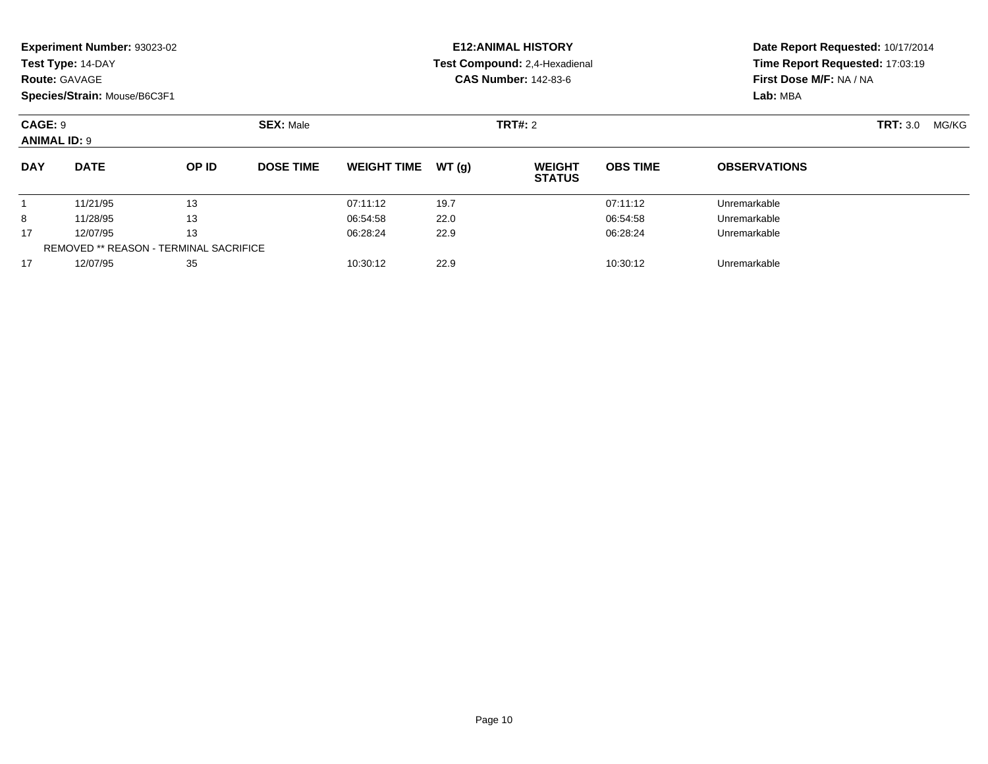| <b>Route: GAVAGE</b>           | Experiment Number: 93023-02<br>Test Type: 14-DAY<br>Species/Strain: Mouse/B6C3F1 |                                                     |                  |                    |       | <b>E12: ANIMAL HISTORY</b><br>Test Compound: 2,4-Hexadienal<br><b>CAS Number: 142-83-6</b> | Date Report Requested: 10/17/2014<br>Time Report Requested: 17:03:19<br>First Dose M/F: NA / NA<br>Lab: MBA |                     |                 |       |
|--------------------------------|----------------------------------------------------------------------------------|-----------------------------------------------------|------------------|--------------------|-------|--------------------------------------------------------------------------------------------|-------------------------------------------------------------------------------------------------------------|---------------------|-----------------|-------|
| CAGE: 9<br><b>ANIMAL ID: 9</b> |                                                                                  |                                                     | <b>SEX: Male</b> |                    |       | TRT#: 2                                                                                    |                                                                                                             |                     | <b>TRT: 3.0</b> | MG/KG |
| <b>DAY</b>                     | <b>DATE</b>                                                                      | OP ID                                               | <b>DOSE TIME</b> | <b>WEIGHT TIME</b> | WT(q) | <b>WEIGHT</b><br><b>STATUS</b>                                                             | <b>OBS TIME</b>                                                                                             | <b>OBSERVATIONS</b> |                 |       |
|                                | 11/21/95                                                                         | 13                                                  |                  | 07:11:12           | 19.7  |                                                                                            | 07:11:12                                                                                                    | Unremarkable        |                 |       |
| 8                              | 11/28/95                                                                         | 13                                                  |                  | 06:54:58           | 22.0  |                                                                                            | 06:54:58                                                                                                    | Unremarkable        |                 |       |
| 17                             | 12/07/95                                                                         | 13<br><b>REMOVED ** REASON - TERMINAL SACRIFICE</b> |                  | 06:28:24           | 22.9  |                                                                                            | 06:28:24                                                                                                    | Unremarkable        |                 |       |
| 17                             | 12/07/95                                                                         | 35                                                  |                  | 10:30:12           | 22.9  |                                                                                            | 10:30:12                                                                                                    | Unremarkable        |                 |       |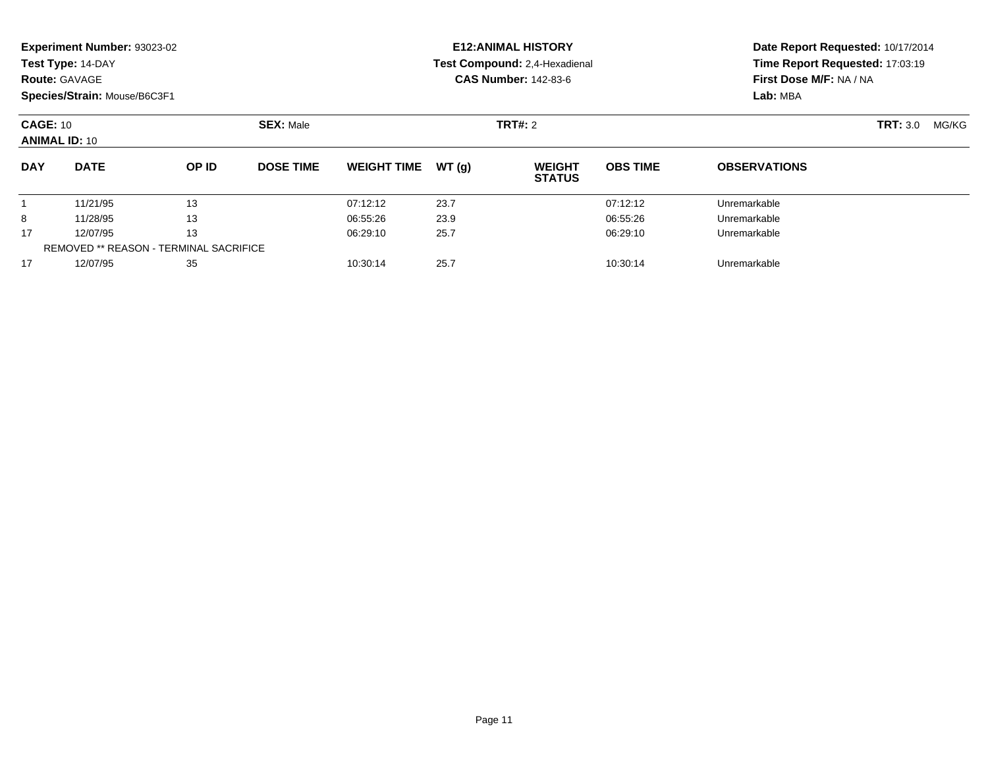| <b>Route: GAVAGE</b>                    | Experiment Number: 93023-02<br>Test Type: 14-DAY<br>Species/Strain: Mouse/B6C3F1 |                                                     |                  |                    |       | <b>E12: ANIMAL HISTORY</b><br>Test Compound: 2,4-Hexadienal<br><b>CAS Number: 142-83-6</b> | Date Report Requested: 10/17/2014<br>Time Report Requested: 17:03:19<br>First Dose M/F: NA / NA<br>Lab: MBA |                     |                 |       |
|-----------------------------------------|----------------------------------------------------------------------------------|-----------------------------------------------------|------------------|--------------------|-------|--------------------------------------------------------------------------------------------|-------------------------------------------------------------------------------------------------------------|---------------------|-----------------|-------|
| <b>CAGE: 10</b><br><b>ANIMAL ID: 10</b> |                                                                                  |                                                     | <b>SEX: Male</b> |                    |       | TRT#: 2                                                                                    |                                                                                                             |                     | <b>TRT: 3.0</b> | MG/KG |
| <b>DAY</b>                              | <b>DATE</b>                                                                      | OP ID                                               | <b>DOSE TIME</b> | <b>WEIGHT TIME</b> | WT(q) | <b>WEIGHT</b><br><b>STATUS</b>                                                             | <b>OBS TIME</b>                                                                                             | <b>OBSERVATIONS</b> |                 |       |
|                                         | 11/21/95                                                                         | 13                                                  |                  | 07:12:12           | 23.7  |                                                                                            | 07:12:12                                                                                                    | Unremarkable        |                 |       |
| 8                                       | 11/28/95                                                                         | 13                                                  |                  | 06:55:26           | 23.9  |                                                                                            | 06:55:26                                                                                                    | Unremarkable        |                 |       |
| 17                                      | 12/07/95                                                                         | 13<br><b>REMOVED ** REASON - TERMINAL SACRIFICE</b> |                  | 06:29:10           | 25.7  |                                                                                            | 06:29:10                                                                                                    | Unremarkable        |                 |       |
| 17                                      | 12/07/95                                                                         | 35                                                  |                  | 10:30:14           | 25.7  |                                                                                            | 10:30:14                                                                                                    | Unremarkable        |                 |       |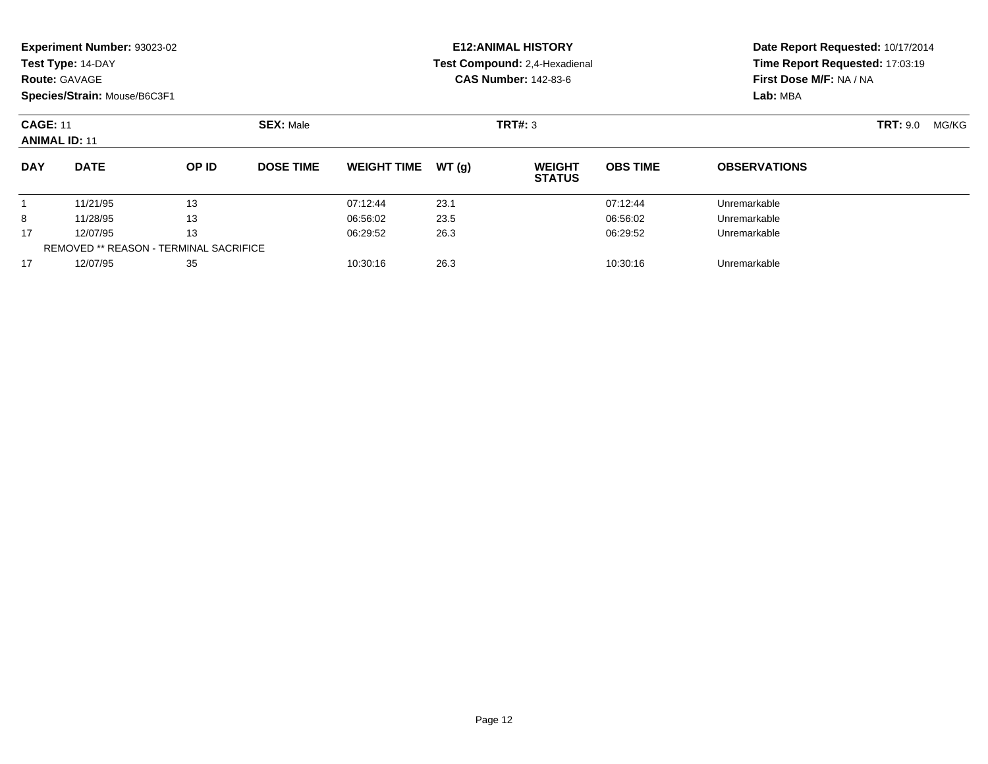|                                         | Experiment Number: 93023-02<br>Test Type: 14-DAY<br><b>Route: GAVAGE</b><br>Species/Strain: Mouse/B6C3F1 |       |                  |                    |       | <b>E12: ANIMAL HISTORY</b><br>Test Compound: 2,4-Hexadienal<br><b>CAS Number: 142-83-6</b> | Date Report Requested: 10/17/2014<br>Time Report Requested: 17:03:19<br>First Dose M/F: NA / NA<br>Lab: MBA |                     |                          |
|-----------------------------------------|----------------------------------------------------------------------------------------------------------|-------|------------------|--------------------|-------|--------------------------------------------------------------------------------------------|-------------------------------------------------------------------------------------------------------------|---------------------|--------------------------|
| <b>CAGE: 11</b><br><b>ANIMAL ID: 11</b> |                                                                                                          |       | <b>SEX: Male</b> |                    |       | TRT#: 3                                                                                    |                                                                                                             |                     | <b>TRT: 9.0</b><br>MG/KG |
| <b>DAY</b>                              | <b>DATE</b>                                                                                              | OP ID | <b>DOSE TIME</b> | <b>WEIGHT TIME</b> | WT(g) | <b>WEIGHT</b><br><b>STATUS</b>                                                             | <b>OBS TIME</b>                                                                                             | <b>OBSERVATIONS</b> |                          |
|                                         | 11/21/95                                                                                                 | 13    |                  | 07:12:44           | 23.1  |                                                                                            | 07:12:44                                                                                                    | Unremarkable        |                          |
| 8                                       | 11/28/95                                                                                                 | 13    |                  | 06:56:02           | 23.5  |                                                                                            | 06:56:02                                                                                                    | Unremarkable        |                          |
| 17                                      | 12/07/95                                                                                                 | 13    |                  | 06:29:52           | 26.3  |                                                                                            | 06:29:52                                                                                                    | Unremarkable        |                          |
|                                         | <b>REMOVED ** REASON - TERMINAL SACRIFICE</b>                                                            |       |                  |                    |       |                                                                                            |                                                                                                             |                     |                          |
| 17                                      | 12/07/95                                                                                                 | 35    |                  | 10:30:16           | 26.3  |                                                                                            | 10:30:16                                                                                                    | Unremarkable        |                          |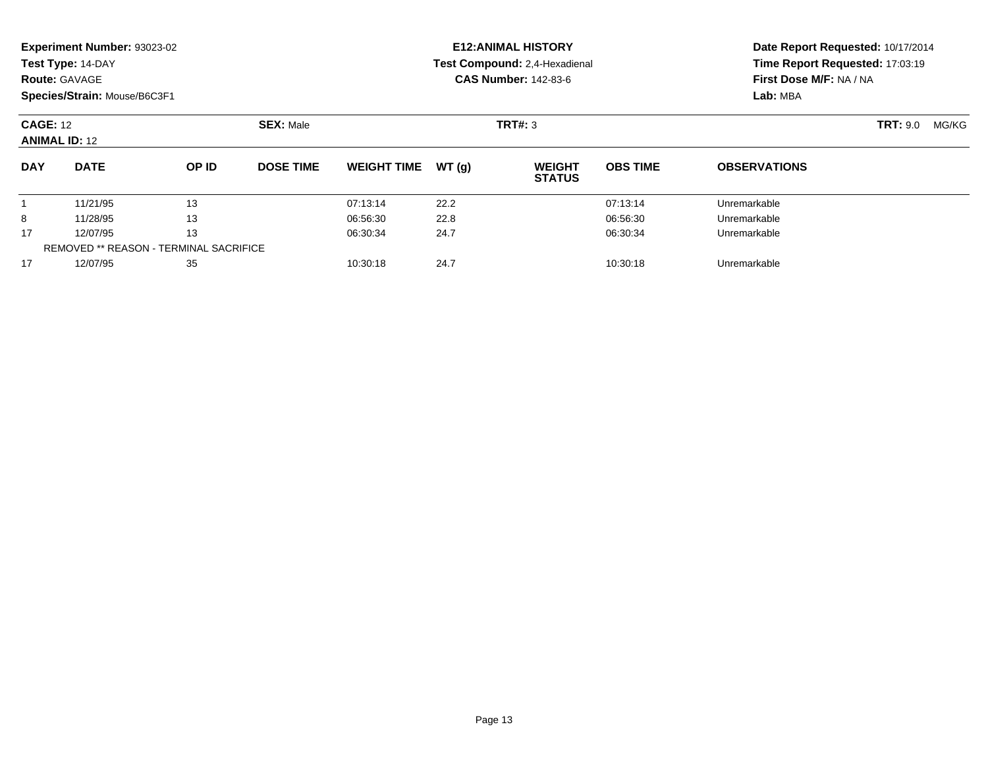|                                         | Experiment Number: 93023-02<br>Test Type: 14-DAY<br><b>Route: GAVAGE</b><br>Species/Strain: Mouse/B6C3F1 |                  |                  |                    |       | <b>E12: ANIMAL HISTORY</b><br>Test Compound: 2,4-Hexadienal<br><b>CAS Number: 142-83-6</b> | Date Report Requested: 10/17/2014<br>Time Report Requested: 17:03:19<br>First Dose M/F: NA / NA<br>Lab: MBA |                     |       |  |
|-----------------------------------------|----------------------------------------------------------------------------------------------------------|------------------|------------------|--------------------|-------|--------------------------------------------------------------------------------------------|-------------------------------------------------------------------------------------------------------------|---------------------|-------|--|
| <b>CAGE: 12</b><br><b>ANIMAL ID: 12</b> |                                                                                                          | <b>SEX: Male</b> | TRT#: 3          |                    |       |                                                                                            |                                                                                                             | <b>TRT: 9.0</b>     | MG/KG |  |
| <b>DAY</b>                              | <b>DATE</b>                                                                                              | OP ID            | <b>DOSE TIME</b> | <b>WEIGHT TIME</b> | WT(q) | <b>WEIGHT</b><br><b>STATUS</b>                                                             | <b>OBS TIME</b>                                                                                             | <b>OBSERVATIONS</b> |       |  |
|                                         | 11/21/95                                                                                                 | 13               |                  | 07:13:14           | 22.2  |                                                                                            | 07:13:14                                                                                                    | Unremarkable        |       |  |
| 8                                       | 11/28/95                                                                                                 | 13               |                  | 06:56:30           | 22.8  |                                                                                            | 06:56:30                                                                                                    | Unremarkable        |       |  |
| 17                                      | 13<br>12/07/95<br><b>REMOVED ** REASON - TERMINAL SACRIFICE</b>                                          |                  | 06:30:34         | 24.7               |       | 06:30:34                                                                                   | Unremarkable                                                                                                |                     |       |  |
| 17                                      | 12/07/95                                                                                                 | 35               |                  | 10:30:18           | 24.7  |                                                                                            | 10:30:18                                                                                                    | Unremarkable        |       |  |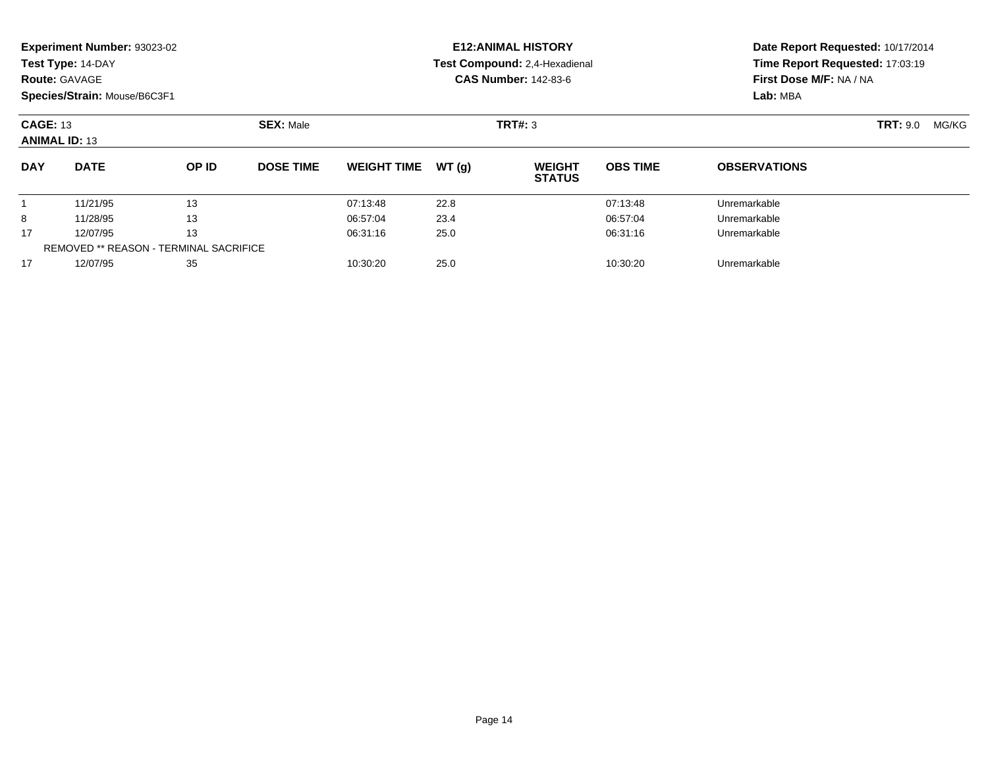|                                         | Experiment Number: 93023-02<br>Test Type: 14-DAY<br><b>Route: GAVAGE</b><br>Species/Strain: Mouse/B6C3F1 |                  |                  |                    |       | <b>E12: ANIMAL HISTORY</b><br>Test Compound: 2,4-Hexadienal<br><b>CAS Number: 142-83-6</b> | Date Report Requested: 10/17/2014<br>Time Report Requested: 17:03:19<br>First Dose M/F: NA / NA<br>Lab: MBA |                          |  |
|-----------------------------------------|----------------------------------------------------------------------------------------------------------|------------------|------------------|--------------------|-------|--------------------------------------------------------------------------------------------|-------------------------------------------------------------------------------------------------------------|--------------------------|--|
| <b>CAGE: 13</b><br><b>ANIMAL ID: 13</b> |                                                                                                          | <b>SEX: Male</b> | TRT#: 3          |                    |       |                                                                                            |                                                                                                             | <b>TRT: 9.0</b><br>MG/KG |  |
| <b>DAY</b>                              | <b>DATE</b>                                                                                              | OP ID            | <b>DOSE TIME</b> | <b>WEIGHT TIME</b> | WT(g) | <b>WEIGHT</b><br><b>STATUS</b>                                                             | <b>OBS TIME</b>                                                                                             | <b>OBSERVATIONS</b>      |  |
|                                         | 11/21/95                                                                                                 | 13               |                  | 07:13:48           | 22.8  |                                                                                            | 07:13:48                                                                                                    | Unremarkable             |  |
| 8                                       | 11/28/95                                                                                                 | 13               |                  | 06:57:04           | 23.4  |                                                                                            | 06:57:04                                                                                                    | Unremarkable             |  |
| 17                                      | 13<br>12/07/95                                                                                           |                  |                  | 06:31:16           | 25.0  |                                                                                            | 06:31:16                                                                                                    | Unremarkable             |  |
|                                         | <b>REMOVED ** REASON - TERMINAL SACRIFICE</b>                                                            |                  |                  |                    |       |                                                                                            |                                                                                                             |                          |  |
| 17                                      | 12/07/95                                                                                                 | 35               |                  | 10:30:20           | 25.0  |                                                                                            | 10:30:20                                                                                                    | Unremarkable             |  |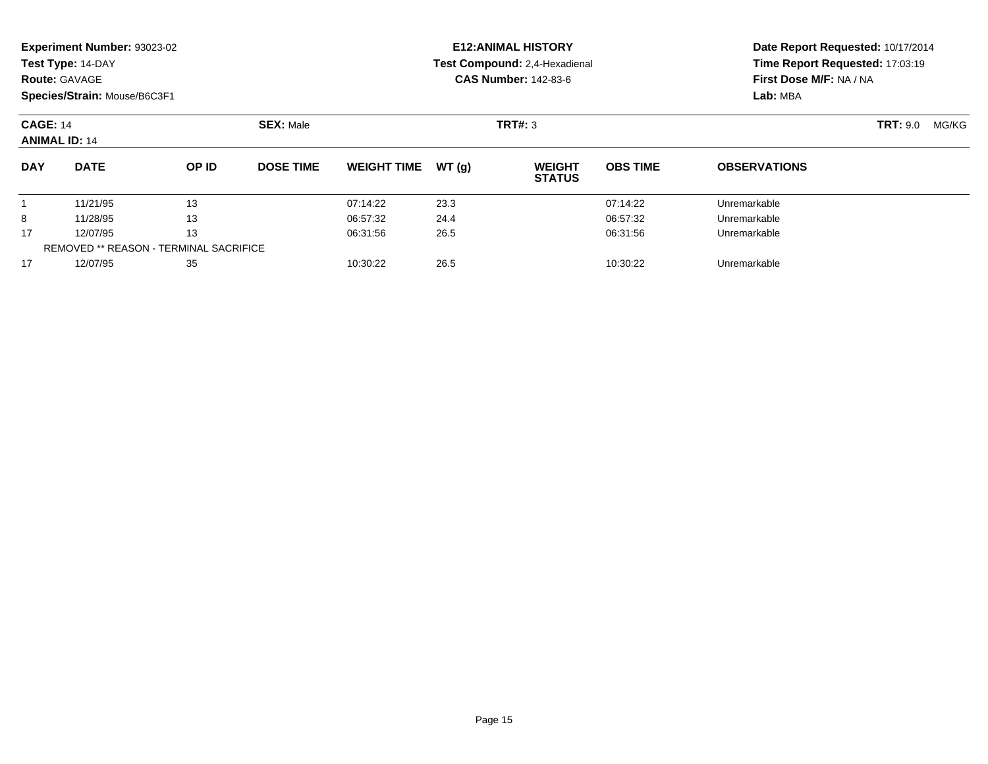|                                         | Experiment Number: 93023-02<br>Test Type: 14-DAY<br><b>Route: GAVAGE</b><br>Species/Strain: Mouse/B6C3F1 |                  |                  |                    |       | <b>E12: ANIMAL HISTORY</b><br>Test Compound: 2,4-Hexadienal<br><b>CAS Number: 142-83-6</b> | Date Report Requested: 10/17/2014<br>Time Report Requested: 17:03:19<br>First Dose M/F: NA / NA<br>Lab: MBA |                     |       |  |
|-----------------------------------------|----------------------------------------------------------------------------------------------------------|------------------|------------------|--------------------|-------|--------------------------------------------------------------------------------------------|-------------------------------------------------------------------------------------------------------------|---------------------|-------|--|
| <b>CAGE: 14</b><br><b>ANIMAL ID: 14</b> |                                                                                                          | <b>SEX: Male</b> | TRT#: 3          |                    |       |                                                                                            |                                                                                                             | <b>TRT: 9.0</b>     | MG/KG |  |
| <b>DAY</b>                              | <b>DATE</b>                                                                                              | OP ID            | <b>DOSE TIME</b> | <b>WEIGHT TIME</b> | WT(q) | <b>WEIGHT</b><br><b>STATUS</b>                                                             | <b>OBS TIME</b>                                                                                             | <b>OBSERVATIONS</b> |       |  |
|                                         | 11/21/95                                                                                                 | 13               |                  | 07:14:22           | 23.3  |                                                                                            | 07:14:22                                                                                                    | Unremarkable        |       |  |
| 8                                       | 11/28/95                                                                                                 | 13               |                  | 06:57:32           | 24.4  |                                                                                            | 06:57:32                                                                                                    | Unremarkable        |       |  |
| 17                                      | 13<br>12/07/95<br><b>REMOVED ** REASON - TERMINAL SACRIFICE</b>                                          |                  | 06:31:56         | 26.5               |       | 06:31:56                                                                                   | Unremarkable                                                                                                |                     |       |  |
| 17                                      | 12/07/95                                                                                                 | 35               |                  | 10:30:22           | 26.5  |                                                                                            | 10:30:22                                                                                                    | Unremarkable        |       |  |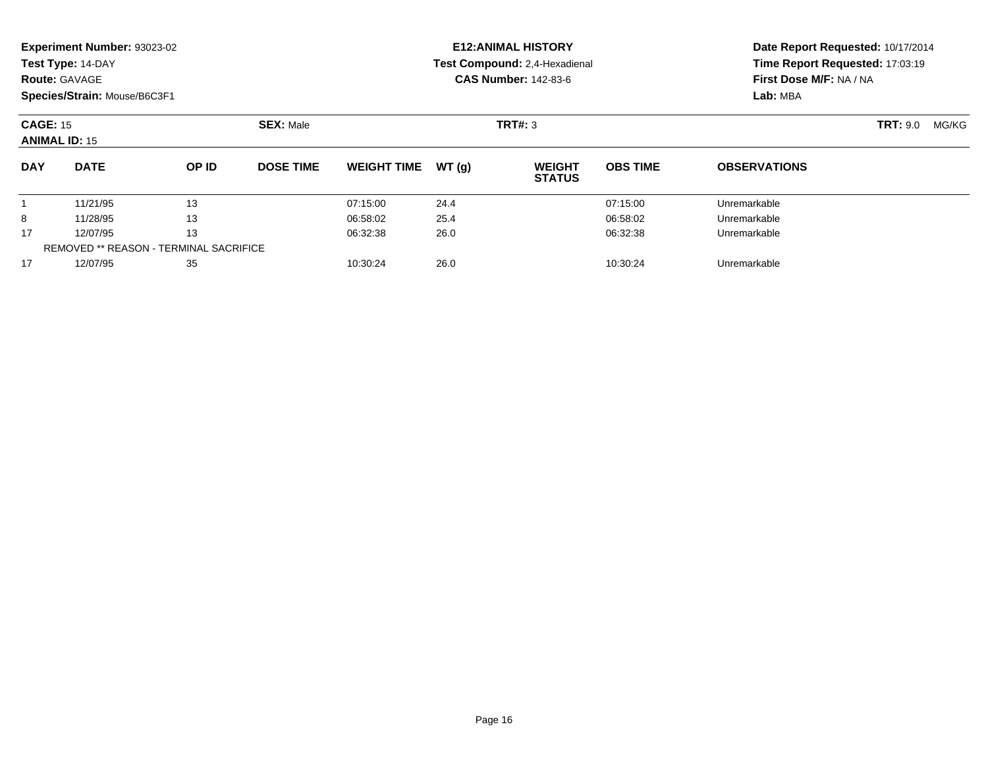|            | Experiment Number: 93023-02<br>Test Type: 14-DAY<br><b>Route: GAVAGE</b><br>Species/Strain: Mouse/B6C3F1 |              |                  |                    |       | <b>E12: ANIMAL HISTORY</b><br>Test Compound: 2,4-Hexadienal<br><b>CAS Number: 142-83-6</b> | Date Report Requested: 10/17/2014<br>Time Report Requested: 17:03:19<br>First Dose M/F: NA / NA<br>Lab: MBA |                     |                          |
|------------|----------------------------------------------------------------------------------------------------------|--------------|------------------|--------------------|-------|--------------------------------------------------------------------------------------------|-------------------------------------------------------------------------------------------------------------|---------------------|--------------------------|
|            | <b>CAGE: 15</b><br><b>ANIMAL ID: 15</b>                                                                  |              | <b>SEX: Male</b> | TRT#: 3            |       |                                                                                            |                                                                                                             |                     | <b>TRT: 9.0</b><br>MG/KG |
| <b>DAY</b> | <b>DATE</b>                                                                                              | <b>OP ID</b> | <b>DOSE TIME</b> | <b>WEIGHT TIME</b> | WT(g) | <b>WEIGHT</b><br><b>STATUS</b>                                                             | <b>OBS TIME</b>                                                                                             | <b>OBSERVATIONS</b> |                          |
|            | 11/21/95                                                                                                 | 13           |                  | 07:15:00           | 24.4  |                                                                                            | 07:15:00                                                                                                    | Unremarkable        |                          |
| 8          | 11/28/95                                                                                                 | 13           |                  | 06:58:02           | 25.4  |                                                                                            | 06:58:02                                                                                                    | Unremarkable        |                          |
| 17         | 12/07/95                                                                                                 | 13           |                  | 06:32:38           | 26.0  |                                                                                            | 06:32:38                                                                                                    | Unremarkable        |                          |
|            | <b>REMOVED ** REASON - TERMINAL SACRIFICE</b>                                                            |              |                  |                    |       |                                                                                            |                                                                                                             |                     |                          |
| 17         | 12/07/95                                                                                                 | 35           |                  | 10:30:24           | 26.0  |                                                                                            | 10:30:24                                                                                                    | Unremarkable        |                          |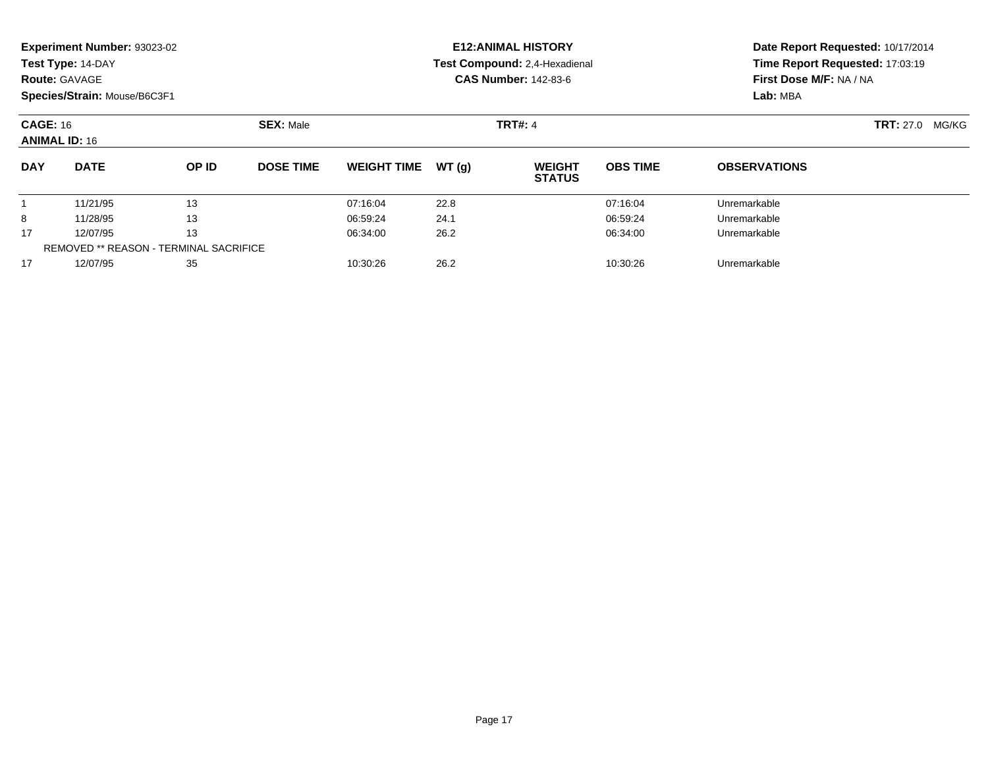| <b>Route: GAVAGE</b>                    | Experiment Number: 93023-02<br>Test Type: 14-DAY<br>Species/Strain: Mouse/B6C3F1 |                  |                  |                    |       | <b>E12: ANIMAL HISTORY</b><br>Test Compound: 2,4-Hexadienal<br><b>CAS Number: 142-83-6</b> | Date Report Requested: 10/17/2014<br>Time Report Requested: 17:03:19<br>First Dose M/F: NA / NA<br>Lab: MBA |                     |  |
|-----------------------------------------|----------------------------------------------------------------------------------|------------------|------------------|--------------------|-------|--------------------------------------------------------------------------------------------|-------------------------------------------------------------------------------------------------------------|---------------------|--|
| <b>CAGE: 16</b><br><b>ANIMAL ID: 16</b> |                                                                                  | <b>SEX: Male</b> | <b>TRT#: 4</b>   |                    |       |                                                                                            | <b>TRT:</b> 27.0<br>MG/KG                                                                                   |                     |  |
| <b>DAY</b>                              | <b>DATE</b>                                                                      | OP ID            | <b>DOSE TIME</b> | <b>WEIGHT TIME</b> | WT(g) | <b>WEIGHT</b><br><b>STATUS</b>                                                             | <b>OBS TIME</b>                                                                                             | <b>OBSERVATIONS</b> |  |
|                                         | 11/21/95                                                                         | 13               |                  | 07:16:04           | 22.8  |                                                                                            | 07:16:04                                                                                                    | Unremarkable        |  |
| 8                                       | 11/28/95                                                                         | 13               |                  | 06:59:24           | 24.1  |                                                                                            | 06:59:24                                                                                                    | Unremarkable        |  |
| 17                                      | 13<br>12/07/95                                                                   |                  | 06:34:00         | 26.2               |       | 06:34:00                                                                                   | Unremarkable                                                                                                |                     |  |
|                                         | <b>REMOVED ** REASON - TERMINAL SACRIFICE</b>                                    |                  |                  |                    |       |                                                                                            |                                                                                                             |                     |  |
| 17                                      | 12/07/95                                                                         | 35               |                  | 10:30:26           | 26.2  |                                                                                            | 10:30:26                                                                                                    | Unremarkable        |  |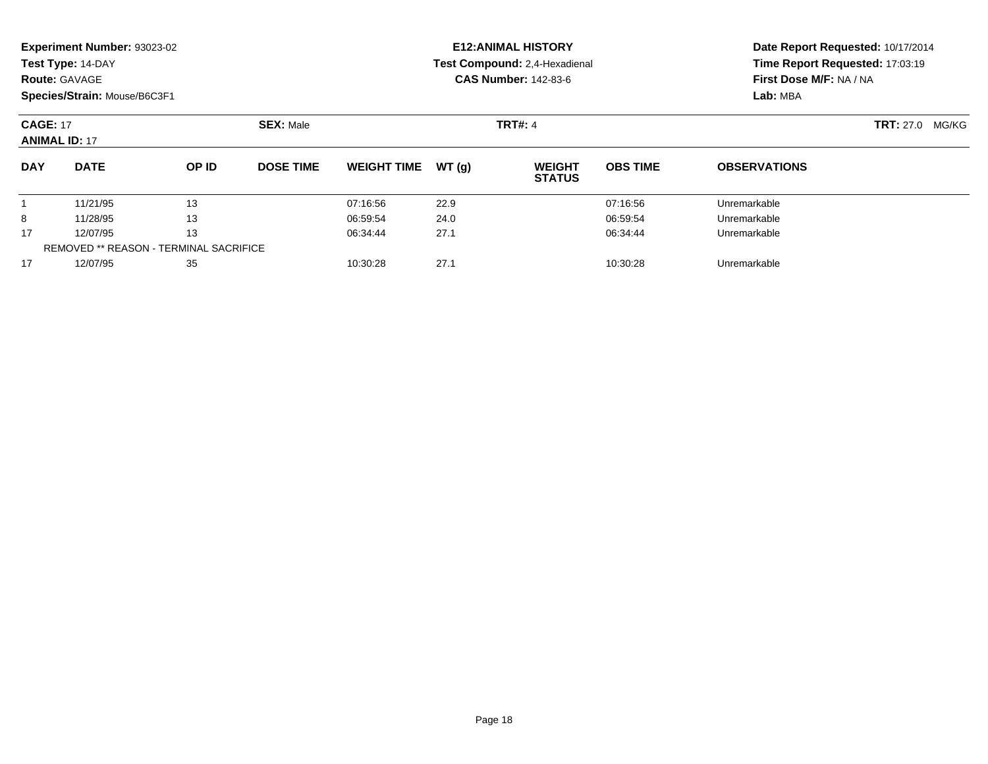| <b>Route: GAVAGE</b>                    | Experiment Number: 93023-02<br>Test Type: 14-DAY<br>Species/Strain: Mouse/B6C3F1 |                  |                  |                    |       | <b>E12: ANIMAL HISTORY</b><br>Test Compound: 2,4-Hexadienal<br><b>CAS Number: 142-83-6</b> | Date Report Requested: 10/17/2014<br>Time Report Requested: 17:03:19<br>First Dose M/F: NA / NA<br>Lab: MBA |                     |  |
|-----------------------------------------|----------------------------------------------------------------------------------|------------------|------------------|--------------------|-------|--------------------------------------------------------------------------------------------|-------------------------------------------------------------------------------------------------------------|---------------------|--|
| <b>CAGE: 17</b><br><b>ANIMAL ID: 17</b> |                                                                                  | <b>SEX: Male</b> | <b>TRT#: 4</b>   |                    |       |                                                                                            | <b>TRT: 27.0</b><br>MG/KG                                                                                   |                     |  |
| <b>DAY</b>                              | <b>DATE</b>                                                                      | OP ID            | <b>DOSE TIME</b> | <b>WEIGHT TIME</b> | WT(g) | <b>WEIGHT</b><br><b>STATUS</b>                                                             | <b>OBS TIME</b>                                                                                             | <b>OBSERVATIONS</b> |  |
|                                         | 11/21/95                                                                         | 13               |                  | 07:16:56           | 22.9  |                                                                                            | 07:16:56                                                                                                    | Unremarkable        |  |
| 8                                       | 11/28/95                                                                         | 13               |                  | 06:59:54           | 24.0  |                                                                                            | 06:59:54                                                                                                    | Unremarkable        |  |
| 17                                      | 13<br>12/07/95                                                                   |                  | 06:34:44         | 27.1               |       | 06:34:44                                                                                   | Unremarkable                                                                                                |                     |  |
|                                         | <b>REMOVED ** REASON - TERMINAL SACRIFICE</b>                                    |                  |                  |                    |       |                                                                                            |                                                                                                             |                     |  |
| 17                                      | 12/07/95                                                                         | 35               |                  | 10:30:28           | 27.1  |                                                                                            | 10:30:28                                                                                                    | Unremarkable        |  |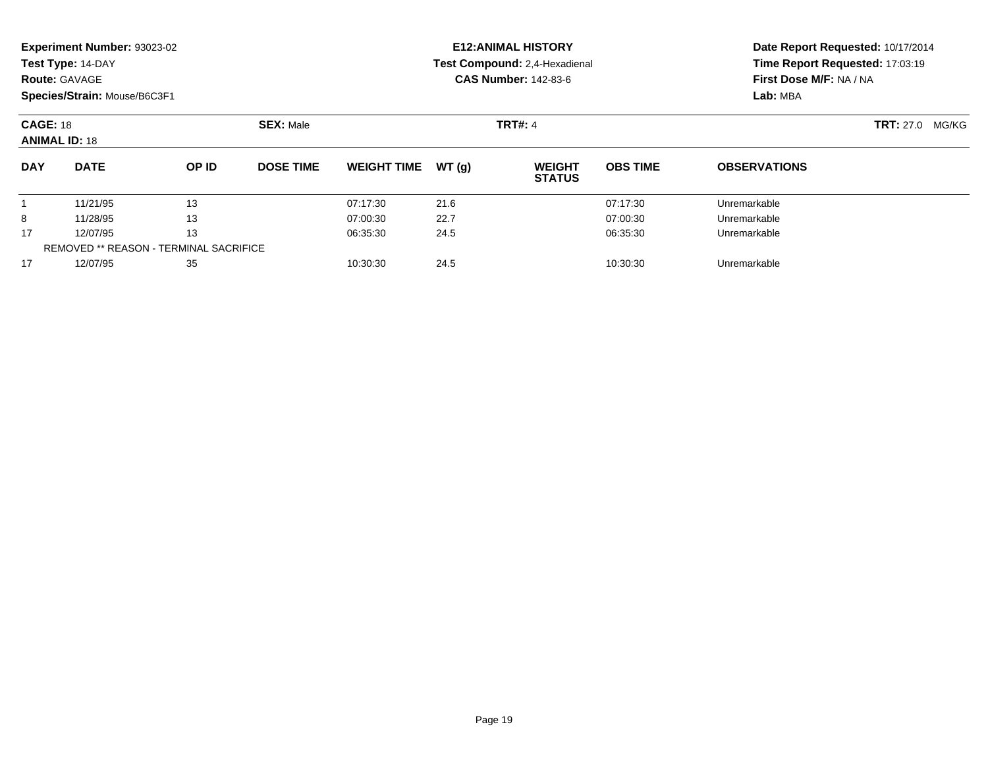| <b>Route: GAVAGE</b>                    | Experiment Number: 93023-02<br>Test Type: 14-DAY<br>Species/Strain: Mouse/B6C3F1 |                                        |                  | <b>E12: ANIMAL HISTORY</b><br>Test Compound: 2,4-Hexadienal<br><b>CAS Number: 142-83-6</b> | Date Report Requested: 10/17/2014<br>Time Report Requested: 17:03:19<br>First Dose M/F: NA / NA<br>Lab: MBA |                                |                 |                     |                        |
|-----------------------------------------|----------------------------------------------------------------------------------|----------------------------------------|------------------|--------------------------------------------------------------------------------------------|-------------------------------------------------------------------------------------------------------------|--------------------------------|-----------------|---------------------|------------------------|
| <b>CAGE: 18</b><br><b>ANIMAL ID: 18</b> |                                                                                  |                                        | <b>SEX: Male</b> | <b>TRT#: 4</b>                                                                             |                                                                                                             |                                |                 |                     | <b>TRT: 27.0 MG/KG</b> |
| <b>DAY</b>                              | <b>DATE</b>                                                                      | OP ID                                  | <b>DOSE TIME</b> | <b>WEIGHT TIME</b>                                                                         | WT(g)                                                                                                       | <b>WEIGHT</b><br><b>STATUS</b> | <b>OBS TIME</b> | <b>OBSERVATIONS</b> |                        |
|                                         | 11/21/95                                                                         | 13                                     |                  | 07:17:30                                                                                   | 21.6                                                                                                        |                                | 07:17:30        | Unremarkable        |                        |
| 8                                       | 11/28/95                                                                         | 13                                     |                  | 07:00:30                                                                                   | 22.7                                                                                                        |                                | 07:00:30        | Unremarkable        |                        |
| 17                                      | 13<br>12/07/95                                                                   |                                        | 06:35:30         | 24.5                                                                                       |                                                                                                             | 06:35:30                       | Unremarkable    |                     |                        |
|                                         |                                                                                  | REMOVED ** REASON - TERMINAL SACRIFICE |                  |                                                                                            |                                                                                                             |                                |                 |                     |                        |
| 17                                      | 12/07/95                                                                         | 35                                     |                  | 10:30:30                                                                                   | 24.5                                                                                                        |                                | 10:30:30        | Unremarkable        |                        |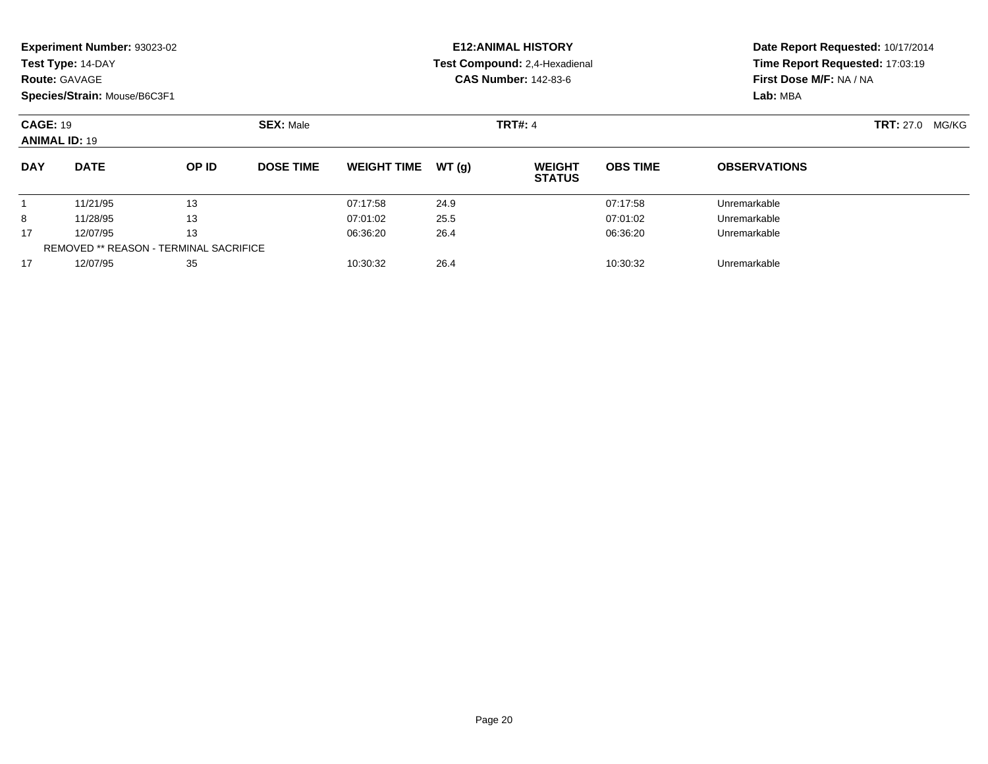| <b>Route: GAVAGE</b>                    | Experiment Number: 93023-02<br>Test Type: 14-DAY<br>Species/Strain: Mouse/B6C3F1 |       |                  |                    |       | <b>E12: ANIMAL HISTORY</b><br>Test Compound: 2,4-Hexadienal<br><b>CAS Number: 142-83-6</b> | Date Report Requested: 10/17/2014<br>Time Report Requested: 17:03:19<br>First Dose M/F: NA / NA<br>Lab: MBA |                     |  |
|-----------------------------------------|----------------------------------------------------------------------------------|-------|------------------|--------------------|-------|--------------------------------------------------------------------------------------------|-------------------------------------------------------------------------------------------------------------|---------------------|--|
| <b>CAGE: 19</b><br><b>ANIMAL ID: 19</b> |                                                                                  |       | <b>SEX: Male</b> |                    |       | <b>TRT#: 4</b>                                                                             | <b>TRT:</b> 27.0<br>MG/KG                                                                                   |                     |  |
| <b>DAY</b>                              | <b>DATE</b>                                                                      | OP ID | <b>DOSE TIME</b> | <b>WEIGHT TIME</b> | WT(g) | <b>WEIGHT</b><br><b>STATUS</b>                                                             | <b>OBS TIME</b>                                                                                             | <b>OBSERVATIONS</b> |  |
|                                         | 11/21/95                                                                         | 13    |                  | 07:17:58           | 24.9  |                                                                                            | 07:17:58                                                                                                    | Unremarkable        |  |
| 8                                       | 11/28/95                                                                         | 13    |                  | 07:01:02           | 25.5  |                                                                                            | 07:01:02                                                                                                    | Unremarkable        |  |
| 17                                      | 13<br>12/07/95                                                                   |       | 06:36:20         | 26.4               |       | 06:36:20                                                                                   | Unremarkable                                                                                                |                     |  |
|                                         | <b>REMOVED ** REASON - TERMINAL SACRIFICE</b>                                    |       |                  |                    |       |                                                                                            |                                                                                                             |                     |  |
| 17                                      | 12/07/95                                                                         | 35    |                  | 10:30:32           | 26.4  |                                                                                            | 10:30:32                                                                                                    | Unremarkable        |  |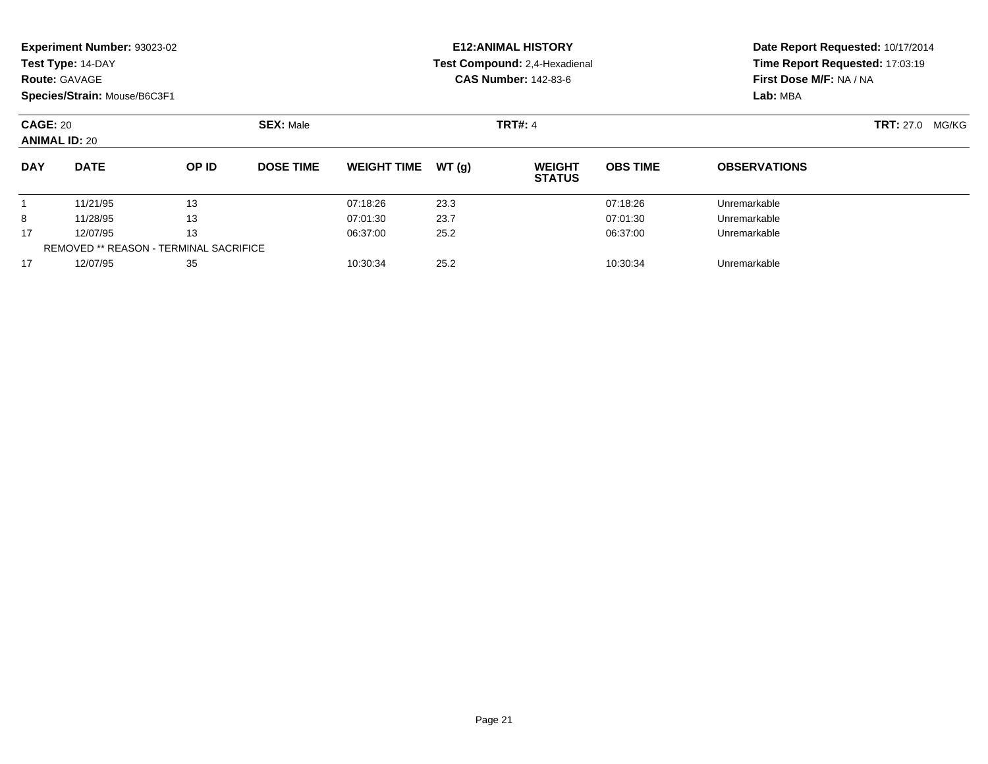| <b>Route: GAVAGE</b>                    | Experiment Number: 93023-02<br>Test Type: 14-DAY<br>Species/Strain: Mouse/B6C3F1 |                  |                  |                    |       | <b>E12: ANIMAL HISTORY</b><br>Test Compound: 2,4-Hexadienal<br><b>CAS Number: 142-83-6</b> | Date Report Requested: 10/17/2014<br>Time Report Requested: 17:03:19<br>First Dose M/F: NA / NA<br>Lab: MBA |                     |  |
|-----------------------------------------|----------------------------------------------------------------------------------|------------------|------------------|--------------------|-------|--------------------------------------------------------------------------------------------|-------------------------------------------------------------------------------------------------------------|---------------------|--|
| <b>CAGE: 20</b><br><b>ANIMAL ID: 20</b> |                                                                                  | <b>SEX: Male</b> | <b>TRT#: 4</b>   |                    |       |                                                                                            | <b>TRT:</b> 27.0<br>MG/KG                                                                                   |                     |  |
| <b>DAY</b>                              | <b>DATE</b>                                                                      | OP ID            | <b>DOSE TIME</b> | <b>WEIGHT TIME</b> | WT(g) | <b>WEIGHT</b><br><b>STATUS</b>                                                             | <b>OBS TIME</b>                                                                                             | <b>OBSERVATIONS</b> |  |
|                                         | 11/21/95                                                                         | 13               |                  | 07:18:26           | 23.3  |                                                                                            | 07:18:26                                                                                                    | Unremarkable        |  |
| 8                                       | 11/28/95                                                                         | 13               |                  | 07:01:30           | 23.7  |                                                                                            | 07:01:30                                                                                                    | Unremarkable        |  |
| 17                                      | 13<br>12/07/95                                                                   |                  | 06:37:00         | 25.2               |       | 06:37:00                                                                                   | Unremarkable                                                                                                |                     |  |
|                                         | <b>REMOVED ** REASON - TERMINAL SACRIFICE</b>                                    |                  |                  |                    |       |                                                                                            |                                                                                                             |                     |  |
| 17                                      | 12/07/95                                                                         | 35               |                  | 10:30:34           | 25.2  |                                                                                            | 10:30:34                                                                                                    | Unremarkable        |  |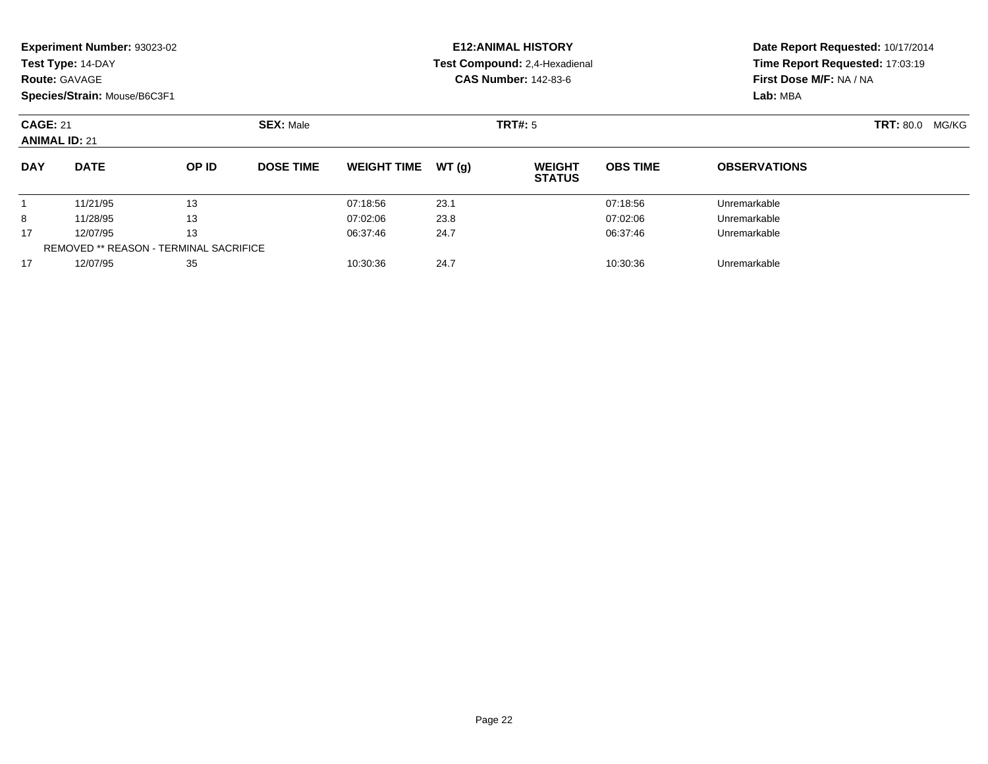|            | <b>Experiment Number: 93023-02</b>      |                                        |                  |                    |       | <b>E12:ANIMAL HISTORY</b>      |                 | Date Report Requested: 10/17/2014<br>Time Report Requested: 17:03:19<br>First Dose M/F: NA / NA |  |  |
|------------|-----------------------------------------|----------------------------------------|------------------|--------------------|-------|--------------------------------|-----------------|-------------------------------------------------------------------------------------------------|--|--|
|            | Test Type: 14-DAY                       |                                        |                  |                    |       | Test Compound: 2,4-Hexadienal  |                 |                                                                                                 |  |  |
|            | <b>Route: GAVAGE</b>                    |                                        |                  |                    |       | <b>CAS Number: 142-83-6</b>    |                 |                                                                                                 |  |  |
|            | Species/Strain: Mouse/B6C3F1            |                                        |                  |                    |       |                                |                 | Lab: MBA                                                                                        |  |  |
|            | <b>CAGE: 21</b><br><b>ANIMAL ID: 21</b> |                                        | <b>SEX: Male</b> |                    |       | TRT#: 5                        |                 | <b>TRT: 80.0</b><br>MG/KG                                                                       |  |  |
| <b>DAY</b> | <b>DATE</b>                             | OP ID                                  | <b>DOSE TIME</b> | <b>WEIGHT TIME</b> | WT(g) | <b>WEIGHT</b><br><b>STATUS</b> | <b>OBS TIME</b> | <b>OBSERVATIONS</b>                                                                             |  |  |
|            | 11/21/95                                | 13                                     |                  | 07:18:56           | 23.1  |                                | 07:18:56        | Unremarkable                                                                                    |  |  |
| 8          | 11/28/95                                | 13                                     |                  | 07:02:06           | 23.8  |                                | 07:02:06        | Unremarkable                                                                                    |  |  |
| 17         | 12/07/95                                | 13                                     |                  | 06:37:46           | 24.7  |                                | 06:37:46        | Unremarkable                                                                                    |  |  |
|            |                                         | REMOVED ** REASON - TERMINAL SACRIFICE |                  |                    |       |                                |                 |                                                                                                 |  |  |
| 17         | 12/07/95                                | 35                                     |                  | 10:30:36           | 24.7  |                                | 10:30:36        | Unremarkable                                                                                    |  |  |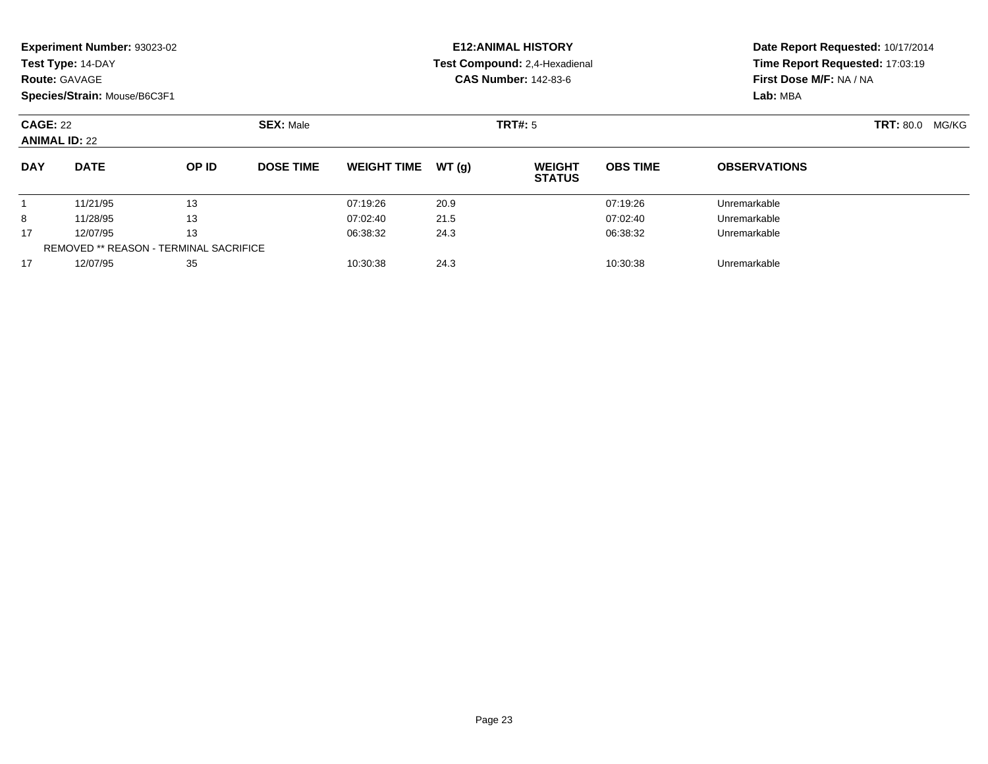|                                         | <b>Experiment Number: 93023-02</b><br>Test Type: 14-DAY<br><b>Route: GAVAGE</b> |                                               |                  |                    |                | <b>E12:ANIMAL HISTORY</b><br>Test Compound: 2,4-Hexadienal<br><b>CAS Number: 142-83-6</b> | Date Report Requested: 10/17/2014<br>Time Report Requested: 17:03:19<br>First Dose M/F: NA / NA |                     |  |
|-----------------------------------------|---------------------------------------------------------------------------------|-----------------------------------------------|------------------|--------------------|----------------|-------------------------------------------------------------------------------------------|-------------------------------------------------------------------------------------------------|---------------------|--|
|                                         | Species/Strain: Mouse/B6C3F1                                                    |                                               |                  |                    |                |                                                                                           |                                                                                                 | Lab: MBA            |  |
| <b>CAGE: 22</b><br><b>ANIMAL ID: 22</b> |                                                                                 | <b>SEX: Male</b>                              |                  |                    | <b>TRT#: 5</b> |                                                                                           | <b>TRT: 80.0</b><br>MG/KG                                                                       |                     |  |
| <b>DAY</b>                              | <b>DATE</b>                                                                     | OP ID                                         | <b>DOSE TIME</b> | <b>WEIGHT TIME</b> | WT(q)          | <b>WEIGHT</b><br><b>STATUS</b>                                                            | <b>OBS TIME</b>                                                                                 | <b>OBSERVATIONS</b> |  |
|                                         | 11/21/95                                                                        | 13                                            |                  | 07:19:26           | 20.9           |                                                                                           | 07:19:26                                                                                        | Unremarkable        |  |
| 8                                       | 11/28/95                                                                        | 13                                            |                  | 07:02:40           | 21.5           |                                                                                           | 07:02:40                                                                                        | Unremarkable        |  |
| 17                                      | 12/07/95                                                                        | 13                                            |                  | 06:38:32           | 24.3           |                                                                                           | 06:38:32                                                                                        | Unremarkable        |  |
|                                         |                                                                                 | <b>REMOVED ** REASON - TERMINAL SACRIFICE</b> |                  |                    |                |                                                                                           |                                                                                                 |                     |  |
| 17                                      | 12/07/95                                                                        | 35                                            |                  | 10:30:38           | 24.3           |                                                                                           | 10:30:38                                                                                        | Unremarkable        |  |

12/07/95 <sup>35</sup> 10:30:38 24.3 10:30:38 Unremarkable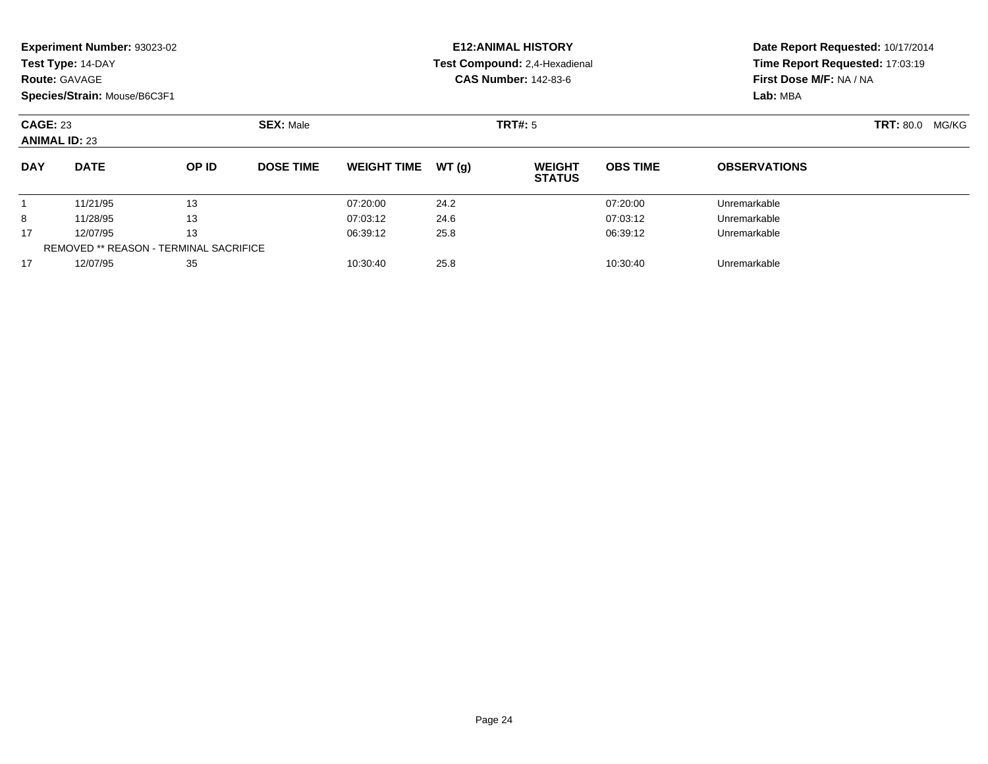|                                         | Experiment Number: 93023-02<br>Test Type: 14-DAY<br><b>Route: GAVAGE</b><br>Species/Strain: Mouse/B6C3F1 |                                        |                  |                    |       | <b>E12: ANIMAL HISTORY</b><br>Test Compound: 2,4-Hexadienal<br><b>CAS Number: 142-83-6</b> | Date Report Requested: 10/17/2014<br>Time Report Requested: 17:03:19<br>First Dose M/F: NA / NA<br>Lab: MBA |                     |  |
|-----------------------------------------|----------------------------------------------------------------------------------------------------------|----------------------------------------|------------------|--------------------|-------|--------------------------------------------------------------------------------------------|-------------------------------------------------------------------------------------------------------------|---------------------|--|
| <b>CAGE: 23</b><br><b>ANIMAL ID: 23</b> |                                                                                                          | <b>SEX: Male</b>                       | <b>TRT#: 5</b>   |                    |       |                                                                                            | <b>TRT: 80.0</b><br>MG/KG                                                                                   |                     |  |
| <b>DAY</b>                              | <b>DATE</b>                                                                                              | OP ID                                  | <b>DOSE TIME</b> | <b>WEIGHT TIME</b> | WT(g) | <b>WEIGHT</b><br><b>STATUS</b>                                                             | <b>OBS TIME</b>                                                                                             | <b>OBSERVATIONS</b> |  |
|                                         | 11/21/95                                                                                                 | 13                                     |                  | 07:20:00           | 24.2  |                                                                                            | 07:20:00                                                                                                    | Unremarkable        |  |
| 8                                       | 11/28/95                                                                                                 | 13                                     |                  | 07:03:12           | 24.6  |                                                                                            | 07:03:12                                                                                                    | Unremarkable        |  |
| 17                                      | 13<br>12/07/95                                                                                           |                                        | 06:39:12         | 25.8               |       | 06:39:12                                                                                   | Unremarkable                                                                                                |                     |  |
|                                         |                                                                                                          | REMOVED ** REASON - TERMINAL SACRIFICE |                  |                    |       |                                                                                            |                                                                                                             |                     |  |
| 17                                      | 12/07/95                                                                                                 | 35                                     |                  | 10:30:40           | 25.8  |                                                                                            | 10:30:40                                                                                                    | Unremarkable        |  |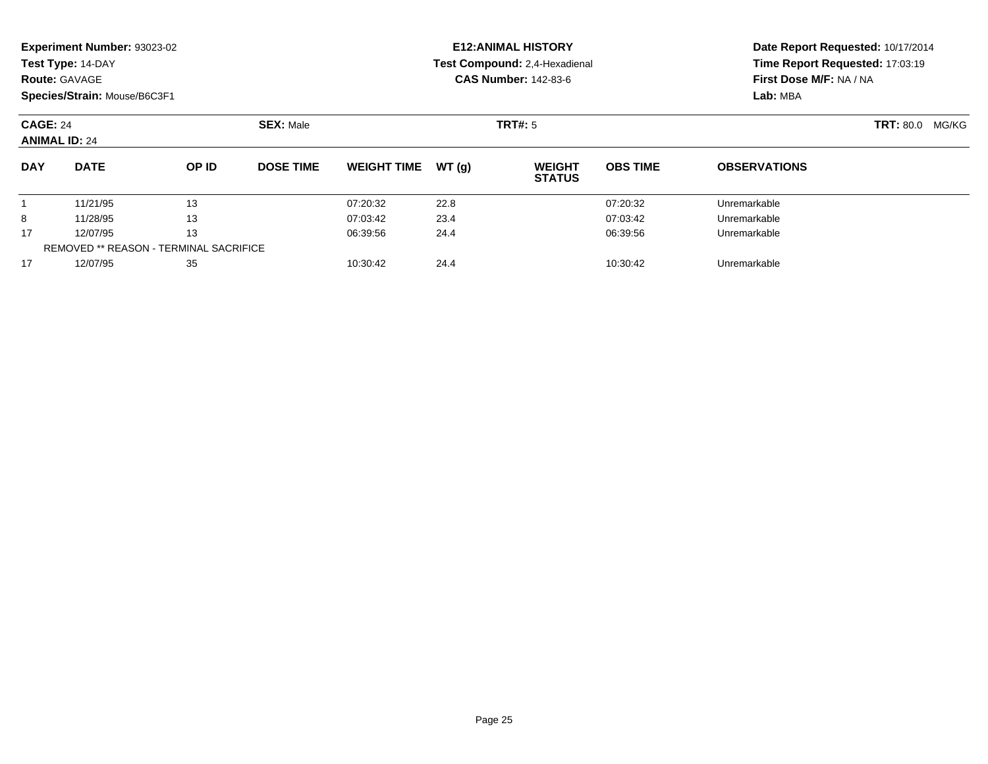|                                         | Experiment Number: 93023-02<br>Test Type: 14-DAY<br><b>Route: GAVAGE</b><br>Species/Strain: Mouse/B6C3F1 |                                        |                  |                    |       | <b>E12: ANIMAL HISTORY</b><br>Test Compound: 2,4-Hexadienal<br><b>CAS Number: 142-83-6</b> |                           | Date Report Requested: 10/17/2014<br>Time Report Requested: 17:03:19<br>First Dose M/F: NA / NA<br>Lab: MBA |  |  |
|-----------------------------------------|----------------------------------------------------------------------------------------------------------|----------------------------------------|------------------|--------------------|-------|--------------------------------------------------------------------------------------------|---------------------------|-------------------------------------------------------------------------------------------------------------|--|--|
| <b>CAGE: 24</b><br><b>ANIMAL ID: 24</b> |                                                                                                          |                                        | <b>SEX: Male</b> |                    |       | <b>TRT#: 5</b>                                                                             | <b>TRT: 80.0</b><br>MG/KG |                                                                                                             |  |  |
| <b>DAY</b>                              | <b>DATE</b>                                                                                              | OP ID                                  | <b>DOSE TIME</b> | <b>WEIGHT TIME</b> | WT(g) | <b>WEIGHT</b><br><b>STATUS</b>                                                             | <b>OBS TIME</b>           | <b>OBSERVATIONS</b>                                                                                         |  |  |
|                                         | 11/21/95                                                                                                 | 13                                     |                  | 07:20:32           | 22.8  |                                                                                            | 07:20:32                  | Unremarkable                                                                                                |  |  |
| 8                                       | 11/28/95                                                                                                 | 13                                     |                  | 07:03:42           | 23.4  |                                                                                            | 07:03:42                  | Unremarkable                                                                                                |  |  |
| 17                                      | 12/07/95                                                                                                 | 13                                     |                  | 06:39:56           | 24.4  |                                                                                            | 06:39:56                  | Unremarkable                                                                                                |  |  |
|                                         |                                                                                                          | REMOVED ** REASON - TERMINAL SACRIFICE |                  |                    |       |                                                                                            |                           |                                                                                                             |  |  |
| 17                                      | 12/07/95                                                                                                 | 35                                     |                  | 10:30:42           | 24.4  |                                                                                            | 10:30:42                  | Unremarkable                                                                                                |  |  |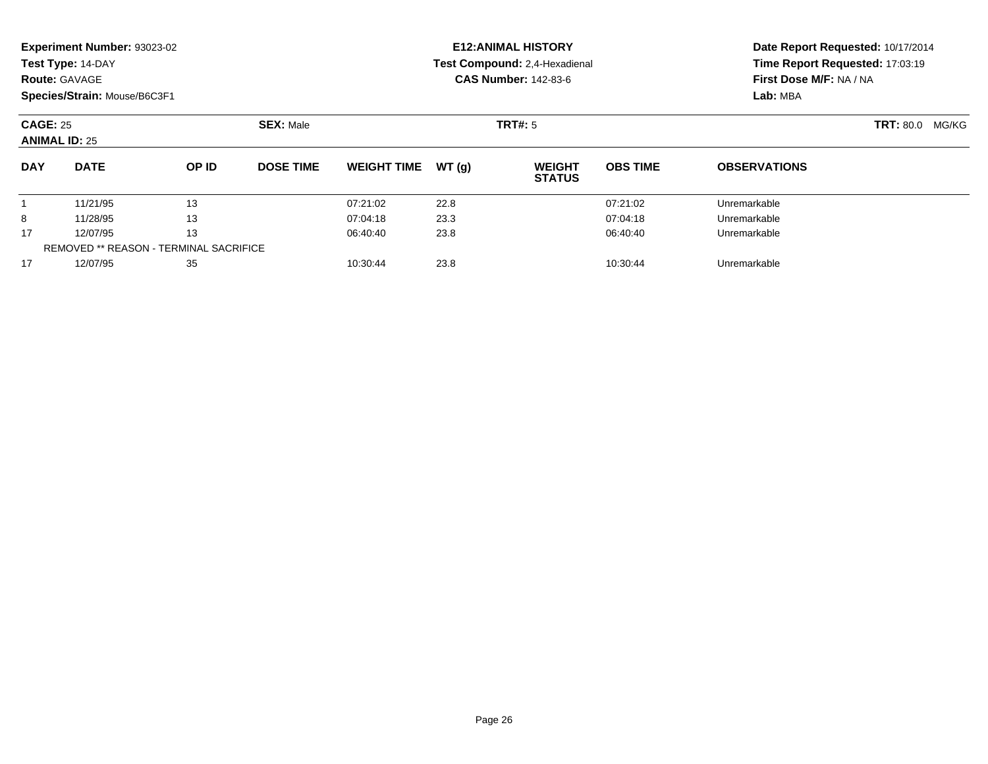|                                         | <b>Experiment Number: 93023-02</b><br>Test Type: 14-DAY<br><b>Route: GAVAGE</b> |                                        |                  |                    |       | <b>E12:ANIMAL HISTORY</b><br>Test Compound: 2,4-Hexadienal<br><b>CAS Number: 142-83-6</b> | Date Report Requested: 10/17/2014<br>Time Report Requested: 17:03:19<br>First Dose M/F: NA / NA |                     |                           |
|-----------------------------------------|---------------------------------------------------------------------------------|----------------------------------------|------------------|--------------------|-------|-------------------------------------------------------------------------------------------|-------------------------------------------------------------------------------------------------|---------------------|---------------------------|
|                                         | Species/Strain: Mouse/B6C3F1                                                    |                                        |                  |                    |       |                                                                                           |                                                                                                 | Lab: MBA            |                           |
| <b>CAGE: 25</b><br><b>ANIMAL ID: 25</b> |                                                                                 |                                        | <b>SEX: Male</b> |                    |       | <b>TRT#: 5</b>                                                                            |                                                                                                 |                     | <b>TRT: 80.0</b><br>MG/KG |
| <b>DAY</b>                              | <b>DATE</b>                                                                     | OP ID                                  | <b>DOSE TIME</b> | <b>WEIGHT TIME</b> | WT(g) | <b>WEIGHT</b><br><b>STATUS</b>                                                            | <b>OBS TIME</b>                                                                                 | <b>OBSERVATIONS</b> |                           |
|                                         | 11/21/95                                                                        | 13                                     |                  | 07:21:02           | 22.8  |                                                                                           | 07:21:02                                                                                        | Unremarkable        |                           |
| 8                                       | 11/28/95                                                                        | 13                                     |                  | 07:04:18           | 23.3  |                                                                                           | 07:04:18                                                                                        | Unremarkable        |                           |
| 17                                      | 12/07/95                                                                        | 13                                     |                  | 06:40:40           | 23.8  |                                                                                           | 06:40:40                                                                                        | Unremarkable        |                           |
|                                         |                                                                                 | REMOVED ** REASON - TERMINAL SACRIFICE |                  |                    |       |                                                                                           |                                                                                                 |                     |                           |
| 17                                      | 12/07/95                                                                        | 35                                     |                  | 10:30:44           | 23.8  |                                                                                           | 10:30:44                                                                                        | Unremarkable        |                           |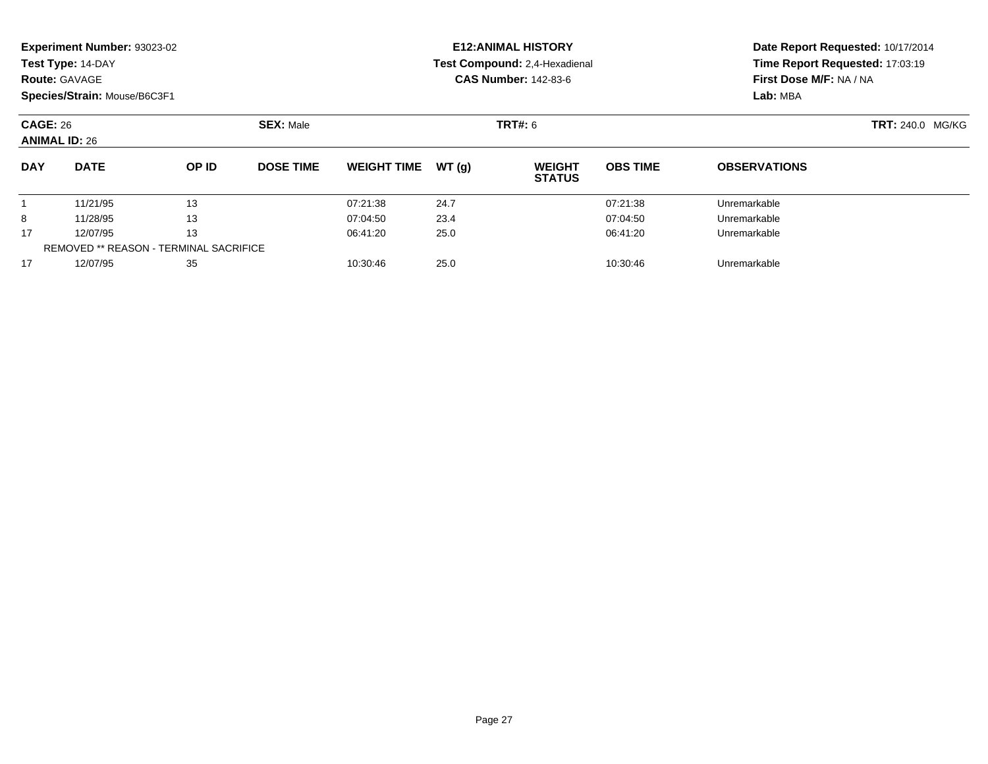|                                                             | Experiment Number: 93023-02                   |       |                  |                              |       | <b>E12: ANIMAL HISTORY</b>           |                         | Date Report Requested: 10/17/2014 |  |  |
|-------------------------------------------------------------|-----------------------------------------------|-------|------------------|------------------------------|-------|--------------------------------------|-------------------------|-----------------------------------|--|--|
|                                                             | Test Type: 14-DAY                             |       |                  |                              |       | <b>Test Compound: 2,4-Hexadienal</b> |                         | Time Report Requested: 17:03:19   |  |  |
|                                                             | <b>Route: GAVAGE</b>                          |       |                  |                              |       | <b>CAS Number: 142-83-6</b>          |                         | First Dose M/F: NA / NA           |  |  |
|                                                             | Species/Strain: Mouse/B6C3F1                  |       |                  |                              |       |                                      |                         | Lab: MBA                          |  |  |
| <b>SEX: Male</b><br><b>CAGE: 26</b><br><b>ANIMAL ID: 26</b> |                                               |       |                  |                              |       | TRT#: 6                              | <b>TRT: 240.0 MG/KG</b> |                                   |  |  |
| <b>DAY</b>                                                  | <b>DATE</b>                                   | OP ID | <b>DOSE TIME</b> | <b>WEIGHT TIME</b>           | WT(q) | <b>WEIGHT</b><br><b>STATUS</b>       | <b>OBS TIME</b>         | <b>OBSERVATIONS</b>               |  |  |
|                                                             | 11/21/95                                      | 13    |                  | 07:21:38                     | 24.7  |                                      | 07:21:38                | Unremarkable                      |  |  |
| 8                                                           | 11/28/95                                      | 13    |                  | 07:04:50                     | 23.4  |                                      | 07:04:50                | Unremarkable                      |  |  |
| 17                                                          | 13<br>12/07/95                                |       |                  | 25.0<br>06:41:20<br>06:41:20 |       |                                      | Unremarkable            |                                   |  |  |
|                                                             | <b>REMOVED ** REASON - TERMINAL SACRIFICE</b> |       |                  |                              |       |                                      |                         |                                   |  |  |

12/07/95 <sup>35</sup> 10:30:46 25.0 10:30:46 Unremarkable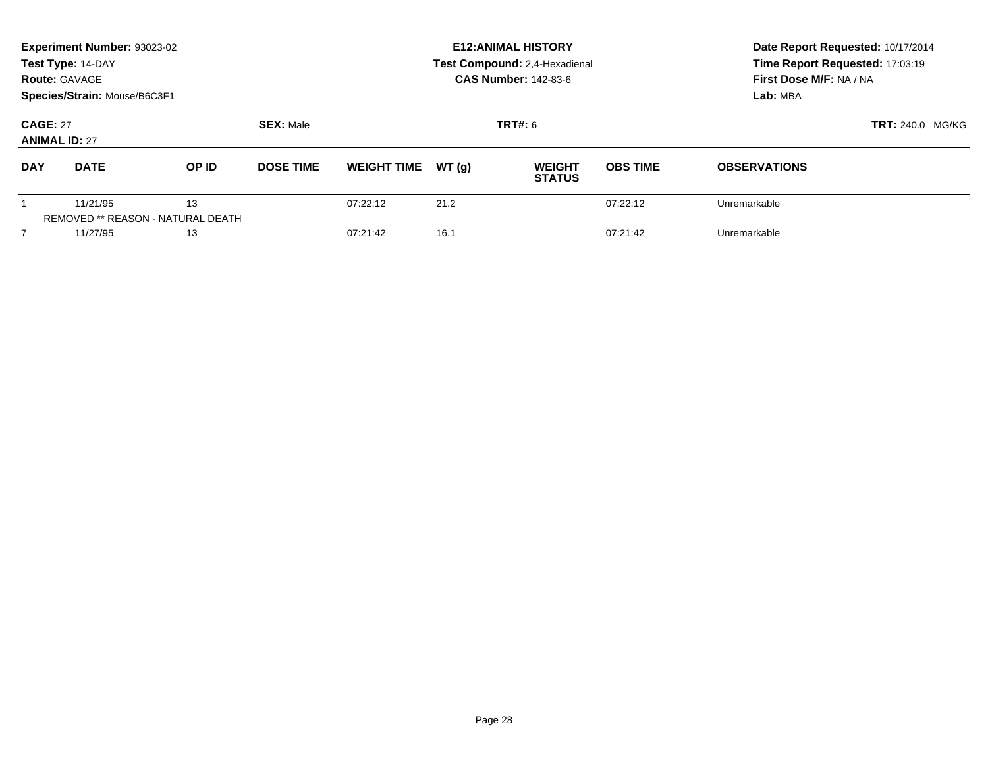|                                         | Experiment Number: 93023-02<br>Test Type: 14-DAY<br><b>Route: GAVAGE</b><br>Species/Strain: Mouse/B6C3F1 |                                                |                  | <b>E12: ANIMAL HISTORY</b><br>Test Compound: 2,4-Hexadienal<br><b>CAS Number: 142-83-6</b> | Date Report Requested: 10/17/2014<br>Time Report Requested: 17:03:19<br>First Dose M/F: NA / NA<br>Lab: MBA |                                |                 |                         |  |
|-----------------------------------------|----------------------------------------------------------------------------------------------------------|------------------------------------------------|------------------|--------------------------------------------------------------------------------------------|-------------------------------------------------------------------------------------------------------------|--------------------------------|-----------------|-------------------------|--|
| <b>CAGE: 27</b><br><b>ANIMAL ID: 27</b> |                                                                                                          |                                                | <b>SEX: Male</b> |                                                                                            |                                                                                                             | <b>TRT#: 6</b>                 |                 | <b>TRT: 240.0 MG/KG</b> |  |
| <b>DAY</b>                              | <b>DATE</b>                                                                                              | OP ID                                          | <b>DOSE TIME</b> | <b>WEIGHT TIME</b>                                                                         | WT(q)                                                                                                       | <b>WEIGHT</b><br><b>STATUS</b> | <b>OBS TIME</b> | <b>OBSERVATIONS</b>     |  |
|                                         | 11/21/95                                                                                                 | 13<br><b>REMOVED ** REASON - NATURAL DEATH</b> |                  | 07:22:12                                                                                   | 21.2                                                                                                        |                                | 07:22:12        | Unremarkable            |  |
|                                         | 11/27/95                                                                                                 | 13                                             |                  | 07:21:42                                                                                   | 16.1                                                                                                        |                                | 07:21:42        | Unremarkable            |  |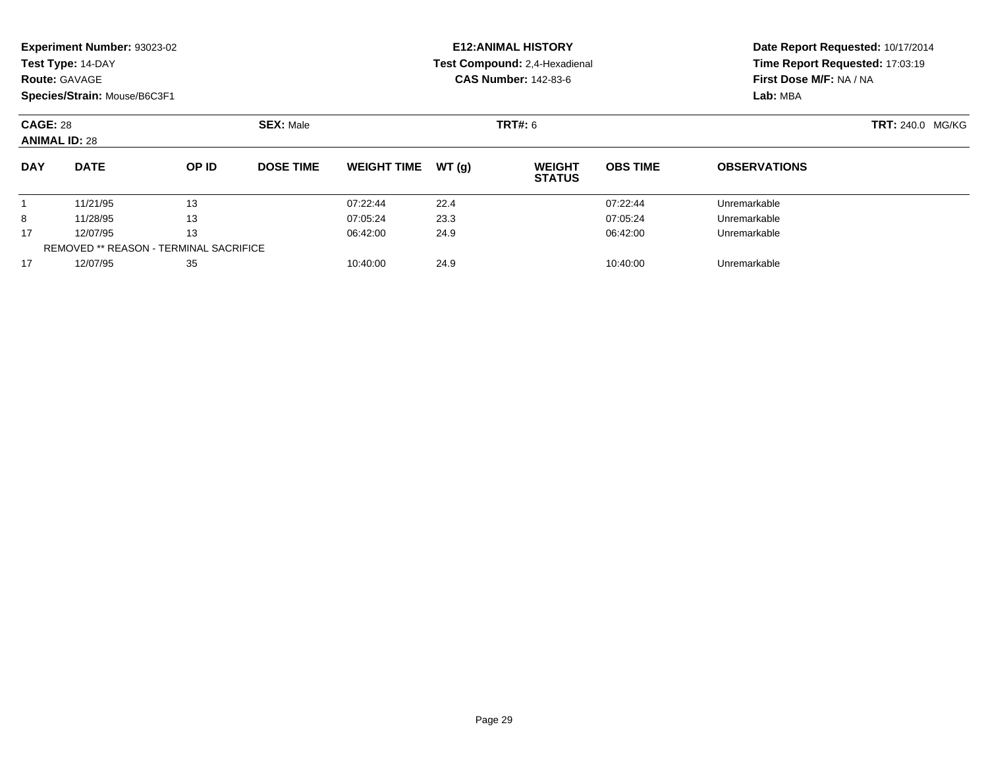|                 | Experiment Number: 93023-02  |                                               |                  |                              |       | <b>E12: ANIMAL HISTORY</b>     | Date Report Requested: 10/17/2014 |                                 |  |  |
|-----------------|------------------------------|-----------------------------------------------|------------------|------------------------------|-------|--------------------------------|-----------------------------------|---------------------------------|--|--|
|                 | Test Type: 14-DAY            |                                               |                  |                              |       | Test Compound: 2,4-Hexadienal  |                                   | Time Report Requested: 17:03:19 |  |  |
|                 | <b>Route: GAVAGE</b>         |                                               |                  |                              |       | <b>CAS Number: 142-83-6</b>    |                                   | First Dose M/F: NA / NA         |  |  |
|                 | Species/Strain: Mouse/B6C3F1 |                                               |                  |                              |       |                                |                                   | Lab: MBA                        |  |  |
| <b>CAGE: 28</b> |                              |                                               | <b>SEX: Male</b> |                              |       | TRT#: 6                        | <b>TRT: 240.0 MG/KG</b>           |                                 |  |  |
|                 | <b>ANIMAL ID: 28</b>         |                                               |                  |                              |       |                                |                                   |                                 |  |  |
| <b>DAY</b>      | <b>DATE</b>                  | OP ID                                         | <b>DOSE TIME</b> | <b>WEIGHT TIME</b>           | WT(q) | <b>WEIGHT</b><br><b>STATUS</b> | <b>OBS TIME</b>                   | <b>OBSERVATIONS</b>             |  |  |
|                 | 11/21/95                     | 13                                            |                  | 07:22:44                     | 22.4  |                                | 07:22:44                          | Unremarkable                    |  |  |
| 8               | 13<br>11/28/95               |                                               | 07:05:24         | 23.3                         |       | 07:05:24                       | Unremarkable                      |                                 |  |  |
| 17              | 13<br>12/07/95               |                                               |                  | 06:42:00<br>24.9<br>06:42:00 |       |                                | Unremarkable                      |                                 |  |  |
|                 |                              | <b>REMOVED ** REASON - TERMINAL SACRIFICE</b> |                  |                              |       |                                |                                   |                                 |  |  |

12/07/95 <sup>35</sup> 10:40:00 24.9 10:40:00 Unremarkable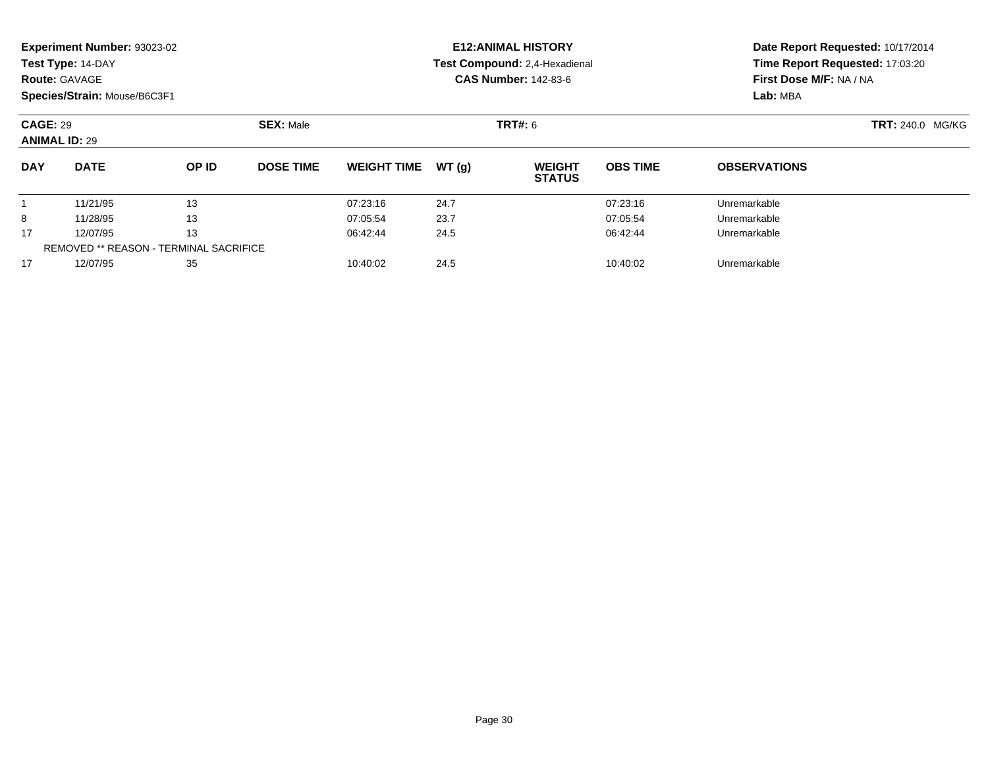|                                         | <b>Experiment Number: 93023-02</b>     |       |                  |                    |                         | <b>E12:ANIMAL HISTORY</b>      | Date Report Requested: 10/17/2014 |                                 |  |  |
|-----------------------------------------|----------------------------------------|-------|------------------|--------------------|-------------------------|--------------------------------|-----------------------------------|---------------------------------|--|--|
|                                         | Test Type: 14-DAY                      |       |                  |                    |                         | Test Compound: 2,4-Hexadienal  |                                   | Time Report Requested: 17:03:20 |  |  |
|                                         | <b>Route: GAVAGE</b>                   |       |                  |                    |                         | <b>CAS Number: 142-83-6</b>    | First Dose M/F: NA / NA           |                                 |  |  |
|                                         | Species/Strain: Mouse/B6C3F1           |       |                  |                    |                         |                                |                                   | Lab: MBA                        |  |  |
| <b>CAGE: 29</b><br><b>ANIMAL ID: 29</b> |                                        |       |                  | <b>TRT#: 6</b>     | <b>TRT: 240.0 MG/KG</b> |                                |                                   |                                 |  |  |
| <b>DAY</b>                              | <b>DATE</b>                            | OP ID | <b>DOSE TIME</b> | <b>WEIGHT TIME</b> | WT(q)                   | <b>WEIGHT</b><br><b>STATUS</b> | <b>OBS TIME</b>                   | <b>OBSERVATIONS</b>             |  |  |
|                                         | 11/21/95                               | 13    |                  | 07:23:16           | 24.7                    |                                | 07:23:16                          | Unremarkable                    |  |  |
| 8                                       | 11/28/95<br>13                         |       | 07:05:54         | 23.7               |                         | 07:05:54                       | Unremarkable                      |                                 |  |  |
| 17                                      | 13<br>12/07/95                         |       |                  | 06:42:44           | 24.5<br>06:42:44        |                                |                                   | Unremarkable                    |  |  |
|                                         | REMOVED ** REASON - TERMINAL SACRIFICE |       |                  |                    |                         |                                |                                   |                                 |  |  |

12/07/95 <sup>35</sup> 10:40:02 24.5 10:40:02 Unremarkable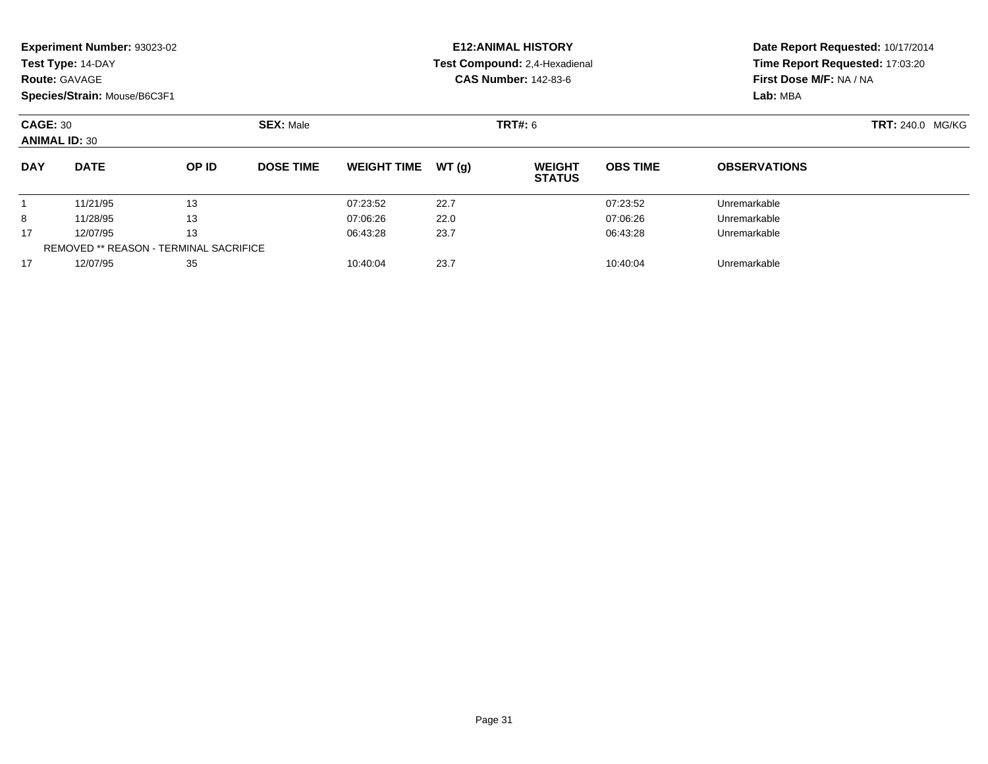|                                               | Experiment Number: 93023-02  |       |                  |                              |       | <b>E12: ANIMAL HISTORY</b>     | Date Report Requested: 10/17/2014 |                                 |  |  |
|-----------------------------------------------|------------------------------|-------|------------------|------------------------------|-------|--------------------------------|-----------------------------------|---------------------------------|--|--|
|                                               | Test Type: 14-DAY            |       |                  |                              |       | Test Compound: 2,4-Hexadienal  |                                   | Time Report Requested: 17:03:20 |  |  |
|                                               | <b>Route: GAVAGE</b>         |       |                  |                              |       | <b>CAS Number: 142-83-6</b>    | First Dose M/F: NA / NA           |                                 |  |  |
|                                               | Species/Strain: Mouse/B6C3F1 |       |                  |                              |       |                                |                                   | Lab: MBA                        |  |  |
| <b>CAGE: 30</b>                               |                              |       | <b>SEX: Male</b> |                              |       | TRT#: 6                        | <b>TRT: 240.0 MG/KG</b>           |                                 |  |  |
|                                               | <b>ANIMAL ID: 30</b>         |       |                  |                              |       |                                |                                   |                                 |  |  |
| <b>DAY</b>                                    | <b>DATE</b>                  | OP ID | <b>DOSE TIME</b> | <b>WEIGHT TIME</b>           | WT(q) | <b>WEIGHT</b><br><b>STATUS</b> | <b>OBS TIME</b>                   | <b>OBSERVATIONS</b>             |  |  |
|                                               | 11/21/95                     | 13    |                  | 07:23:52                     | 22.7  |                                | 07:23:52                          | Unremarkable                    |  |  |
| 8                                             | 13<br>11/28/95               |       | 07:06:26         | 22.0                         |       | 07:06:26                       | Unremarkable                      |                                 |  |  |
| 17                                            | 12/07/95<br>13               |       |                  | 23.7<br>06:43:28<br>06:43:28 |       |                                | Unremarkable                      |                                 |  |  |
| <b>REMOVED ** REASON - TERMINAL SACRIFICE</b> |                              |       |                  |                              |       |                                |                                   |                                 |  |  |

12/07/95 <sup>35</sup> 10:40:04 23.7 10:40:04 Unremarkable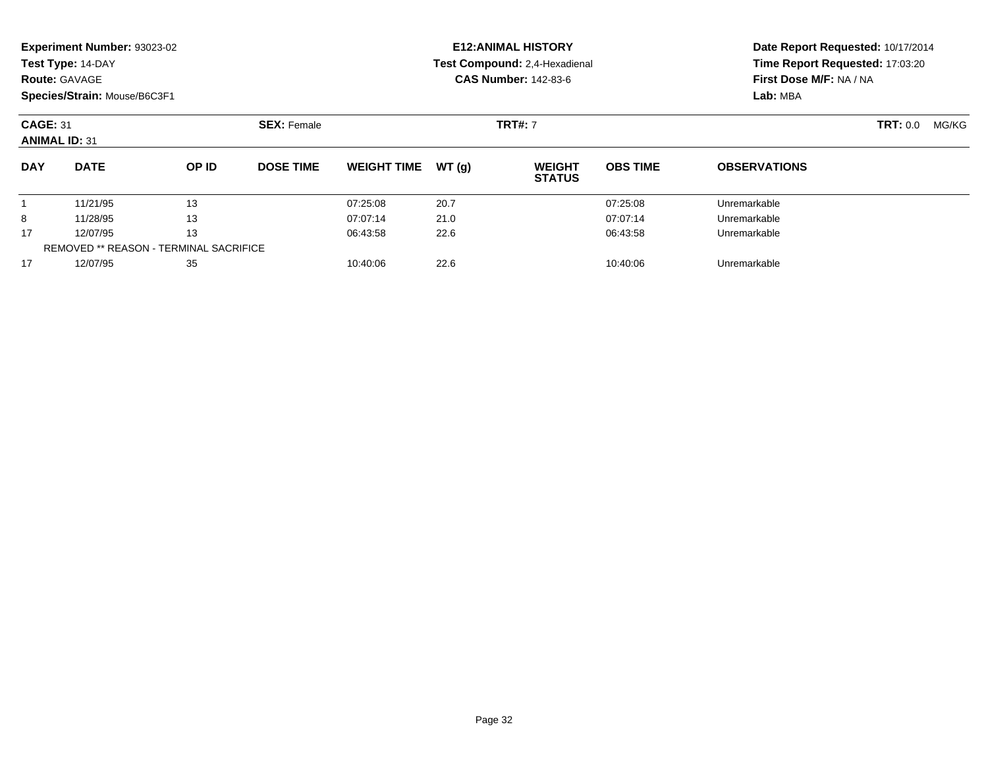|                                         | Experiment Number: 93023-02<br>Test Type: 14-DAY<br><b>Route: GAVAGE</b><br>Species/Strain: Mouse/B6C3F1 |       |                    |                    |       | <b>E12: ANIMAL HISTORY</b><br>Test Compound: 2,4-Hexadienal<br><b>CAS Number: 142-83-6</b> | Date Report Requested: 10/17/2014<br>Time Report Requested: 17:03:20<br>First Dose M/F: NA / NA<br>Lab: MBA |                     |  |
|-----------------------------------------|----------------------------------------------------------------------------------------------------------|-------|--------------------|--------------------|-------|--------------------------------------------------------------------------------------------|-------------------------------------------------------------------------------------------------------------|---------------------|--|
| <b>CAGE: 31</b><br><b>ANIMAL ID: 31</b> |                                                                                                          |       | <b>SEX: Female</b> |                    |       | <b>TRT#: 7</b>                                                                             | <b>TRT: 0.0</b>                                                                                             | MG/KG               |  |
| <b>DAY</b>                              | <b>DATE</b>                                                                                              | OP ID | <b>DOSE TIME</b>   | <b>WEIGHT TIME</b> | WT(g) | <b>WEIGHT</b><br><b>STATUS</b>                                                             | <b>OBS TIME</b>                                                                                             | <b>OBSERVATIONS</b> |  |
|                                         | 11/21/95                                                                                                 | 13    |                    | 07:25:08           | 20.7  |                                                                                            | 07:25:08                                                                                                    | Unremarkable        |  |
| 8                                       | 11/28/95                                                                                                 | 13    |                    | 07:07:14           | 21.0  |                                                                                            | 07:07:14                                                                                                    | Unremarkable        |  |
| 17                                      | 12/07/95                                                                                                 | 13    |                    | 06:43:58           | 22.6  |                                                                                            | 06:43:58                                                                                                    | Unremarkable        |  |
|                                         | REMOVED ** REASON - TERMINAL SACRIFICE                                                                   |       |                    |                    |       |                                                                                            |                                                                                                             |                     |  |
| 17                                      | 12/07/95                                                                                                 | 35    |                    | 10:40:06           | 22.6  |                                                                                            | 10:40:06                                                                                                    | Unremarkable        |  |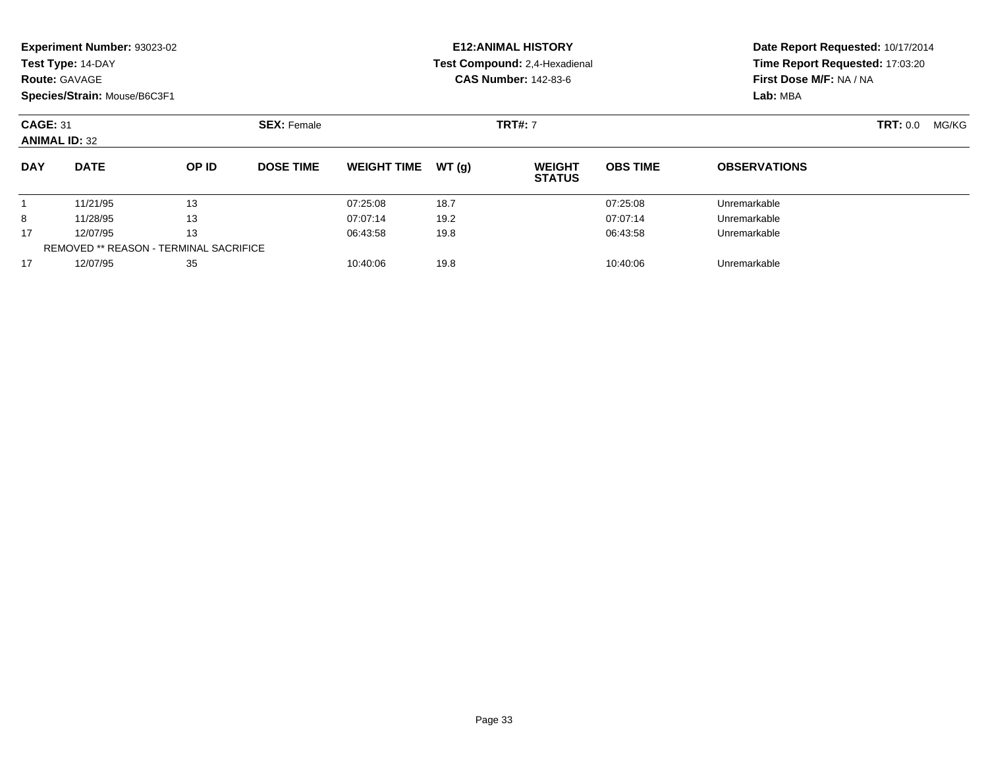|                                         | Experiment Number: 93023-02<br>Test Type: 14-DAY<br><b>Route: GAVAGE</b><br>Species/Strain: Mouse/B6C3F1 |       |                    |                    |       | <b>E12: ANIMAL HISTORY</b><br>Test Compound: 2,4-Hexadienal<br><b>CAS Number: 142-83-6</b> | Date Report Requested: 10/17/2014<br>Time Report Requested: 17:03:20<br>First Dose M/F: NA / NA<br>Lab: MBA |                          |  |
|-----------------------------------------|----------------------------------------------------------------------------------------------------------|-------|--------------------|--------------------|-------|--------------------------------------------------------------------------------------------|-------------------------------------------------------------------------------------------------------------|--------------------------|--|
| <b>CAGE: 31</b><br><b>ANIMAL ID: 32</b> |                                                                                                          |       | <b>SEX: Female</b> |                    |       | <b>TRT#: 7</b>                                                                             |                                                                                                             | <b>TRT:</b> 0.0<br>MG/KG |  |
| <b>DAY</b>                              | <b>DATE</b>                                                                                              | OP ID | <b>DOSE TIME</b>   | <b>WEIGHT TIME</b> | WT(g) | <b>WEIGHT</b><br><b>STATUS</b>                                                             | <b>OBS TIME</b>                                                                                             | <b>OBSERVATIONS</b>      |  |
|                                         | 11/21/95                                                                                                 | 13    |                    | 07:25:08           | 18.7  |                                                                                            | 07:25:08                                                                                                    | Unremarkable             |  |
| 8                                       | 11/28/95                                                                                                 | 13    |                    | 07:07:14           | 19.2  |                                                                                            | 07:07:14                                                                                                    | Unremarkable             |  |
| 17                                      | 12/07/95                                                                                                 | 13    |                    | 06:43:58           | 19.8  |                                                                                            | 06:43:58                                                                                                    | Unremarkable             |  |
|                                         | <b>REMOVED ** REASON - TERMINAL SACRIFICE</b>                                                            |       |                    |                    |       |                                                                                            |                                                                                                             |                          |  |
| 17                                      | 12/07/95<br>35                                                                                           |       |                    | 10:40:06           | 19.8  |                                                                                            | 10:40:06                                                                                                    | Unremarkable             |  |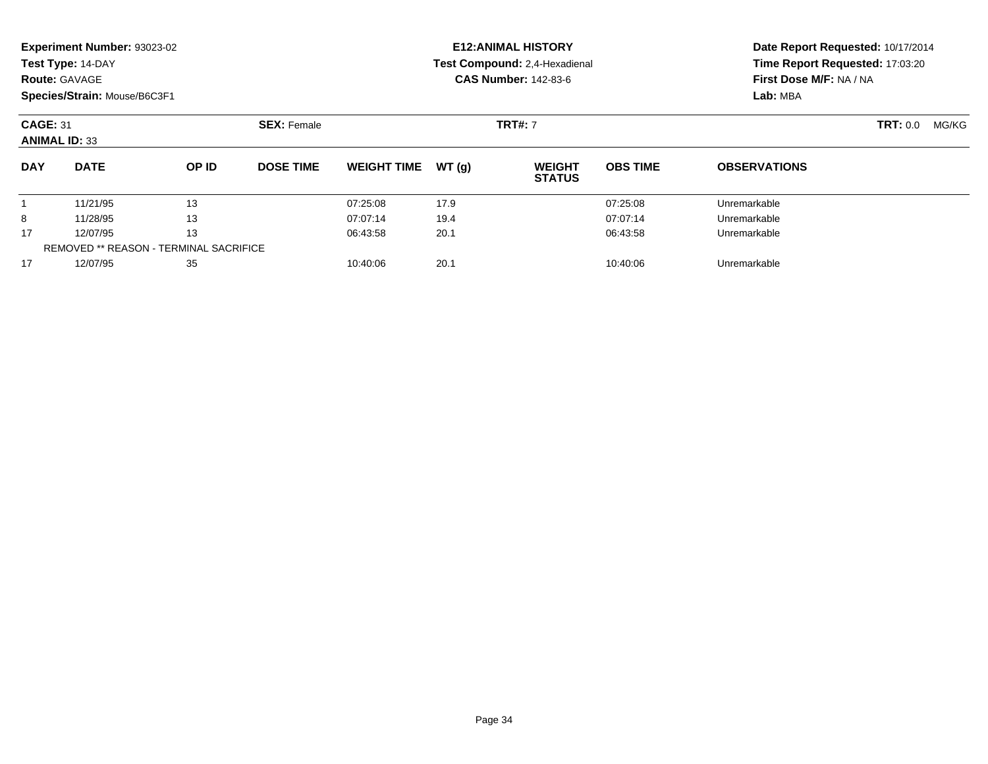|                 | Experiment Number: 93023-02<br>Test Type: 14-DAY<br><b>Route: GAVAGE</b><br>Species/Strain: Mouse/B6C3F1 |              |                    |                    |       | <b>E12: ANIMAL HISTORY</b><br>Test Compound: 2,4-Hexadienal<br><b>CAS Number: 142-83-6</b> | Date Report Requested: 10/17/2014<br>Time Report Requested: 17:03:20<br>First Dose M/F: NA / NA<br>Lab: MBA |                          |  |
|-----------------|----------------------------------------------------------------------------------------------------------|--------------|--------------------|--------------------|-------|--------------------------------------------------------------------------------------------|-------------------------------------------------------------------------------------------------------------|--------------------------|--|
| <b>CAGE: 31</b> | <b>ANIMAL ID: 33</b>                                                                                     |              | <b>SEX: Female</b> |                    |       | <b>TRT#: 7</b>                                                                             |                                                                                                             | <b>TRT: 0.0</b><br>MG/KG |  |
| <b>DAY</b>      | <b>DATE</b>                                                                                              | <b>OP ID</b> | <b>DOSE TIME</b>   | <b>WEIGHT TIME</b> | WT(q) | <b>WEIGHT</b><br><b>STATUS</b>                                                             | <b>OBS TIME</b>                                                                                             | <b>OBSERVATIONS</b>      |  |
|                 | 11/21/95                                                                                                 | 13           |                    | 07:25:08           | 17.9  |                                                                                            | 07:25:08                                                                                                    | Unremarkable             |  |
| 8               | 11/28/95                                                                                                 | 13           |                    | 07:07:14           | 19.4  |                                                                                            | 07:07:14                                                                                                    | Unremarkable             |  |
| 17              | 12/07/95                                                                                                 | 13           |                    | 06:43:58           | 20.1  |                                                                                            | 06:43:58                                                                                                    | Unremarkable             |  |
|                 | <b>REMOVED ** REASON - TERMINAL SACRIFICE</b>                                                            |              |                    |                    |       |                                                                                            |                                                                                                             |                          |  |
| 17              | 12/07/95                                                                                                 | 35           |                    | 10:40:06           | 20.1  |                                                                                            | 10:40:06                                                                                                    | Unremarkable             |  |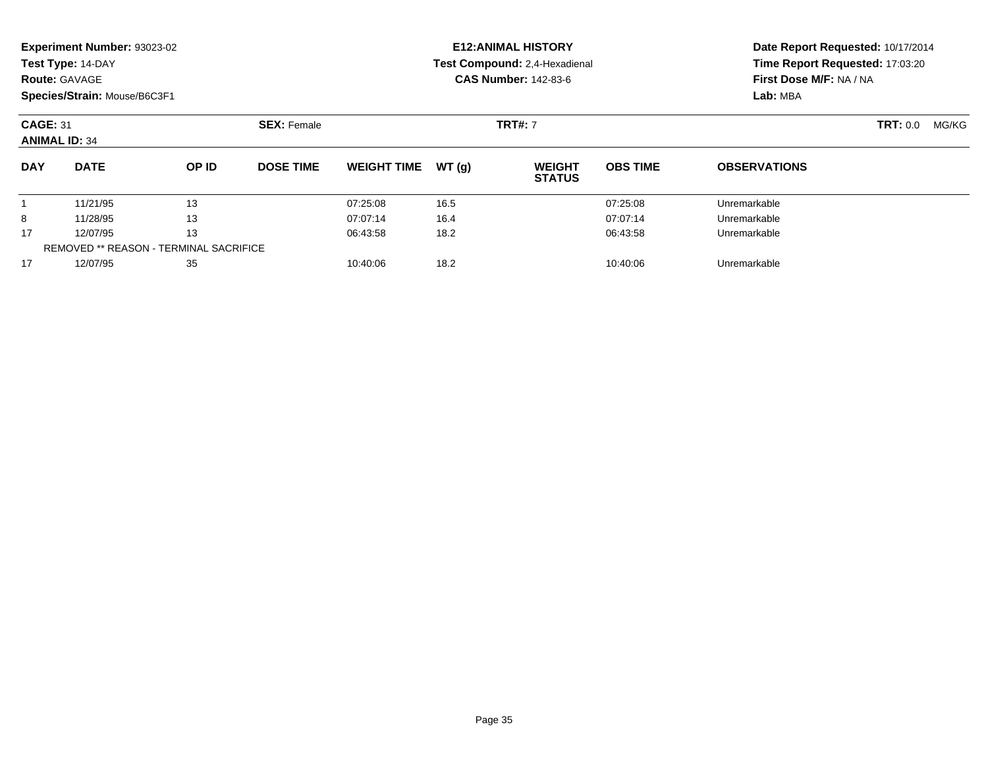| <b>Route: GAVAGE</b>                                                  | Experiment Number: 93023-02<br>Test Type: 14-DAY<br>Species/Strain: Mouse/B6C3F1 |          |                    |                    |          | <b>E12: ANIMAL HISTORY</b><br>Test Compound: 2,4-Hexadienal<br><b>CAS Number: 142-83-6</b> | Date Report Requested: 10/17/2014<br>Time Report Requested: 17:03:20<br>First Dose M/F: NA / NA<br>Lab: MBA |                     |                 |       |
|-----------------------------------------------------------------------|----------------------------------------------------------------------------------|----------|--------------------|--------------------|----------|--------------------------------------------------------------------------------------------|-------------------------------------------------------------------------------------------------------------|---------------------|-----------------|-------|
| <b>CAGE: 31</b><br><b>ANIMAL ID: 34</b>                               |                                                                                  |          | <b>SEX: Female</b> | <b>TRT#: 7</b>     |          |                                                                                            |                                                                                                             |                     | <b>TRT:</b> 0.0 | MG/KG |
| <b>DAY</b>                                                            | <b>DATE</b>                                                                      | OP ID    | <b>DOSE TIME</b>   | <b>WEIGHT TIME</b> | WT(q)    | <b>WEIGHT</b><br><b>STATUS</b>                                                             | <b>OBS TIME</b>                                                                                             | <b>OBSERVATIONS</b> |                 |       |
|                                                                       | 11/21/95                                                                         | 13       |                    | 07:25:08           | 16.5     |                                                                                            | 07:25:08                                                                                                    | Unremarkable        |                 |       |
| 8                                                                     | 11/28/95                                                                         | 13       |                    | 07:07:14           | 16.4     |                                                                                            | 07:07:14                                                                                                    | Unremarkable        |                 |       |
| 13<br>17<br>12/07/95<br><b>REMOVED ** REASON - TERMINAL SACRIFICE</b> |                                                                                  | 06:43:58 | 18.2               |                    | 06:43:58 | Unremarkable                                                                               |                                                                                                             |                     |                 |       |
| 17                                                                    | 12/07/95<br>35                                                                   |          |                    | 10:40:06           | 18.2     |                                                                                            | 10:40:06                                                                                                    | Unremarkable        |                 |       |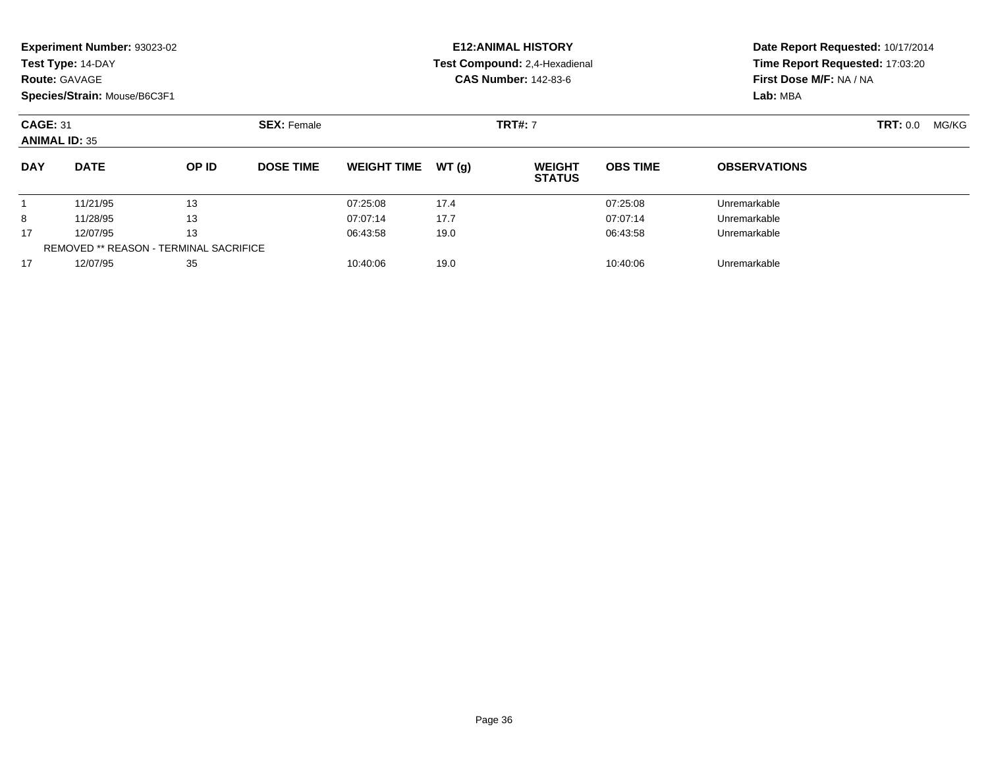|                                         | Experiment Number: 93023-02<br>Test Type: 14-DAY<br><b>Route: GAVAGE</b><br>Species/Strain: Mouse/B6C3F1 |       |                    |                    |                | <b>E12: ANIMAL HISTORY</b><br>Test Compound: 2,4-Hexadienal<br><b>CAS Number: 142-83-6</b> |                   | Date Report Requested: 10/17/2014<br>Time Report Requested: 17:03:20<br>First Dose M/F: NA / NA<br>Lab: MBA |  |  |
|-----------------------------------------|----------------------------------------------------------------------------------------------------------|-------|--------------------|--------------------|----------------|--------------------------------------------------------------------------------------------|-------------------|-------------------------------------------------------------------------------------------------------------|--|--|
| <b>CAGE: 31</b><br><b>ANIMAL ID: 35</b> |                                                                                                          |       | <b>SEX: Female</b> |                    | <b>TRT#: 7</b> |                                                                                            | TRT: 0.0<br>MG/KG |                                                                                                             |  |  |
| <b>DAY</b>                              | <b>DATE</b>                                                                                              | OP ID | <b>DOSE TIME</b>   | <b>WEIGHT TIME</b> | WT(g)          | <b>WEIGHT</b><br><b>STATUS</b>                                                             | <b>OBS TIME</b>   | <b>OBSERVATIONS</b>                                                                                         |  |  |
|                                         | 11/21/95                                                                                                 | 13    |                    | 07:25:08           | 17.4           |                                                                                            | 07:25:08          | Unremarkable                                                                                                |  |  |
| 8                                       | 11/28/95                                                                                                 | 13    |                    | 07:07:14           | 17.7           |                                                                                            | 07:07:14          | Unremarkable                                                                                                |  |  |
| 17                                      | 12/07/95                                                                                                 | 13    |                    | 06:43:58           | 19.0           |                                                                                            | 06:43:58          | Unremarkable                                                                                                |  |  |
|                                         | REMOVED ** REASON - TERMINAL SACRIFICE                                                                   |       |                    |                    |                |                                                                                            |                   |                                                                                                             |  |  |
| 17                                      | 12/07/95<br>35                                                                                           |       |                    | 10:40:06           | 19.0           |                                                                                            | 10:40:06          | Unremarkable                                                                                                |  |  |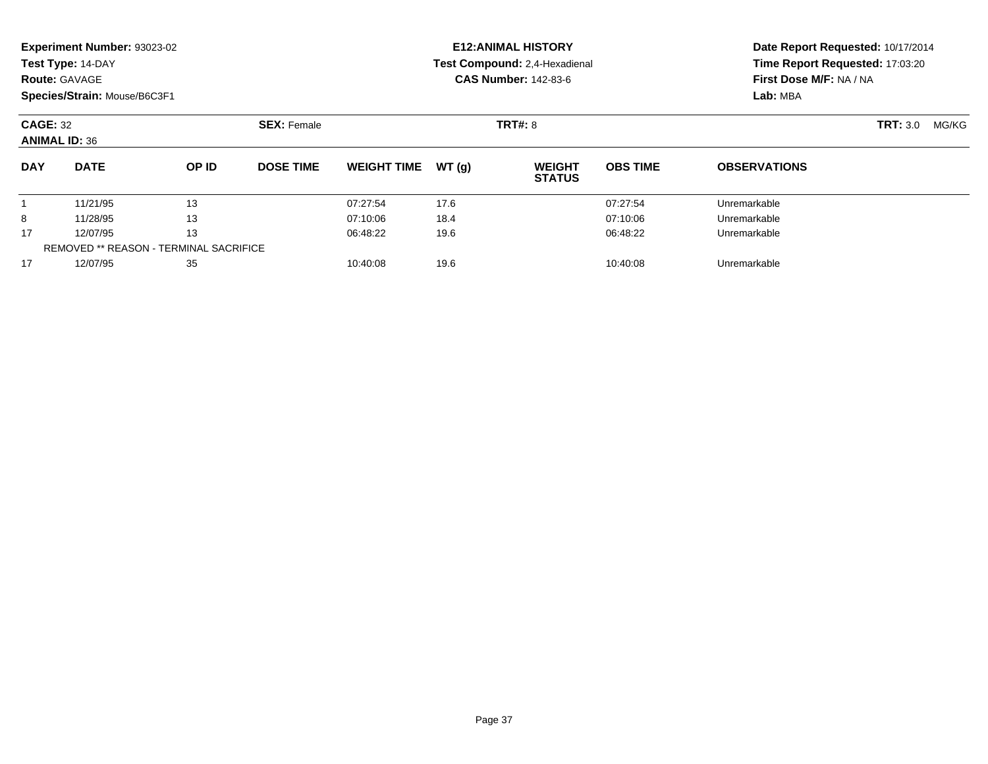|                 | <b>Experiment Number: 93023-02</b>            |       |                    |                    |       | <b>E12: ANIMAL HISTORY</b>     | Date Report Requested: 10/17/2014 |                                                                                                                                    |  |  |
|-----------------|-----------------------------------------------|-------|--------------------|--------------------|-------|--------------------------------|-----------------------------------|------------------------------------------------------------------------------------------------------------------------------------|--|--|
|                 | Test Type: 14-DAY                             |       |                    |                    |       | Test Compound: 2,4-Hexadienal  |                                   |                                                                                                                                    |  |  |
|                 | <b>Route: GAVAGE</b>                          |       |                    |                    |       | <b>CAS Number: 142-83-6</b>    |                                   | First Dose M/F: NA / NA                                                                                                            |  |  |
|                 | Species/Strain: Mouse/B6C3F1                  |       |                    |                    |       |                                |                                   | Lab: MBA                                                                                                                           |  |  |
| <b>CAGE: 32</b> | <b>ANIMAL ID: 36</b>                          |       | <b>SEX: Female</b> |                    |       | <b>TRT#: 8</b>                 |                                   | Time Report Requested: 17:03:20<br><b>TRT: 3.0</b><br>MG/KG<br><b>OBSERVATIONS</b><br>Unremarkable<br>Unremarkable<br>Unremarkable |  |  |
| <b>DAY</b>      | <b>DATE</b>                                   | OP ID | <b>DOSE TIME</b>   | <b>WEIGHT TIME</b> | WT(g) | <b>WEIGHT</b><br><b>STATUS</b> | <b>OBS TIME</b>                   |                                                                                                                                    |  |  |
|                 | 11/21/95                                      | 13    |                    | 07:27:54           | 17.6  |                                | 07:27:54                          |                                                                                                                                    |  |  |
| 8               | 11/28/95                                      | 13    |                    | 07:10:06           | 18.4  |                                | 07:10:06                          |                                                                                                                                    |  |  |
| 17              | 12/07/95                                      | 13    |                    | 06:48:22           | 19.6  |                                | 06:48:22                          |                                                                                                                                    |  |  |
|                 | <b>REMOVED ** REASON - TERMINAL SACRIFICE</b> |       |                    |                    |       |                                |                                   |                                                                                                                                    |  |  |
| 17              | 12/07/95                                      | 35    |                    | 10:40:08           | 19.6  |                                | 10:40:08                          | Unremarkable                                                                                                                       |  |  |

12/07/95 <sup>35</sup> 10:40:08 19.6 10:40:08 Unremarkable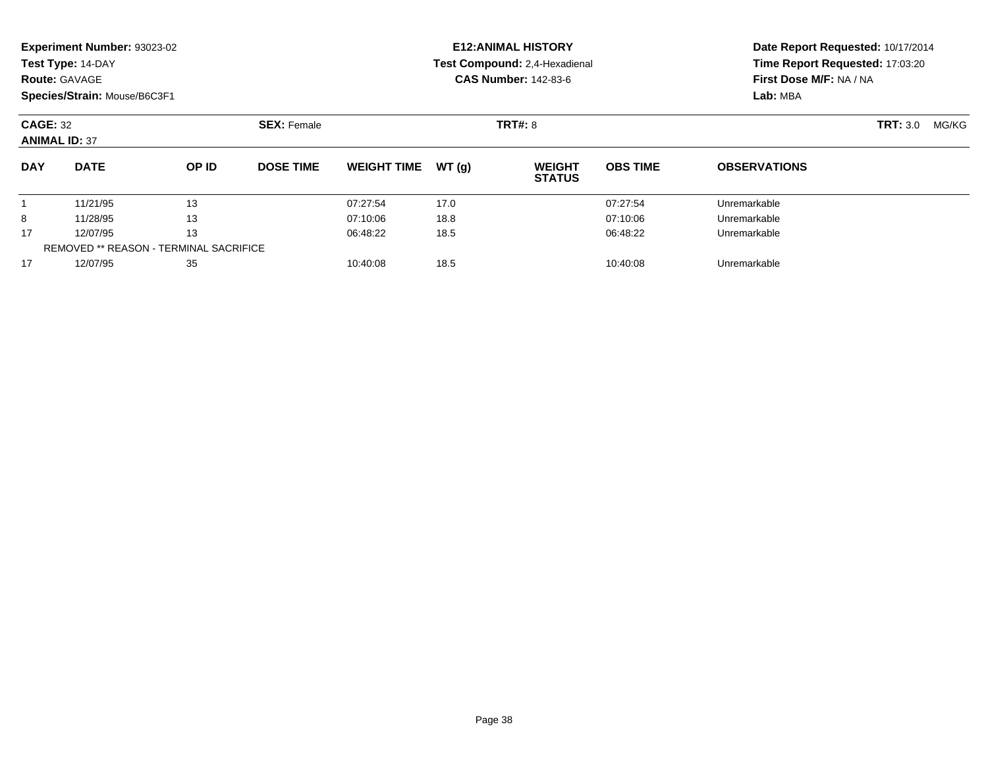|                                         | <b>Experiment Number: 93023-02</b> |                                               |                    |                    |       | <b>E12:ANIMAL HISTORY</b>      |                 | Date Report Requested: 10/17/2014 |                 |       |  |
|-----------------------------------------|------------------------------------|-----------------------------------------------|--------------------|--------------------|-------|--------------------------------|-----------------|-----------------------------------|-----------------|-------|--|
|                                         | Test Type: 14-DAY                  |                                               |                    |                    |       | Test Compound: 2,4-Hexadienal  |                 | Time Report Requested: 17:03:20   |                 |       |  |
|                                         | <b>Route: GAVAGE</b>               |                                               |                    |                    |       | <b>CAS Number: 142-83-6</b>    |                 | First Dose M/F: NA / NA           |                 |       |  |
|                                         | Species/Strain: Mouse/B6C3F1       |                                               |                    |                    |       |                                |                 | Lab: MBA                          |                 |       |  |
| <b>CAGE: 32</b><br><b>ANIMAL ID: 37</b> |                                    |                                               | <b>SEX: Female</b> |                    |       | TRT#: 8                        |                 |                                   | <b>TRT:</b> 3.0 | MG/KG |  |
| <b>DAY</b>                              | <b>DATE</b>                        | OP ID                                         | <b>DOSE TIME</b>   | <b>WEIGHT TIME</b> | WT(g) | <b>WEIGHT</b><br><b>STATUS</b> | <b>OBS TIME</b> | <b>OBSERVATIONS</b>               |                 |       |  |
|                                         | 11/21/95                           | 13                                            |                    | 07:27:54           | 17.0  |                                | 07:27:54        | Unremarkable                      |                 |       |  |
| 8                                       | 11/28/95                           | 13                                            |                    | 07:10:06           | 18.8  |                                | 07:10:06        | Unremarkable                      |                 |       |  |
| 17                                      | 12/07/95                           | 13                                            |                    | 06:48:22           | 18.5  |                                | 06:48:22        | Unremarkable                      |                 |       |  |
|                                         |                                    | <b>REMOVED ** REASON - TERMINAL SACRIFICE</b> |                    |                    |       |                                |                 |                                   |                 |       |  |
| 17                                      | 12/07/95                           | 35                                            |                    | 10:40:08           | 18.5  |                                | 10:40:08        | Unremarkable                      |                 |       |  |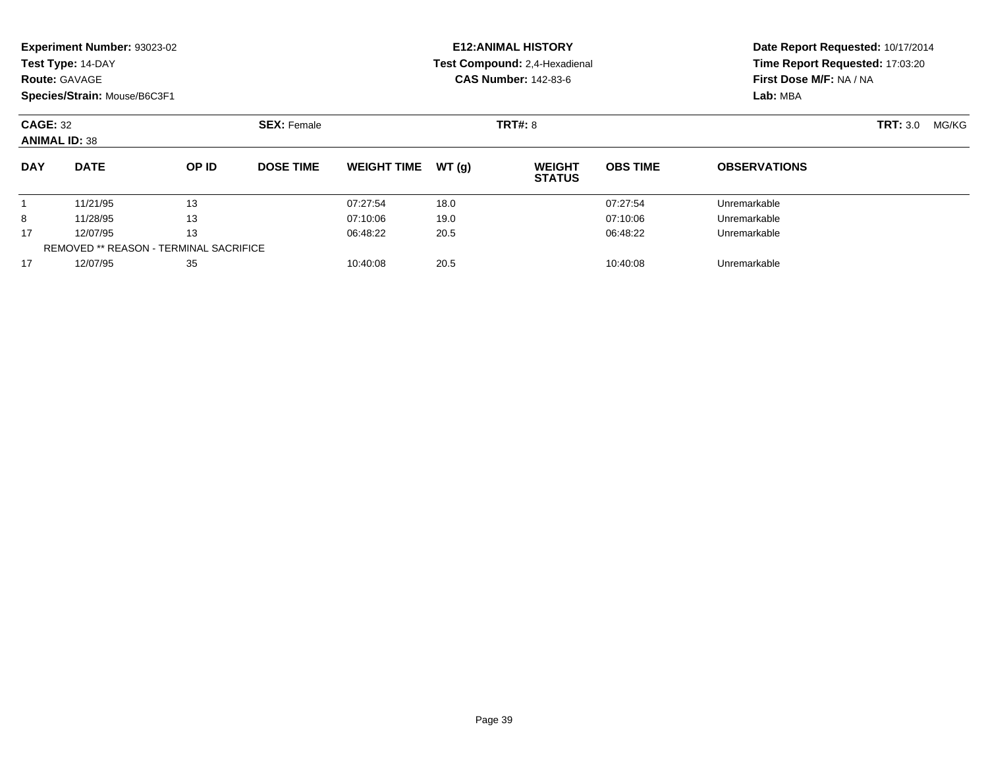|                 | Experiment Number: 93023-02                   |       |                    |                    |       | <b>E12: ANIMAL HISTORY</b>                 | Date Report Requested: 10/17/2014 |                                 |  |  |
|-----------------|-----------------------------------------------|-------|--------------------|--------------------|-------|--------------------------------------------|-----------------------------------|---------------------------------|--|--|
|                 | Test Type: 14-DAY                             |       |                    |                    |       | Test Compound: 2,4-Hexadienal              |                                   | Time Report Requested: 17:03:20 |  |  |
|                 | <b>Route: GAVAGE</b>                          |       |                    |                    |       | <b>CAS Number: 142-83-6</b>                |                                   | First Dose M/F: NA / NA         |  |  |
|                 | Species/Strain: Mouse/B6C3F1                  |       |                    |                    |       |                                            |                                   | Lab: MBA                        |  |  |
| <b>CAGE: 32</b> | <b>ANIMAL ID: 38</b>                          |       | <b>SEX: Female</b> |                    |       | <b>TRT#: 8</b><br><b>TRT:</b> 3.0<br>MG/KG |                                   |                                 |  |  |
| <b>DAY</b>      | <b>DATE</b>                                   | OP ID | <b>DOSE TIME</b>   | <b>WEIGHT TIME</b> | WT(q) | <b>WEIGHT</b><br><b>STATUS</b>             | <b>OBS TIME</b>                   | <b>OBSERVATIONS</b>             |  |  |
|                 | 11/21/95                                      | 13    |                    | 07:27:54           | 18.0  |                                            | 07:27:54                          | Unremarkable                    |  |  |
| 8               | 11/28/95                                      | 13    |                    | 07:10:06           | 19.0  |                                            | 07:10:06                          | Unremarkable                    |  |  |
| 17              | 12/07/95                                      | 13    |                    | 06:48:22           | 20.5  |                                            | 06:48:22                          | Unremarkable                    |  |  |
|                 | <b>REMOVED ** REASON - TERMINAL SACRIFICE</b> |       |                    |                    |       |                                            |                                   |                                 |  |  |
| 17              | 12/07/95                                      | 35    |                    | 10:40:08           | 20.5  |                                            | 10:40:08                          | Unremarkable                    |  |  |

12/07/95 <sup>35</sup> 10:40:08 20.5 10:40:08 Unremarkable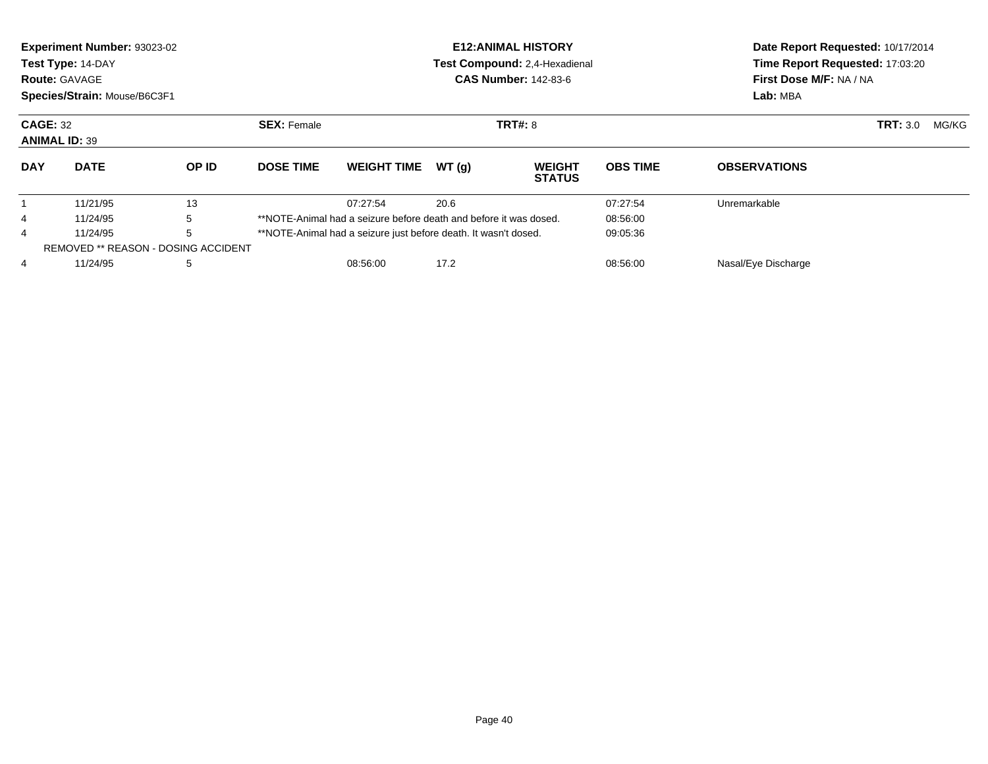|                | Experiment Number: 93023-02<br>Test Type: 14-DAY<br><b>Route: GAVAGE</b><br>Species/Strain: Mouse/B6C3F1 |       |                    |                                                                   |       | <b>E12: ANIMAL HISTORY</b><br>Test Compound: 2,4-Hexadienal<br><b>CAS Number: 142-83-6</b> | Date Report Requested: 10/17/2014<br>Time Report Requested: 17:03:20<br>First Dose M/F: NA / NA<br>Lab: MBA |                     |  |  |
|----------------|----------------------------------------------------------------------------------------------------------|-------|--------------------|-------------------------------------------------------------------|-------|--------------------------------------------------------------------------------------------|-------------------------------------------------------------------------------------------------------------|---------------------|--|--|
|                | <b>CAGE: 32</b><br><b>ANIMAL ID: 39</b>                                                                  |       | <b>SEX: Female</b> | <b>TRT#: 8</b>                                                    |       |                                                                                            |                                                                                                             | <b>TRT: 3.0</b>     |  |  |
| <b>DAY</b>     | <b>DATE</b>                                                                                              | OP ID | <b>DOSE TIME</b>   | <b>WEIGHT TIME</b>                                                | WT(q) | <b>WEIGHT</b><br><b>STATUS</b>                                                             | <b>OBS TIME</b>                                                                                             | <b>OBSERVATIONS</b> |  |  |
|                | 11/21/95                                                                                                 | 13    |                    | 07:27:54                                                          | 20.6  |                                                                                            | 07:27:54                                                                                                    | Unremarkable        |  |  |
| 4              | 11/24/95                                                                                                 | 5     |                    | **NOTE-Animal had a seizure before death and before it was dosed. |       |                                                                                            | 08:56:00                                                                                                    |                     |  |  |
| $\overline{4}$ | 5<br>11/24/95                                                                                            |       |                    | **NOTE-Animal had a seizure just before death. It wasn't dosed.   |       |                                                                                            | 09:05:36                                                                                                    |                     |  |  |
|                | <b>REMOVED ** REASON - DOSING ACCIDENT</b>                                                               |       |                    |                                                                   |       |                                                                                            |                                                                                                             |                     |  |  |
| 4              | 11/24/95<br>5                                                                                            |       |                    | 08:56:00                                                          | 17.2  |                                                                                            | 08:56:00                                                                                                    | Nasal/Eye Discharge |  |  |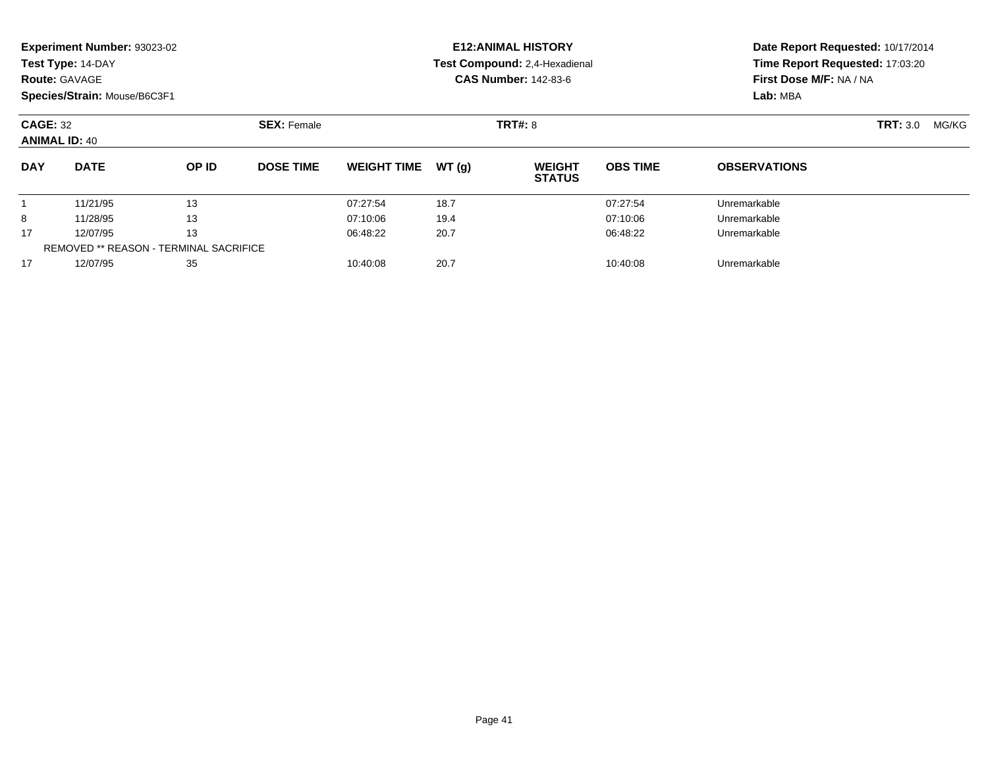|            | <b>Experiment Number: 93023-02</b>            |       |                    |                    |       | <b>E12:ANIMAL HISTORY</b>      |                 | Date Report Requested: 10/17/2014 |                          |  |
|------------|-----------------------------------------------|-------|--------------------|--------------------|-------|--------------------------------|-----------------|-----------------------------------|--------------------------|--|
|            | Test Type: 14-DAY                             |       |                    |                    |       | Test Compound: 2,4-Hexadienal  |                 | Time Report Requested: 17:03:20   |                          |  |
|            | <b>Route: GAVAGE</b>                          |       |                    |                    |       | <b>CAS Number: 142-83-6</b>    |                 | First Dose M/F: NA / NA           |                          |  |
|            | Species/Strain: Mouse/B6C3F1                  |       |                    |                    |       |                                |                 | Lab: MBA                          |                          |  |
|            | <b>CAGE: 32</b><br><b>ANIMAL ID: 40</b>       |       | <b>SEX: Female</b> | <b>TRT#: 8</b>     |       |                                |                 |                                   | <b>TRT: 3.0</b><br>MG/KG |  |
| <b>DAY</b> | <b>DATE</b>                                   | OP ID | <b>DOSE TIME</b>   | <b>WEIGHT TIME</b> | WT(g) | <b>WEIGHT</b><br><b>STATUS</b> | <b>OBS TIME</b> | <b>OBSERVATIONS</b>               |                          |  |
|            | 11/21/95                                      | 13    |                    | 07:27:54           | 18.7  |                                | 07:27:54        | Unremarkable                      |                          |  |
| 8          | 11/28/95                                      | 13    |                    | 07:10:06           | 19.4  |                                | 07:10:06        | Unremarkable                      |                          |  |
| 17         | 12/07/95                                      | 13    |                    | 06:48:22           | 20.7  |                                | 06:48:22        | Unremarkable                      |                          |  |
|            | <b>REMOVED ** REASON - TERMINAL SACRIFICE</b> |       |                    |                    |       |                                |                 |                                   |                          |  |
| 17         | 12/07/95                                      | 35    |                    | 10:40:08           | 20.7  |                                | 10:40:08        | Unremarkable                      |                          |  |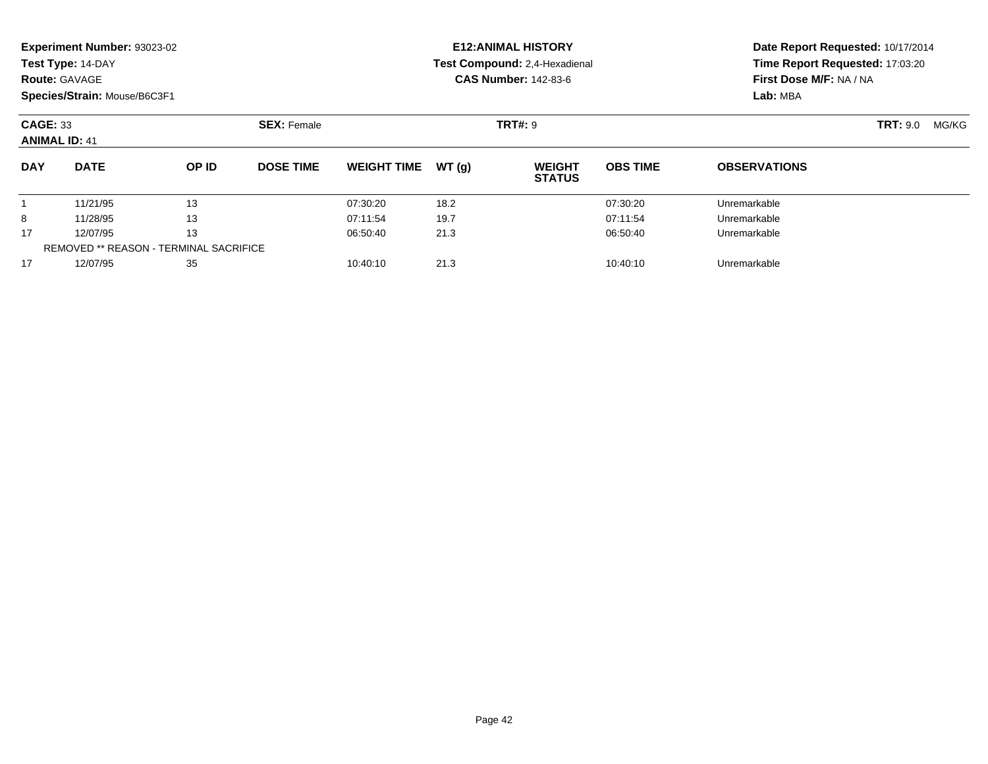|                                         | <b>Experiment Number: 93023-02</b><br>Test Type: 14-DAY<br><b>Route: GAVAGE</b><br>Species/Strain: Mouse/B6C3F1 |                                               |                    |                    |       | <b>E12: ANIMAL HISTORY</b><br>Test Compound: 2,4-Hexadienal<br><b>CAS Number: 142-83-6</b> |                 | Time Report Requested: 17:03:20<br>First Dose M/F: NA / NA<br>Lab: MBA | Date Report Requested: 10/17/2014 |
|-----------------------------------------|-----------------------------------------------------------------------------------------------------------------|-----------------------------------------------|--------------------|--------------------|-------|--------------------------------------------------------------------------------------------|-----------------|------------------------------------------------------------------------|-----------------------------------|
| <b>CAGE: 33</b><br><b>ANIMAL ID: 41</b> |                                                                                                                 |                                               | <b>SEX: Female</b> |                    |       | <b>TRT#: 9</b>                                                                             |                 |                                                                        | <b>TRT: 9.0</b><br>MG/KG          |
| <b>DAY</b>                              | <b>DATE</b>                                                                                                     | OP ID                                         | <b>DOSE TIME</b>   | <b>WEIGHT TIME</b> | WT(q) | <b>WEIGHT</b><br><b>STATUS</b>                                                             | <b>OBS TIME</b> | <b>OBSERVATIONS</b>                                                    |                                   |
|                                         | 11/21/95                                                                                                        | 13                                            |                    | 07:30:20           | 18.2  |                                                                                            | 07:30:20        | Unremarkable                                                           |                                   |
| 8                                       | 11/28/95                                                                                                        | 13                                            |                    | 07:11:54           | 19.7  |                                                                                            | 07:11:54        | Unremarkable                                                           |                                   |
| 17                                      | 12/07/95                                                                                                        | 13                                            |                    | 06:50:40           | 21.3  |                                                                                            | 06:50:40        | Unremarkable                                                           |                                   |
|                                         |                                                                                                                 | <b>REMOVED ** REASON - TERMINAL SACRIFICE</b> |                    |                    |       |                                                                                            |                 |                                                                        |                                   |
| 17                                      | 12/07/95                                                                                                        | 35                                            |                    | 10:40:10           | 21.3  |                                                                                            | 10:40:10        | Unremarkable                                                           |                                   |
|                                         |                                                                                                                 |                                               |                    |                    |       |                                                                                            |                 |                                                                        |                                   |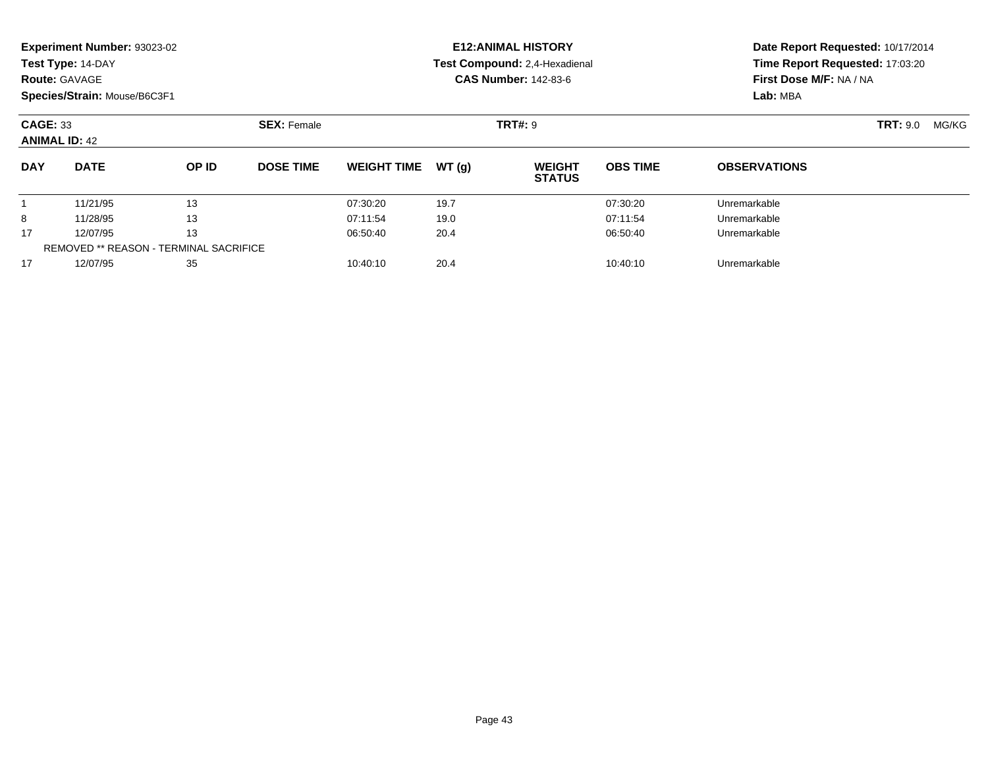|                                         | <b>Experiment Number: 93023-02</b> |                                               |                    |                    |       | <b>E12:ANIMAL HISTORY</b>      |                 | Date Report Requested: 10/17/2014 |                 |       |  |
|-----------------------------------------|------------------------------------|-----------------------------------------------|--------------------|--------------------|-------|--------------------------------|-----------------|-----------------------------------|-----------------|-------|--|
|                                         | Test Type: 14-DAY                  |                                               |                    |                    |       | Test Compound: 2,4-Hexadienal  |                 | Time Report Requested: 17:03:20   |                 |       |  |
|                                         | <b>Route: GAVAGE</b>               |                                               |                    |                    |       | <b>CAS Number: 142-83-6</b>    |                 | First Dose M/F: NA / NA           |                 |       |  |
|                                         | Species/Strain: Mouse/B6C3F1       |                                               |                    |                    |       |                                |                 | Lab: MBA                          |                 |       |  |
| <b>CAGE: 33</b><br><b>ANIMAL ID: 42</b> |                                    |                                               | <b>SEX: Female</b> |                    |       | <b>TRT#: 9</b>                 |                 |                                   | <b>TRT:</b> 9.0 | MG/KG |  |
| <b>DAY</b>                              | <b>DATE</b>                        | OP ID                                         | <b>DOSE TIME</b>   | <b>WEIGHT TIME</b> | WT(g) | <b>WEIGHT</b><br><b>STATUS</b> | <b>OBS TIME</b> | <b>OBSERVATIONS</b>               |                 |       |  |
|                                         | 11/21/95                           | 13                                            |                    | 07:30:20           | 19.7  |                                | 07:30:20        | Unremarkable                      |                 |       |  |
| 8                                       | 11/28/95                           | 13                                            |                    | 07:11:54           | 19.0  |                                | 07:11:54        | Unremarkable                      |                 |       |  |
| 17                                      | 12/07/95                           | 13                                            |                    | 06:50:40           | 20.4  |                                | 06:50:40        | Unremarkable                      |                 |       |  |
|                                         |                                    | <b>REMOVED ** REASON - TERMINAL SACRIFICE</b> |                    |                    |       |                                |                 |                                   |                 |       |  |
| 17                                      | 12/07/95                           | 35                                            |                    | 10:40:10           | 20.4  |                                | 10:40:10        | Unremarkable                      |                 |       |  |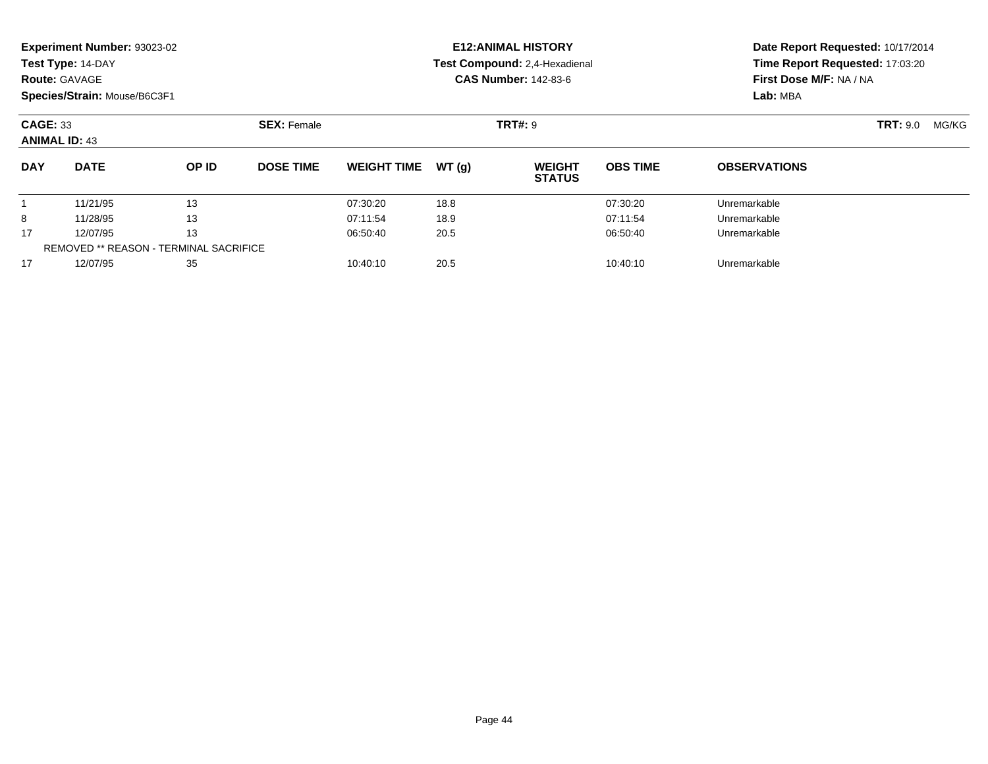|                 | <b>Experiment Number: 93023-02</b> |                                               |                    |                    |       | <b>E12: ANIMAL HISTORY</b>     | Date Report Requested: 10/17/2014 |                         |                          |  |
|-----------------|------------------------------------|-----------------------------------------------|--------------------|--------------------|-------|--------------------------------|-----------------------------------|-------------------------|--------------------------|--|
|                 | Test Type: 14-DAY                  |                                               |                    |                    |       | Test Compound: 2,4-Hexadienal  | Time Report Requested: 17:03:20   |                         |                          |  |
|                 | <b>Route: GAVAGE</b>               |                                               |                    |                    |       | <b>CAS Number: 142-83-6</b>    |                                   | First Dose M/F: NA / NA |                          |  |
|                 | Species/Strain: Mouse/B6C3F1       |                                               |                    |                    |       |                                |                                   | Lab: MBA                |                          |  |
| <b>CAGE: 33</b> | <b>ANIMAL ID: 43</b>               |                                               | <b>SEX: Female</b> |                    |       | <b>TRT#: 9</b>                 |                                   |                         | <b>TRT:</b> 9.0<br>MG/KG |  |
| <b>DAY</b>      | <b>DATE</b>                        | OP ID                                         | <b>DOSE TIME</b>   | <b>WEIGHT TIME</b> | WT(q) | <b>WEIGHT</b><br><b>STATUS</b> | <b>OBS TIME</b>                   | <b>OBSERVATIONS</b>     |                          |  |
|                 | 11/21/95                           | 13                                            |                    | 07:30:20           | 18.8  |                                | 07:30:20                          | Unremarkable            |                          |  |
| 8               | 11/28/95                           | 13                                            |                    | 07:11:54           | 18.9  |                                | 07:11:54                          | Unremarkable            |                          |  |
| 17              | 12/07/95                           | 13                                            |                    | 06:50:40           | 20.5  |                                | 06:50:40                          | Unremarkable            |                          |  |
|                 |                                    | <b>REMOVED ** REASON - TERMINAL SACRIFICE</b> |                    |                    |       |                                |                                   |                         |                          |  |
| 17              | 12/07/95                           | 35                                            |                    | 10:40:10           | 20.5  |                                | 10:40:10                          | Unremarkable            |                          |  |

12/07/95 <sup>35</sup> 10:40:10 20.5 10:40:10 Unremarkable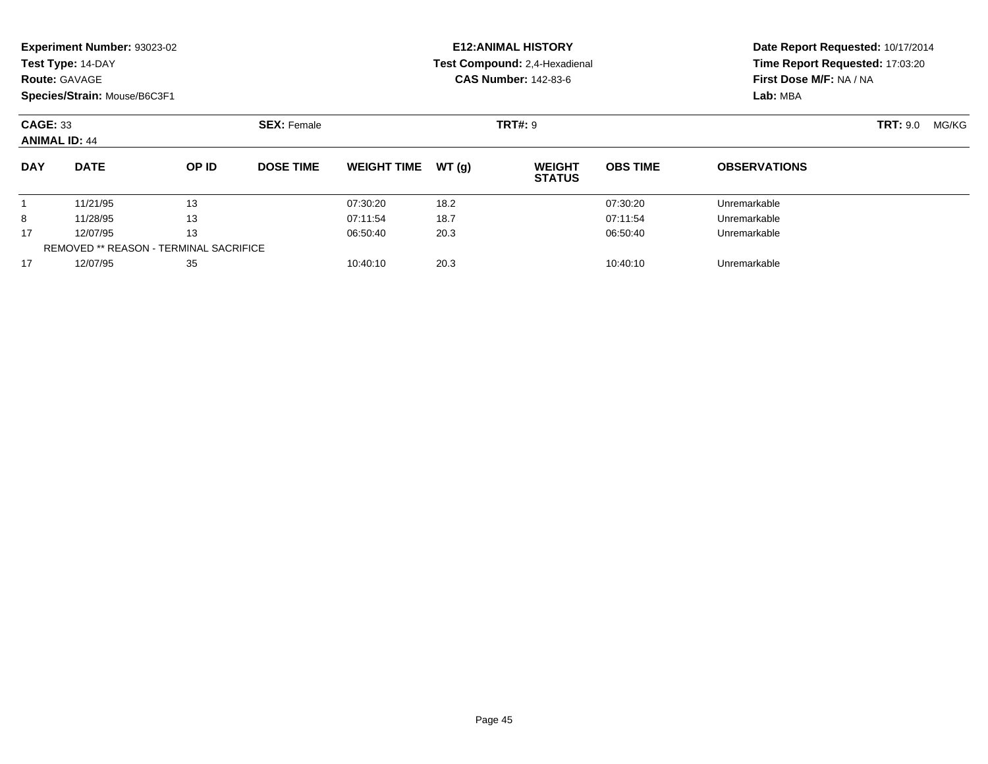|                                                                         | <b>Experiment Number: 93023-02</b><br>Test Type: 14-DAY |                                               |                  |                    |       | <b>E12:ANIMAL HISTORY</b>      | Date Report Requested: 10/17/2014 |                                 |  |  |
|-------------------------------------------------------------------------|---------------------------------------------------------|-----------------------------------------------|------------------|--------------------|-------|--------------------------------|-----------------------------------|---------------------------------|--|--|
|                                                                         |                                                         |                                               |                  |                    |       | Test Compound: 2,4-Hexadienal  |                                   | Time Report Requested: 17:03:20 |  |  |
|                                                                         | <b>Route: GAVAGE</b>                                    |                                               |                  |                    |       | <b>CAS Number: 142-83-6</b>    |                                   | First Dose M/F: NA / NA         |  |  |
|                                                                         |                                                         |                                               |                  |                    |       |                                |                                   | Lab: MBA                        |  |  |
| Species/Strain: Mouse/B6C3F1<br><b>CAGE: 33</b><br><b>ANIMAL ID: 44</b> | <b>SEX: Female</b>                                      |                                               |                  | <b>TRT#: 9</b>     |       |                                | <b>TRT: 9.0</b><br>MG/KG          |                                 |  |  |
| <b>DAY</b>                                                              | <b>DATE</b>                                             | OP ID                                         | <b>DOSE TIME</b> | <b>WEIGHT TIME</b> | WT(q) | <b>WEIGHT</b><br><b>STATUS</b> | <b>OBS TIME</b>                   | <b>OBSERVATIONS</b>             |  |  |
|                                                                         | 11/21/95                                                | 13                                            |                  | 07:30:20           | 18.2  |                                | 07:30:20                          | Unremarkable                    |  |  |
| 8                                                                       | 11/28/95                                                | 13                                            |                  | 07:11:54           | 18.7  |                                | 07:11:54                          | Unremarkable                    |  |  |
| 17                                                                      | 12/07/95                                                | 13                                            |                  | 06:50:40           | 20.3  |                                | 06:50:40                          | Unremarkable                    |  |  |
|                                                                         |                                                         | <b>REMOVED ** REASON - TERMINAL SACRIFICE</b> |                  |                    |       |                                |                                   |                                 |  |  |
| 17                                                                      | 12/07/95                                                | 35                                            |                  | 10:40:10           | 20.3  |                                | 10:40:10                          | Unremarkable                    |  |  |
|                                                                         |                                                         |                                               |                  |                    |       |                                |                                   |                                 |  |  |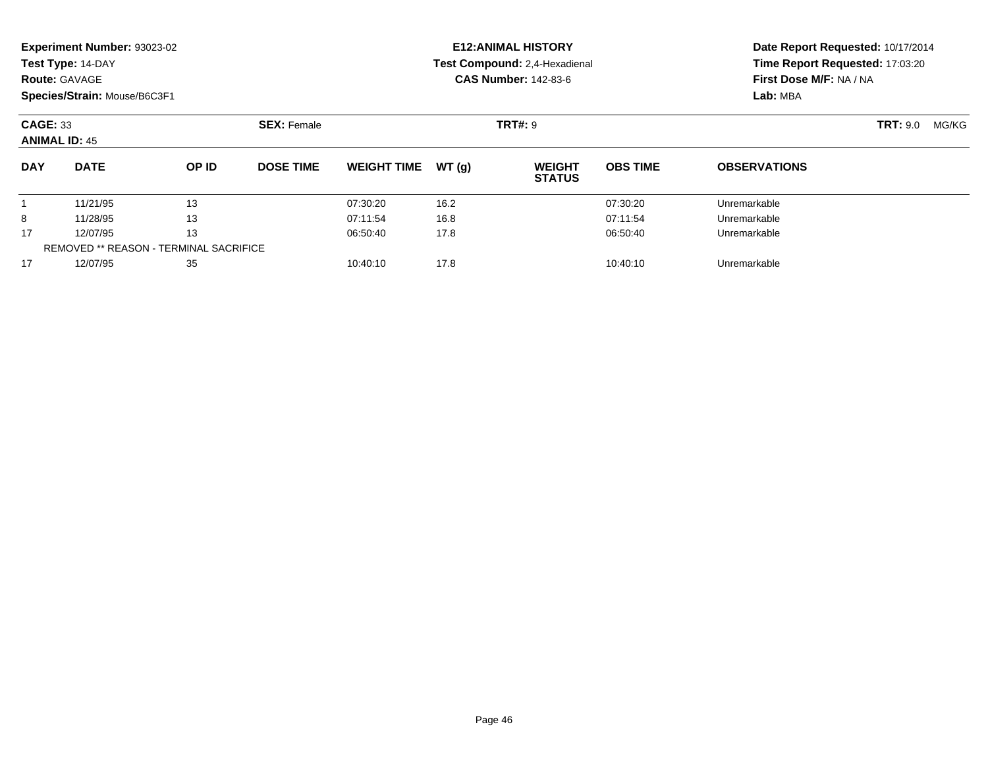|                 | Experiment Number: 93023-02                   |       |                    |                    |       | <b>E12: ANIMAL HISTORY</b>     | Date Report Requested: 10/17/2014 |                                 |                 |       |
|-----------------|-----------------------------------------------|-------|--------------------|--------------------|-------|--------------------------------|-----------------------------------|---------------------------------|-----------------|-------|
|                 | Test Type: 14-DAY                             |       |                    |                    |       | Test Compound: 2.4-Hexadienal  |                                   | Time Report Requested: 17:03:20 |                 |       |
|                 | <b>Route: GAVAGE</b>                          |       |                    |                    |       | <b>CAS Number: 142-83-6</b>    |                                   | First Dose M/F: NA / NA         |                 |       |
|                 | Species/Strain: Mouse/B6C3F1                  |       |                    |                    |       |                                |                                   | Lab: MBA                        |                 |       |
| <b>CAGE: 33</b> | <b>ANIMAL ID: 45</b>                          |       | <b>SEX: Female</b> |                    |       | <b>TRT#: 9</b>                 |                                   |                                 | <b>TRT:</b> 9.0 | MG/KG |
| <b>DAY</b>      | <b>DATE</b>                                   | OP ID | <b>DOSE TIME</b>   | <b>WEIGHT TIME</b> | WT(g) | <b>WEIGHT</b><br><b>STATUS</b> | <b>OBS TIME</b>                   | <b>OBSERVATIONS</b>             |                 |       |
|                 | 11/21/95                                      | 13    |                    | 07:30:20           | 16.2  |                                | 07:30:20                          | Unremarkable                    |                 |       |
| 8               | 11/28/95                                      | 13    |                    | 07:11:54           | 16.8  |                                | 07:11:54                          | Unremarkable                    |                 |       |
| 17              | 12/07/95                                      | 13    |                    | 06:50:40           | 17.8  |                                | 06:50:40                          | Unremarkable                    |                 |       |
|                 | <b>REMOVED ** REASON - TERMINAL SACRIFICE</b> |       |                    |                    |       |                                |                                   |                                 |                 |       |
| 17              | 12/07/95                                      | 35    |                    | 10:40:10           | 17.8  |                                | 10:40:10                          | Unremarkable                    |                 |       |

12/07/95 <sup>35</sup> 10:40:10 17.8 10:40:10 Unremarkable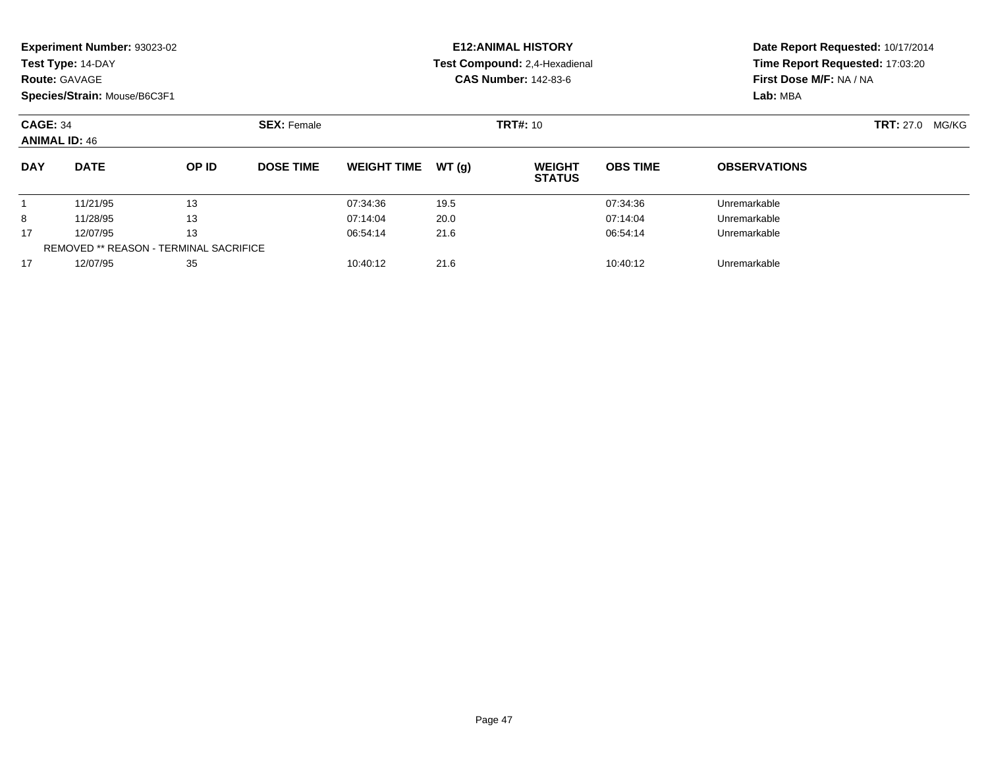|            | Experiment Number: 93023-02<br>Test Type: 14-DAY<br><b>Route: GAVAGE</b> |                                               |                    | <b>E12: ANIMAL HISTORY</b><br>Test Compound: 2,4-Hexadienal<br><b>CAS Number: 142-83-6</b> | Date Report Requested: 10/17/2014<br>Time Report Requested: 17:03:20<br>First Dose M/F: NA / NA |                                |                 |                     |                           |
|------------|--------------------------------------------------------------------------|-----------------------------------------------|--------------------|--------------------------------------------------------------------------------------------|-------------------------------------------------------------------------------------------------|--------------------------------|-----------------|---------------------|---------------------------|
|            | Species/Strain: Mouse/B6C3F1                                             |                                               |                    |                                                                                            |                                                                                                 |                                |                 | Lab: MBA            |                           |
|            | <b>CAGE: 34</b><br><b>ANIMAL ID: 46</b>                                  |                                               | <b>SEX: Female</b> | <b>TRT#: 10</b>                                                                            |                                                                                                 |                                |                 |                     | <b>TRT:</b> 27.0<br>MG/KG |
| <b>DAY</b> | <b>DATE</b>                                                              | OP ID                                         | <b>DOSE TIME</b>   | <b>WEIGHT TIME</b>                                                                         | WT(g)                                                                                           | <b>WEIGHT</b><br><b>STATUS</b> | <b>OBS TIME</b> | <b>OBSERVATIONS</b> |                           |
|            | 11/21/95                                                                 | 13                                            |                    | 07:34:36                                                                                   | 19.5                                                                                            |                                | 07:34:36        | Unremarkable        |                           |
| 8          | 11/28/95                                                                 | 13                                            |                    | 07:14:04                                                                                   | 20.0                                                                                            |                                | 07:14:04        | Unremarkable        |                           |
| 17         | 12/07/95                                                                 | 13                                            |                    | 06:54:14                                                                                   | 21.6                                                                                            |                                | 06:54:14        | Unremarkable        |                           |
|            |                                                                          | <b>REMOVED ** REASON - TERMINAL SACRIFICE</b> |                    |                                                                                            |                                                                                                 |                                |                 |                     |                           |
| 17         | 12/07/95                                                                 | 35                                            |                    | 10:40:12                                                                                   | 21.6                                                                                            |                                | 10:40:12        | Unremarkable        |                           |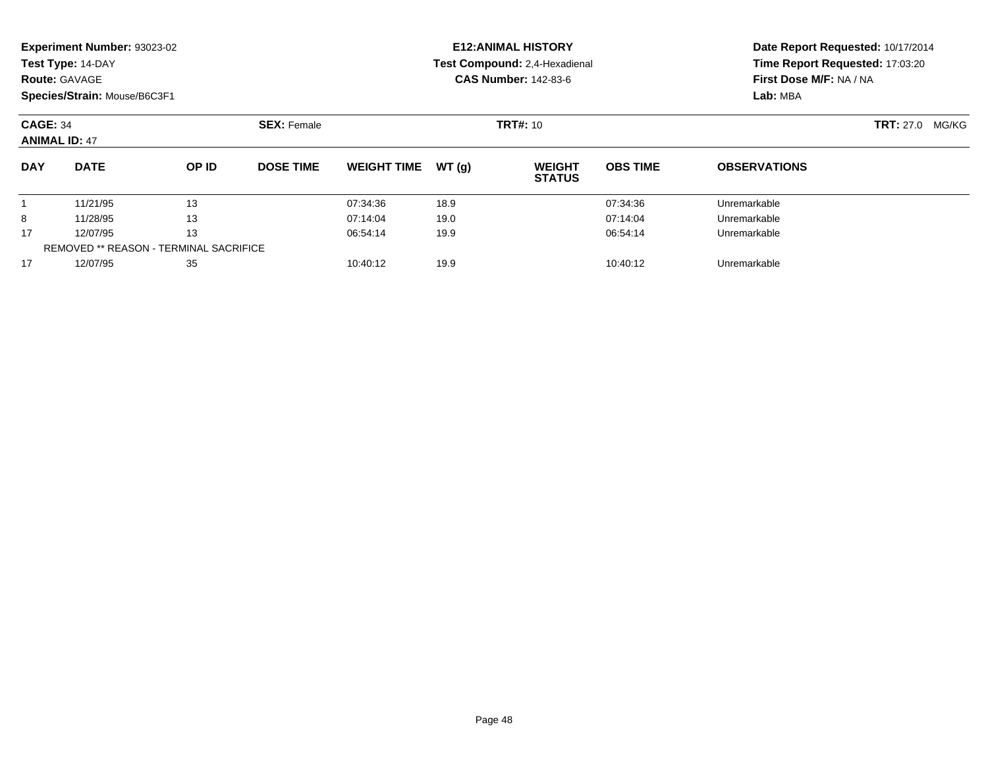|            | Experiment Number: 93023-02<br>Test Type: 14-DAY<br><b>Route: GAVAGE</b>                      |                                               |                  | <b>E12: ANIMAL HISTORY</b><br>Test Compound: 2,4-Hexadienal<br><b>CAS Number: 142-83-6</b> | Date Report Requested: 10/17/2014<br>Time Report Requested: 17:03:20<br>First Dose M/F: NA / NA<br>Lab: MBA |                                |                 |                           |  |
|------------|-----------------------------------------------------------------------------------------------|-----------------------------------------------|------------------|--------------------------------------------------------------------------------------------|-------------------------------------------------------------------------------------------------------------|--------------------------------|-----------------|---------------------------|--|
|            | Species/Strain: Mouse/B6C3F1<br><b>SEX: Female</b><br><b>CAGE: 34</b><br><b>ANIMAL ID: 47</b> |                                               |                  |                                                                                            |                                                                                                             | <b>TRT#: 10</b>                |                 | <b>TRT:</b> 27.0<br>MG/KG |  |
| <b>DAY</b> | <b>DATE</b>                                                                                   | OP ID                                         | <b>DOSE TIME</b> | <b>WEIGHT TIME</b>                                                                         | WT(g)                                                                                                       | <b>WEIGHT</b><br><b>STATUS</b> | <b>OBS TIME</b> | <b>OBSERVATIONS</b>       |  |
|            | 11/21/95                                                                                      | 13                                            |                  | 07:34:36                                                                                   | 18.9                                                                                                        |                                | 07:34:36        | Unremarkable              |  |
| 8          | 11/28/95                                                                                      | 13                                            |                  | 07:14:04                                                                                   | 19.0                                                                                                        |                                | 07:14:04        | Unremarkable              |  |
| 17         | 12/07/95                                                                                      | 13                                            |                  | 06:54:14                                                                                   | 19.9                                                                                                        |                                | 06:54:14        | Unremarkable              |  |
|            |                                                                                               | <b>REMOVED ** REASON - TERMINAL SACRIFICE</b> |                  |                                                                                            |                                                                                                             |                                |                 |                           |  |
| 17         | 12/07/95                                                                                      | 35                                            |                  | 10:40:12                                                                                   | 19.9                                                                                                        |                                | 10:40:12        | Unremarkable              |  |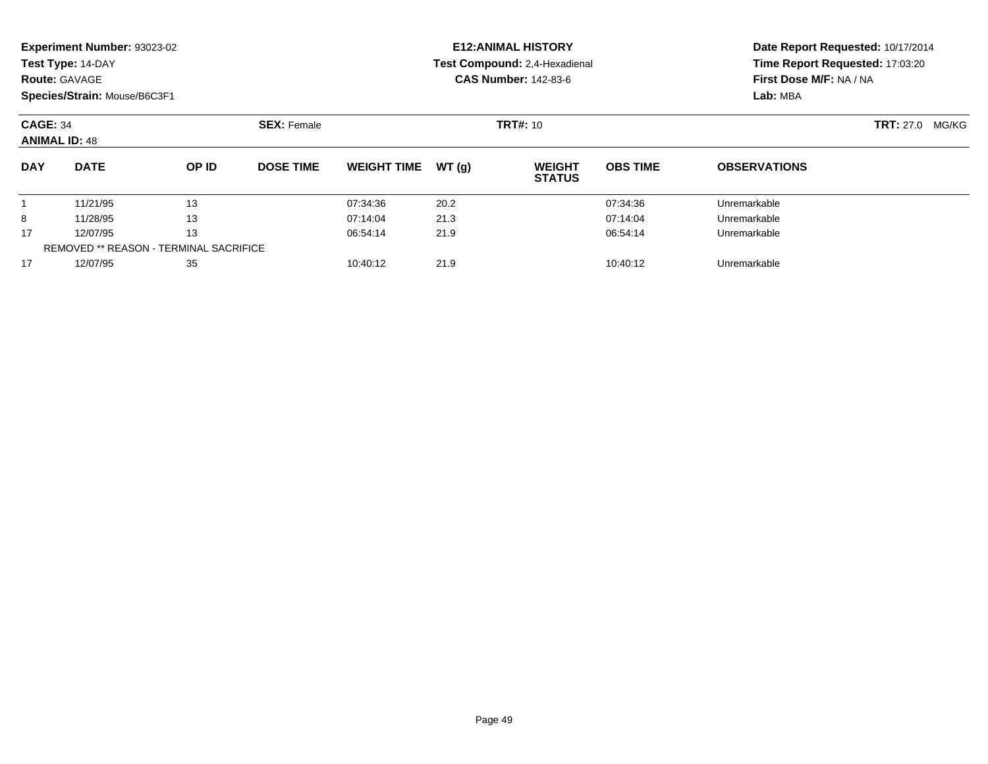|            | <b>Experiment Number: 93023-02</b>                            |                                        |                  |                    |       | <b>E12:ANIMAL HISTORY</b>      | Date Report Requested: 10/17/2014 |                                 |  |  |
|------------|---------------------------------------------------------------|----------------------------------------|------------------|--------------------|-------|--------------------------------|-----------------------------------|---------------------------------|--|--|
|            | Test Type: 14-DAY                                             |                                        |                  |                    |       | Test Compound: 2,4-Hexadienal  |                                   | Time Report Requested: 17:03:20 |  |  |
|            | <b>Route: GAVAGE</b>                                          |                                        |                  |                    |       | <b>CAS Number: 142-83-6</b>    |                                   | First Dose M/F: NA / NA         |  |  |
|            | Species/Strain: Mouse/B6C3F1                                  |                                        |                  |                    |       |                                |                                   | Lab: MBA                        |  |  |
|            | <b>CAGE: 34</b><br><b>SEX: Female</b><br><b>ANIMAL ID: 48</b> |                                        |                  |                    |       | <b>TRT#: 10</b>                |                                   | <b>TRT: 27.0</b><br>MG/KG       |  |  |
| <b>DAY</b> | <b>DATE</b>                                                   | OP ID                                  | <b>DOSE TIME</b> | <b>WEIGHT TIME</b> | WT(g) | <b>WEIGHT</b><br><b>STATUS</b> | <b>OBS TIME</b>                   | <b>OBSERVATIONS</b>             |  |  |
|            | 11/21/95                                                      | 13                                     |                  | 07:34:36           | 20.2  |                                | 07:34:36                          | Unremarkable                    |  |  |
| 8          | 11/28/95                                                      | 13                                     |                  | 07:14:04           | 21.3  |                                | 07:14:04                          | Unremarkable                    |  |  |
| 17         | 12/07/95                                                      | 13                                     |                  | 06:54:14           | 21.9  |                                | 06:54:14                          | Unremarkable                    |  |  |
|            |                                                               | REMOVED ** REASON - TERMINAL SACRIFICE |                  |                    |       |                                |                                   |                                 |  |  |
| 17         | 12/07/95                                                      | 35                                     |                  | 10:40:12           | 21.9  |                                | 10:40:12                          | Unremarkable                    |  |  |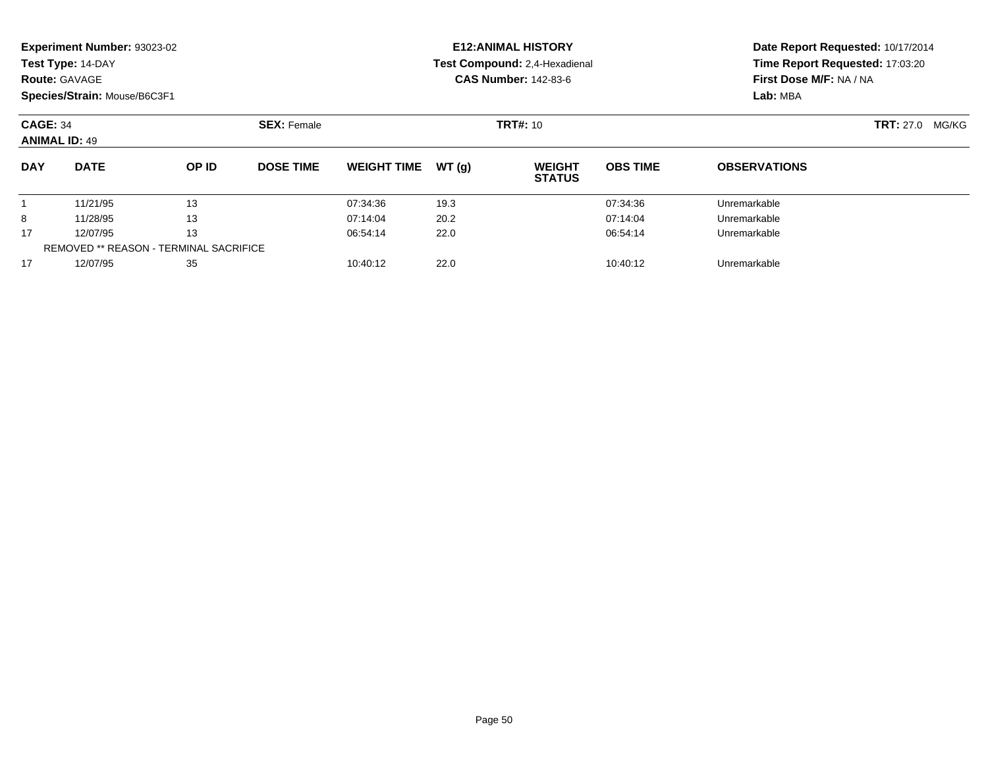|                                         | Experiment Number: 93023-02<br>Test Type: 14-DAY<br><b>Route: GAVAGE</b><br>Species/Strain: Mouse/B6C3F1 |       |                  |                              |       | <b>E12: ANIMAL HISTORY</b><br>Test Compound: 2,4-Hexadienal<br><b>CAS Number: 142-83-6</b> | Date Report Requested: 10/17/2014<br>Time Report Requested: 17:03:20<br>First Dose M/F: NA / NA<br>Lab: MBA |                     |  |
|-----------------------------------------|----------------------------------------------------------------------------------------------------------|-------|------------------|------------------------------|-------|--------------------------------------------------------------------------------------------|-------------------------------------------------------------------------------------------------------------|---------------------|--|
| <b>CAGE: 34</b><br><b>ANIMAL ID: 49</b> |                                                                                                          |       |                  | <b>TRT#: 10</b>              |       | <b>TRT: 27.0</b><br>MG/KG                                                                  |                                                                                                             |                     |  |
| <b>DAY</b>                              | <b>DATE</b>                                                                                              | OP ID | <b>DOSE TIME</b> | <b>WEIGHT TIME</b>           | WT(g) | <b>WEIGHT</b><br><b>STATUS</b>                                                             | <b>OBS TIME</b>                                                                                             | <b>OBSERVATIONS</b> |  |
|                                         | 11/21/95                                                                                                 | 13    |                  | 07:34:36                     | 19.3  |                                                                                            | 07:34:36                                                                                                    | Unremarkable        |  |
| 8                                       | 11/28/95                                                                                                 | 13    |                  | 07:14:04                     | 20.2  |                                                                                            | 07:14:04                                                                                                    | Unremarkable        |  |
| 17                                      | 13<br>12/07/95                                                                                           |       |                  | 06:54:14                     | 22.0  |                                                                                            | 06:54:14                                                                                                    | Unremarkable        |  |
|                                         | <b>REMOVED ** REASON - TERMINAL SACRIFICE</b>                                                            |       |                  |                              |       |                                                                                            |                                                                                                             |                     |  |
| 17                                      | 35<br>12/07/95                                                                                           |       |                  | 22.0<br>10:40:12<br>10:40:12 |       |                                                                                            |                                                                                                             | Unremarkable        |  |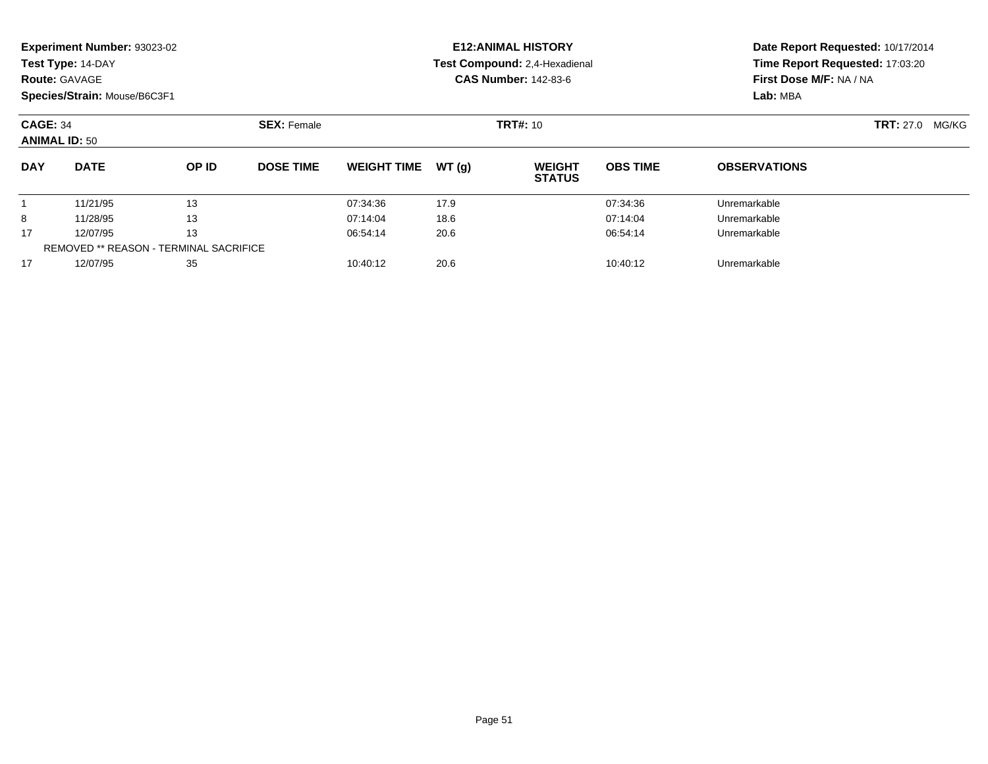|                      | <b>Experiment Number: 93023-02</b><br>Test Type: 14-DAY<br><b>Route: GAVAGE</b><br>Species/Strain: Mouse/B6C3F1 |       |                              |                    |       | <b>E12: ANIMAL HISTORY</b><br>Test Compound: 2,4-Hexadienal<br><b>CAS Number: 142-83-6</b> | Date Report Requested: 10/17/2014<br>Time Report Requested: 17:03:20<br>First Dose M/F: NA / NA<br>Lab: MBA |                           |  |
|----------------------|-----------------------------------------------------------------------------------------------------------------|-------|------------------------------|--------------------|-------|--------------------------------------------------------------------------------------------|-------------------------------------------------------------------------------------------------------------|---------------------------|--|
|                      | <b>SEX: Female</b><br><b>CAGE: 34</b><br><b>ANIMAL ID: 50</b>                                                   |       |                              |                    |       | <b>TRT#: 10</b>                                                                            |                                                                                                             | <b>TRT:</b> 27.0<br>MG/KG |  |
| <b>DAY</b>           | <b>DATE</b>                                                                                                     | OP ID | <b>DOSE TIME</b>             | <b>WEIGHT TIME</b> | WT(g) | <b>WEIGHT</b><br><b>STATUS</b>                                                             | <b>OBS TIME</b>                                                                                             | <b>OBSERVATIONS</b>       |  |
|                      | 11/21/95                                                                                                        | 13    |                              | 07:34:36           | 17.9  |                                                                                            | 07:34:36                                                                                                    | Unremarkable              |  |
| 8                    | 11/28/95                                                                                                        | 13    |                              | 07:14:04           | 18.6  |                                                                                            | 07:14:04                                                                                                    | Unremarkable              |  |
| 17                   | 13<br>12/07/95<br><b>REMOVED ** REASON - TERMINAL SACRIFICE</b>                                                 |       |                              | 06:54:14           | 20.6  |                                                                                            | 06:54:14                                                                                                    | Unremarkable              |  |
| 35<br>17<br>12/07/95 |                                                                                                                 |       | 20.6<br>10:40:12<br>10:40:12 |                    |       |                                                                                            | Unremarkable                                                                                                |                           |  |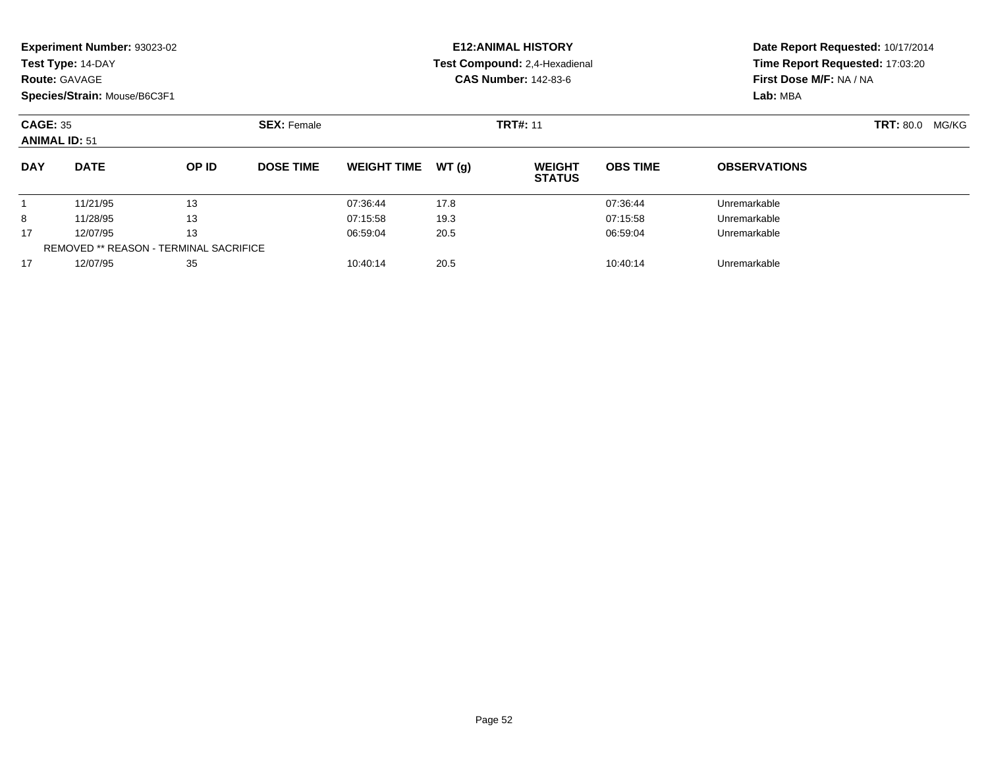|                      | <b>Experiment Number: 93023-02</b><br>Test Type: 14-DAY<br><b>Route: GAVAGE</b><br>Species/Strain: Mouse/B6C3F1 |       |                              |                    |       | <b>E12: ANIMAL HISTORY</b><br>Test Compound: 2,4-Hexadienal<br><b>CAS Number: 142-83-6</b> | Date Report Requested: 10/17/2014<br>Time Report Requested: 17:03:20<br>First Dose M/F: NA / NA<br>Lab: MBA |                           |  |
|----------------------|-----------------------------------------------------------------------------------------------------------------|-------|------------------------------|--------------------|-------|--------------------------------------------------------------------------------------------|-------------------------------------------------------------------------------------------------------------|---------------------------|--|
|                      | <b>SEX: Female</b><br><b>CAGE: 35</b><br><b>ANIMAL ID: 51</b>                                                   |       |                              |                    |       | <b>TRT#: 11</b>                                                                            |                                                                                                             | <b>TRT: 80.0</b><br>MG/KG |  |
| <b>DAY</b>           | <b>DATE</b>                                                                                                     | OP ID | <b>DOSE TIME</b>             | <b>WEIGHT TIME</b> | WT(g) | <b>WEIGHT</b><br><b>STATUS</b>                                                             | <b>OBS TIME</b>                                                                                             | <b>OBSERVATIONS</b>       |  |
|                      | 11/21/95                                                                                                        | 13    |                              | 07:36:44           | 17.8  |                                                                                            | 07:36:44                                                                                                    | Unremarkable              |  |
| 8                    | 11/28/95                                                                                                        | 13    |                              | 07:15:58           | 19.3  |                                                                                            | 07:15:58                                                                                                    | Unremarkable              |  |
| 17                   | 13<br>12/07/95<br><b>REMOVED ** REASON - TERMINAL SACRIFICE</b>                                                 |       |                              | 06:59:04           | 20.5  |                                                                                            | 06:59:04                                                                                                    | Unremarkable              |  |
| 35<br>17<br>12/07/95 |                                                                                                                 |       | 20.5<br>10:40:14<br>10:40:14 |                    |       |                                                                                            | Unremarkable                                                                                                |                           |  |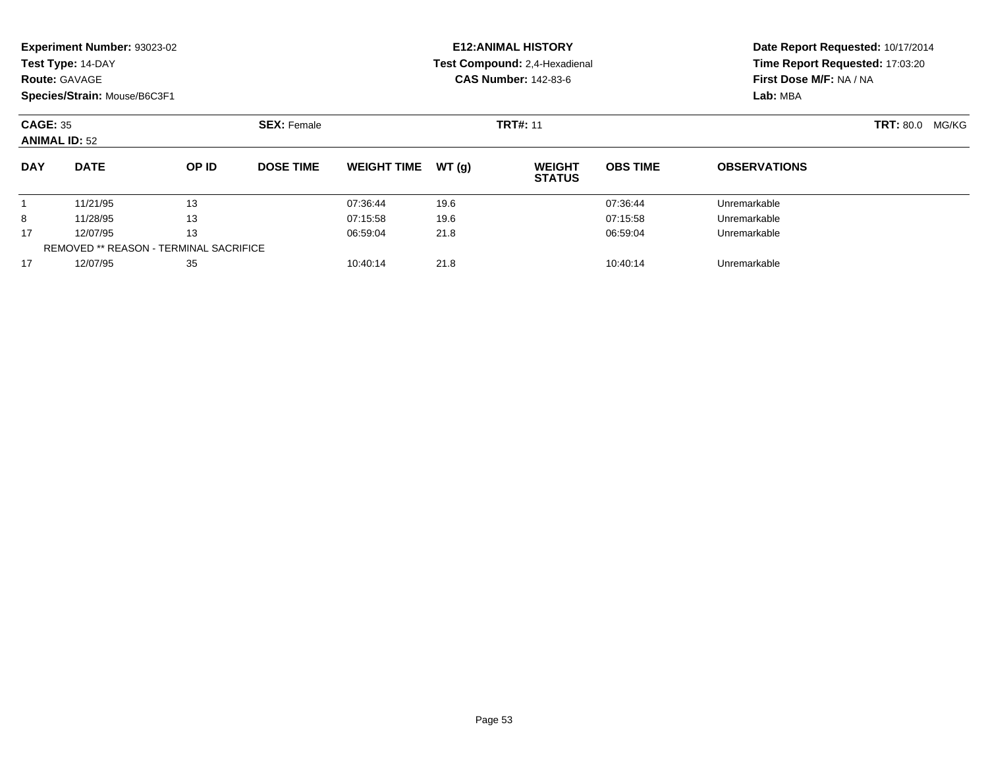| <b>Route: GAVAGE</b> | Experiment Number: 93023-02<br>Test Type: 14-DAY<br>Species/Strain: Mouse/B6C3F1 |       |                  |                    |       | <b>E12: ANIMAL HISTORY</b><br>Test Compound: 2,4-Hexadienal<br><b>CAS Number: 142-83-6</b> | Date Report Requested: 10/17/2014<br>Time Report Requested: 17:03:20<br>First Dose M/F: NA / NA<br>Lab: MBA |                        |  |
|----------------------|----------------------------------------------------------------------------------|-------|------------------|--------------------|-------|--------------------------------------------------------------------------------------------|-------------------------------------------------------------------------------------------------------------|------------------------|--|
|                      | <b>SEX: Female</b><br><b>CAGE: 35</b><br><b>ANIMAL ID: 52</b>                    |       |                  |                    |       | <b>TRT#: 11</b>                                                                            |                                                                                                             | <b>TRT: 80.0 MG/KG</b> |  |
| <b>DAY</b>           | <b>DATE</b>                                                                      | OP ID | <b>DOSE TIME</b> | <b>WEIGHT TIME</b> | WT(g) | <b>WEIGHT</b><br><b>STATUS</b>                                                             | <b>OBS TIME</b>                                                                                             | <b>OBSERVATIONS</b>    |  |
|                      | 11/21/95                                                                         | 13    |                  | 07:36:44           | 19.6  |                                                                                            | 07:36:44                                                                                                    | Unremarkable           |  |
| 8                    | 11/28/95                                                                         | 13    |                  | 07:15:58           | 19.6  |                                                                                            | 07:15:58                                                                                                    | Unremarkable           |  |
| 13<br>12/07/95<br>17 |                                                                                  |       | 06:59:04         | 21.8               |       | 06:59:04                                                                                   | Unremarkable                                                                                                |                        |  |
|                      | <b>REMOVED ** REASON - TERMINAL SACRIFICE</b>                                    |       |                  |                    |       |                                                                                            |                                                                                                             |                        |  |
| 17                   | 12/07/95<br>35                                                                   |       |                  | 10:40:14           | 21.8  |                                                                                            | Unremarkable                                                                                                |                        |  |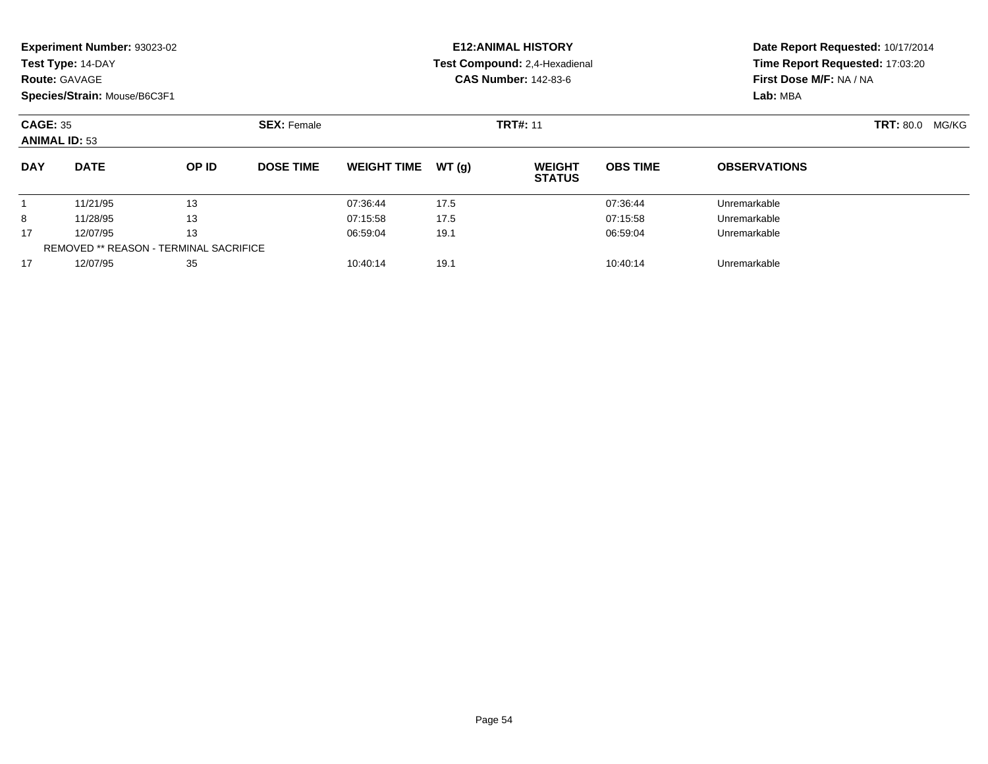| <b>Route: GAVAGE</b> | Experiment Number: 93023-02<br>Test Type: 14-DAY<br>Species/Strain: Mouse/B6C3F1 |       |                  |                              |       | <b>E12: ANIMAL HISTORY</b><br>Test Compound: 2,4-Hexadienal<br><b>CAS Number: 142-83-6</b> | Date Report Requested: 10/17/2014<br>Time Report Requested: 17:03:20<br>First Dose M/F: NA / NA<br>Lab: MBA |                        |  |  |
|----------------------|----------------------------------------------------------------------------------|-------|------------------|------------------------------|-------|--------------------------------------------------------------------------------------------|-------------------------------------------------------------------------------------------------------------|------------------------|--|--|
|                      | <b>SEX: Female</b><br><b>CAGE: 35</b><br><b>ANIMAL ID: 53</b>                    |       |                  |                              |       | <b>TRT#: 11</b>                                                                            |                                                                                                             | <b>TRT: 80.0 MG/KG</b> |  |  |
| <b>DAY</b>           | <b>DATE</b>                                                                      | OP ID | <b>DOSE TIME</b> | <b>WEIGHT TIME</b>           | WT(g) | <b>WEIGHT</b><br><b>STATUS</b>                                                             | <b>OBS TIME</b>                                                                                             | <b>OBSERVATIONS</b>    |  |  |
|                      | 11/21/95                                                                         | 13    |                  | 07:36:44                     | 17.5  |                                                                                            | 07:36:44                                                                                                    | Unremarkable           |  |  |
| 8                    | 11/28/95                                                                         | 13    |                  | 07:15:58                     | 17.5  |                                                                                            | 07:15:58                                                                                                    | Unremarkable           |  |  |
| 13<br>12/07/95<br>17 |                                                                                  |       | 06:59:04         | 19.1                         |       | 06:59:04                                                                                   | Unremarkable                                                                                                |                        |  |  |
|                      | <b>REMOVED ** REASON - TERMINAL SACRIFICE</b>                                    |       |                  |                              |       |                                                                                            |                                                                                                             |                        |  |  |
| 17                   | 12/07/95<br>35                                                                   |       |                  | 10:40:14<br>19.1<br>10:40:14 |       |                                                                                            |                                                                                                             | Unremarkable           |  |  |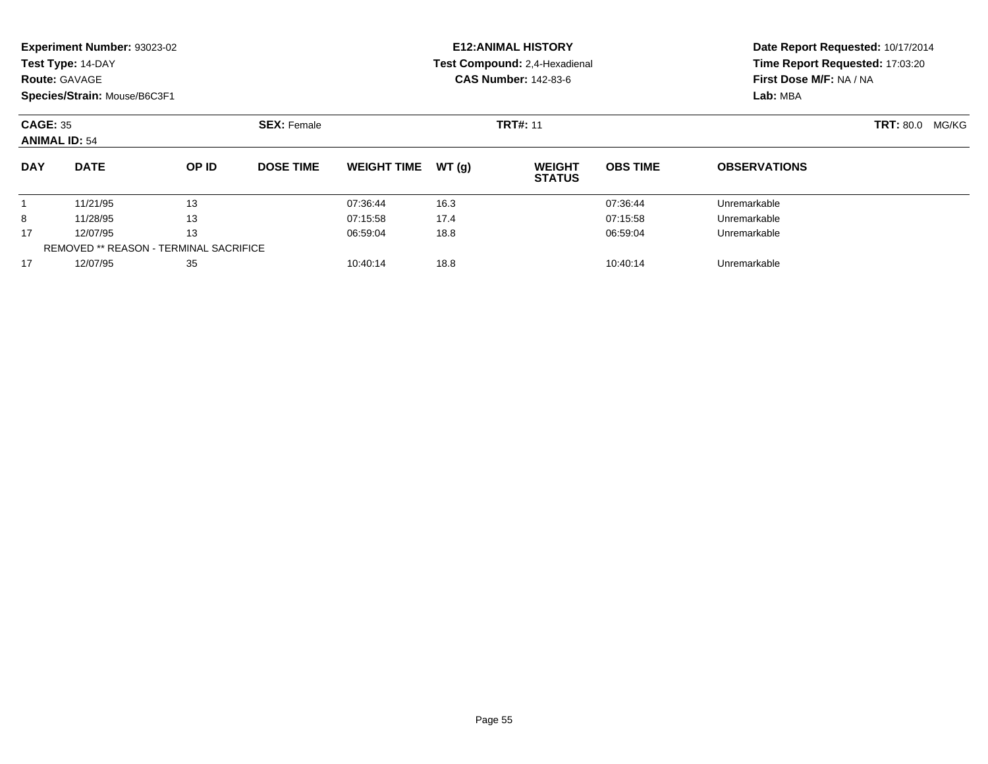| <b>Route: GAVAGE</b> | Experiment Number: 93023-02<br>Test Type: 14-DAY<br>Species/Strain: Mouse/B6C3F1 |       |                              |                    |       | <b>E12: ANIMAL HISTORY</b><br>Test Compound: 2,4-Hexadienal<br><b>CAS Number: 142-83-6</b> | Date Report Requested: 10/17/2014<br>Time Report Requested: 17:03:20<br>First Dose M/F: NA / NA<br>Lab: MBA |                        |  |
|----------------------|----------------------------------------------------------------------------------|-------|------------------------------|--------------------|-------|--------------------------------------------------------------------------------------------|-------------------------------------------------------------------------------------------------------------|------------------------|--|
|                      | <b>SEX: Female</b><br><b>CAGE: 35</b><br><b>ANIMAL ID: 54</b>                    |       |                              |                    |       | <b>TRT#: 11</b>                                                                            |                                                                                                             | <b>TRT: 80.0 MG/KG</b> |  |
| <b>DAY</b>           | <b>DATE</b>                                                                      | OP ID | <b>DOSE TIME</b>             | <b>WEIGHT TIME</b> | WT(g) | <b>WEIGHT</b><br><b>STATUS</b>                                                             | <b>OBS TIME</b>                                                                                             | <b>OBSERVATIONS</b>    |  |
|                      | 11/21/95                                                                         | 13    |                              | 07:36:44           | 16.3  |                                                                                            | 07:36:44                                                                                                    | Unremarkable           |  |
| 8                    | 11/28/95                                                                         | 13    |                              | 07:15:58           | 17.4  |                                                                                            | 07:15:58                                                                                                    | Unremarkable           |  |
| 13<br>12/07/95<br>17 |                                                                                  |       | 06:59:04                     | 18.8               |       | 06:59:04                                                                                   | Unremarkable                                                                                                |                        |  |
|                      | <b>REMOVED ** REASON - TERMINAL SACRIFICE</b>                                    |       |                              |                    |       |                                                                                            |                                                                                                             |                        |  |
| 17                   | 12/07/95<br>35                                                                   |       | 18.8<br>10:40:14<br>10:40:14 |                    |       |                                                                                            | Unremarkable                                                                                                |                        |  |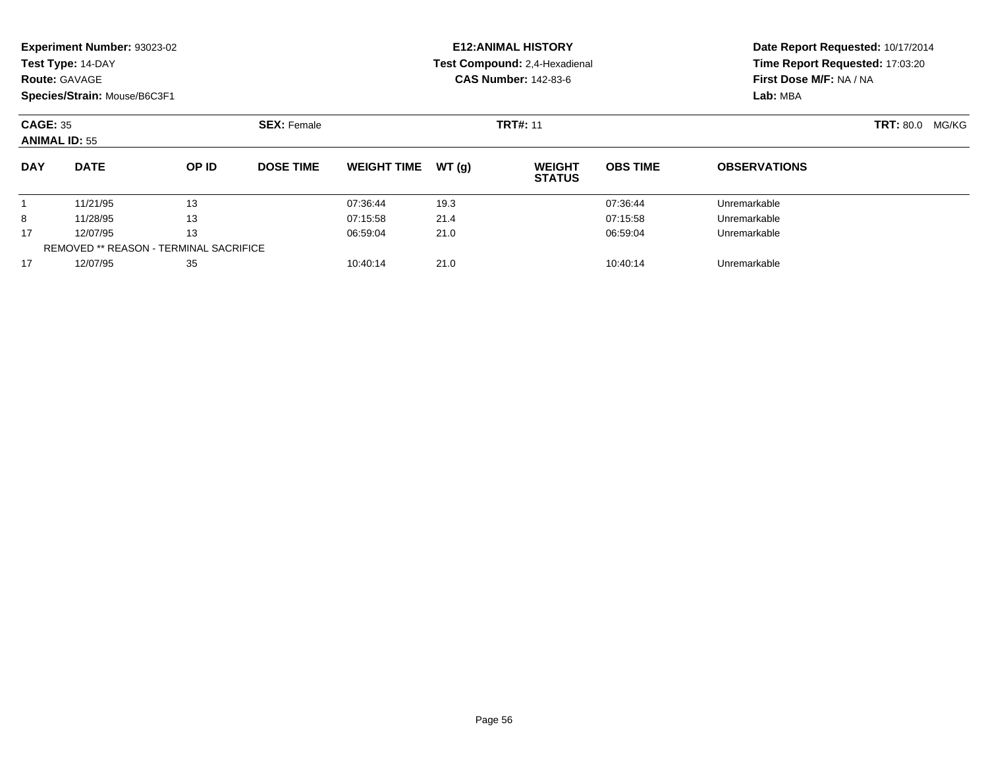|                      | Experiment Number: 93023-02<br>Test Type: 14-DAY<br><b>Route: GAVAGE</b><br>Species/Strain: Mouse/B6C3F1 |       |                  |                              |       | <b>E12: ANIMAL HISTORY</b><br>Test Compound: 2,4-Hexadienal<br><b>CAS Number: 142-83-6</b> | Date Report Requested: 10/17/2014<br>Time Report Requested: 17:03:20<br>First Dose M/F: NA / NA<br>Lab: MBA |                           |  |
|----------------------|----------------------------------------------------------------------------------------------------------|-------|------------------|------------------------------|-------|--------------------------------------------------------------------------------------------|-------------------------------------------------------------------------------------------------------------|---------------------------|--|
|                      | <b>SEX: Female</b><br><b>CAGE: 35</b><br><b>ANIMAL ID: 55</b>                                            |       |                  |                              |       | <b>TRT#: 11</b>                                                                            |                                                                                                             | <b>TRT: 80.0</b><br>MG/KG |  |
| <b>DAY</b>           | <b>DATE</b>                                                                                              | OP ID | <b>DOSE TIME</b> | <b>WEIGHT TIME</b>           | WT(g) | <b>WEIGHT</b><br><b>STATUS</b>                                                             | <b>OBS TIME</b>                                                                                             | <b>OBSERVATIONS</b>       |  |
|                      | 11/21/95                                                                                                 | 13    |                  | 07:36:44                     | 19.3  |                                                                                            | 07:36:44                                                                                                    | Unremarkable              |  |
| 8                    | 11/28/95                                                                                                 | 13    |                  | 07:15:58                     | 21.4  |                                                                                            | 07:15:58                                                                                                    | Unremarkable              |  |
| 13<br>17<br>12/07/95 |                                                                                                          |       | 06:59:04         | 21.0                         |       | 06:59:04                                                                                   | Unremarkable                                                                                                |                           |  |
|                      | <b>REMOVED ** REASON - TERMINAL SACRIFICE</b>                                                            |       |                  |                              |       |                                                                                            |                                                                                                             |                           |  |
| 17                   | 35<br>12/07/95                                                                                           |       |                  | 21.0<br>10:40:14<br>10:40:14 |       |                                                                                            |                                                                                                             | Unremarkable              |  |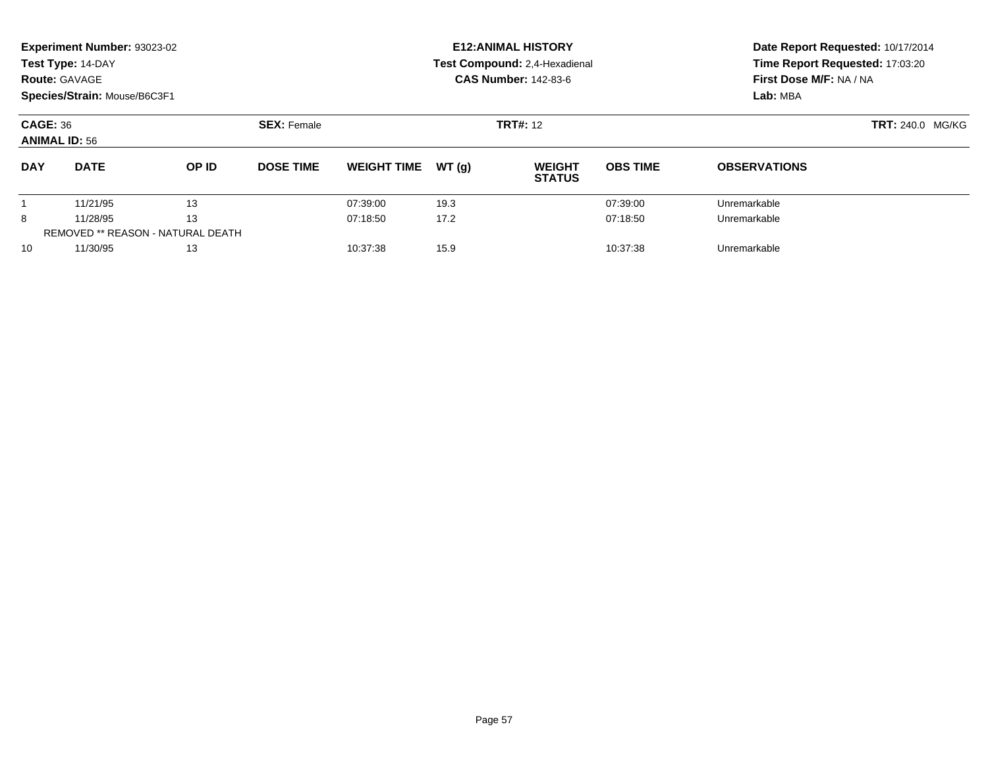|                                         | Experiment Number: 93023-02<br>Test Type: 14-DAY<br><b>Route: GAVAGE</b><br>Species/Strain: Mouse/B6C3F1 |                                          |                    |                    |        | <b>E12: ANIMAL HISTORY</b><br>Test Compound: 2,4-Hexadienal<br><b>CAS Number: 142-83-6</b> | Date Report Requested: 10/17/2014<br>Time Report Requested: 17:03:20<br>First Dose M/F: NA / NA<br>Lab: MBA |                     |
|-----------------------------------------|----------------------------------------------------------------------------------------------------------|------------------------------------------|--------------------|--------------------|--------|--------------------------------------------------------------------------------------------|-------------------------------------------------------------------------------------------------------------|---------------------|
| <b>CAGE: 36</b><br><b>ANIMAL ID: 56</b> |                                                                                                          |                                          | <b>SEX: Female</b> |                    |        | <b>TRT#: 12</b>                                                                            | <b>TRT: 240.0 MG/KG</b>                                                                                     |                     |
| <b>DAY</b>                              | <b>DATE</b>                                                                                              | OP ID                                    | <b>DOSE TIME</b>   | <b>WEIGHT TIME</b> | WT (q) | <b>WEIGHT</b><br><b>STATUS</b>                                                             | <b>OBS TIME</b>                                                                                             | <b>OBSERVATIONS</b> |
|                                         | 11/21/95                                                                                                 | 13                                       |                    | 07:39:00           | 19.3   |                                                                                            | 07:39:00                                                                                                    | Unremarkable        |
| 8                                       | 13<br>11/28/95                                                                                           |                                          |                    | 07:18:50           | 17.2   |                                                                                            | 07:18:50                                                                                                    | Unremarkable        |
|                                         |                                                                                                          | <b>REMOVED ** REASON - NATURAL DEATH</b> |                    |                    |        |                                                                                            |                                                                                                             |                     |
| 10                                      | 11/30/95                                                                                                 | 13                                       |                    | 10:37:38           | 15.9   |                                                                                            | 10:37:38                                                                                                    | Unremarkable        |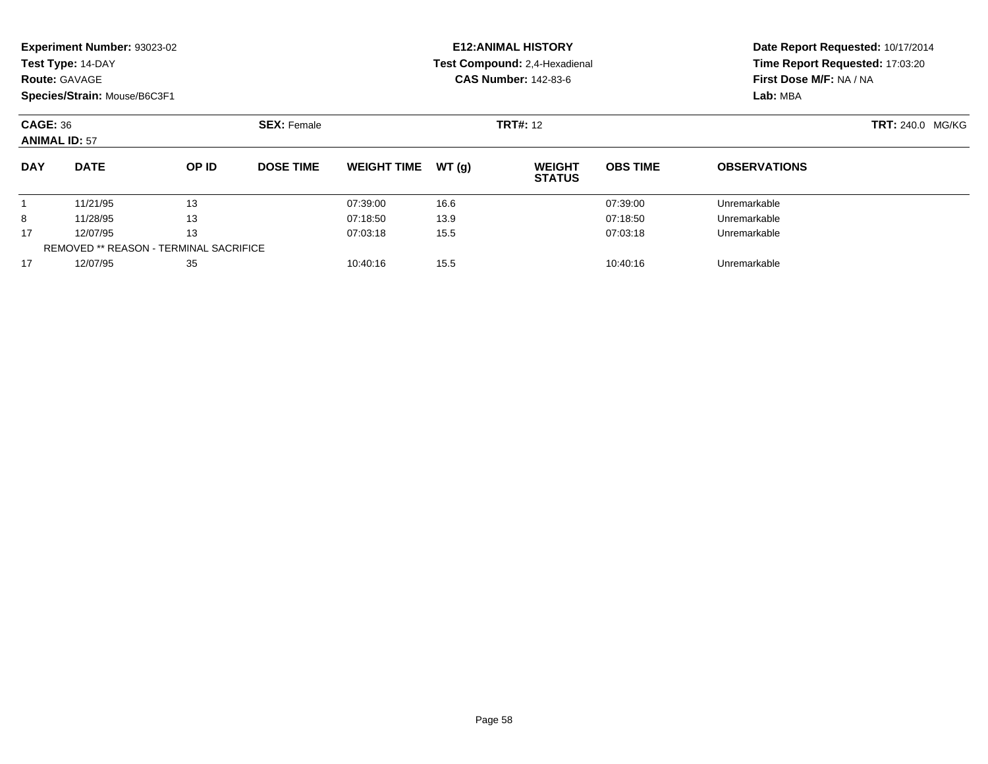| <b>Route: GAVAGE</b>                    | Experiment Number: 93023-02<br>Test Type: 14-DAY<br>Species/Strain: Mouse/B6C3F1 |       |                    |                              |       | <b>E12: ANIMAL HISTORY</b><br>Test Compound: 2,4-Hexadienal<br><b>CAS Number: 142-83-6</b> | Time Report Requested: 17:03:20<br>First Dose M/F: NA / NA<br>Lab: MBA | Date Report Requested: 10/17/2014 |  |  |
|-----------------------------------------|----------------------------------------------------------------------------------|-------|--------------------|------------------------------|-------|--------------------------------------------------------------------------------------------|------------------------------------------------------------------------|-----------------------------------|--|--|
| <b>CAGE: 36</b><br><b>ANIMAL ID: 57</b> |                                                                                  |       | <b>SEX: Female</b> |                              |       | <b>TRT#: 12</b>                                                                            |                                                                        | <b>TRT: 240.0 MG/KG</b>           |  |  |
| <b>DAY</b>                              | <b>DATE</b>                                                                      | OP ID | <b>DOSE TIME</b>   | <b>WEIGHT TIME</b>           | WT(g) | <b>WEIGHT</b><br><b>STATUS</b>                                                             | <b>OBS TIME</b>                                                        | <b>OBSERVATIONS</b>               |  |  |
|                                         | 11/21/95                                                                         | 13    |                    | 07:39:00                     | 16.6  |                                                                                            | 07:39:00                                                               | Unremarkable                      |  |  |
| 8                                       | 11/28/95                                                                         | 13    |                    | 07:18:50                     | 13.9  |                                                                                            | 07:18:50                                                               | Unremarkable                      |  |  |
| 17                                      | 13<br>12/07/95                                                                   |       |                    | 07:03:18                     | 15.5  |                                                                                            | 07:03:18                                                               | Unremarkable                      |  |  |
|                                         | <b>REMOVED ** REASON - TERMINAL SACRIFICE</b>                                    |       |                    |                              |       |                                                                                            |                                                                        |                                   |  |  |
| 17                                      | 12/07/95<br>35                                                                   |       |                    | 15.5<br>10:40:16<br>10:40:16 |       |                                                                                            |                                                                        | Unremarkable                      |  |  |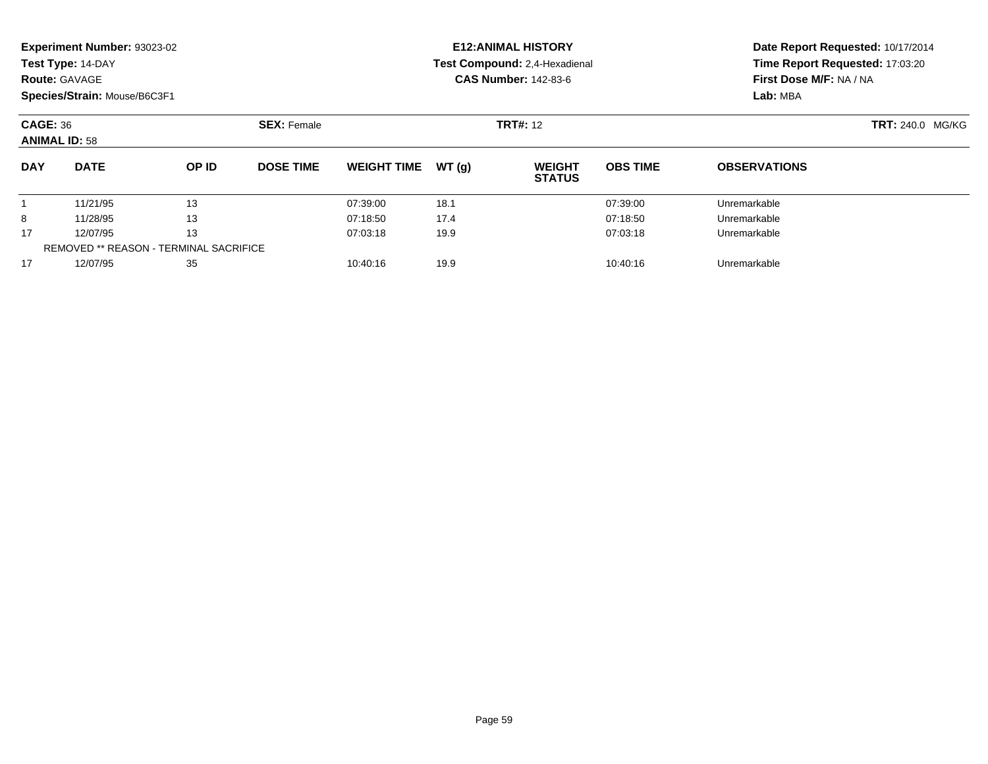| <b>Route: GAVAGE</b>                    | Experiment Number: 93023-02<br>Test Type: 14-DAY<br>Species/Strain: Mouse/B6C3F1 |          |                    |                              |          | <b>E12: ANIMAL HISTORY</b><br>Test Compound: 2,4-Hexadienal<br><b>CAS Number: 142-83-6</b> | Date Report Requested: 10/17/2014<br>Time Report Requested: 17:03:20<br>First Dose M/F: NA / NA<br>Lab: MBA |                     |
|-----------------------------------------|----------------------------------------------------------------------------------|----------|--------------------|------------------------------|----------|--------------------------------------------------------------------------------------------|-------------------------------------------------------------------------------------------------------------|---------------------|
| <b>CAGE: 36</b><br><b>ANIMAL ID: 58</b> |                                                                                  |          | <b>SEX: Female</b> |                              |          | <b>TRT#: 12</b>                                                                            | <b>TRT: 240.0 MG/KG</b>                                                                                     |                     |
| <b>DAY</b>                              | <b>DATE</b>                                                                      | OP ID    | <b>DOSE TIME</b>   | <b>WEIGHT TIME</b>           | WT(q)    | <b>WEIGHT</b><br><b>STATUS</b>                                                             | <b>OBS TIME</b>                                                                                             | <b>OBSERVATIONS</b> |
|                                         | 11/21/95                                                                         | 13       |                    | 07:39:00                     | 18.1     |                                                                                            | 07:39:00                                                                                                    | Unremarkable        |
| 8                                       | 11/28/95                                                                         | 13       |                    | 07:18:50                     | 17.4     |                                                                                            | 07:18:50                                                                                                    | Unremarkable        |
| 13<br>17<br>12/07/95                    |                                                                                  | 07:03:18 | 19.9               |                              | 07:03:18 | Unremarkable                                                                               |                                                                                                             |                     |
|                                         | <b>REMOVED ** REASON - TERMINAL SACRIFICE</b>                                    |          |                    |                              |          |                                                                                            |                                                                                                             |                     |
| 17                                      | 12/07/95<br>35                                                                   |          |                    | 19.9<br>10:40:16<br>10:40:16 |          |                                                                                            | Unremarkable                                                                                                |                     |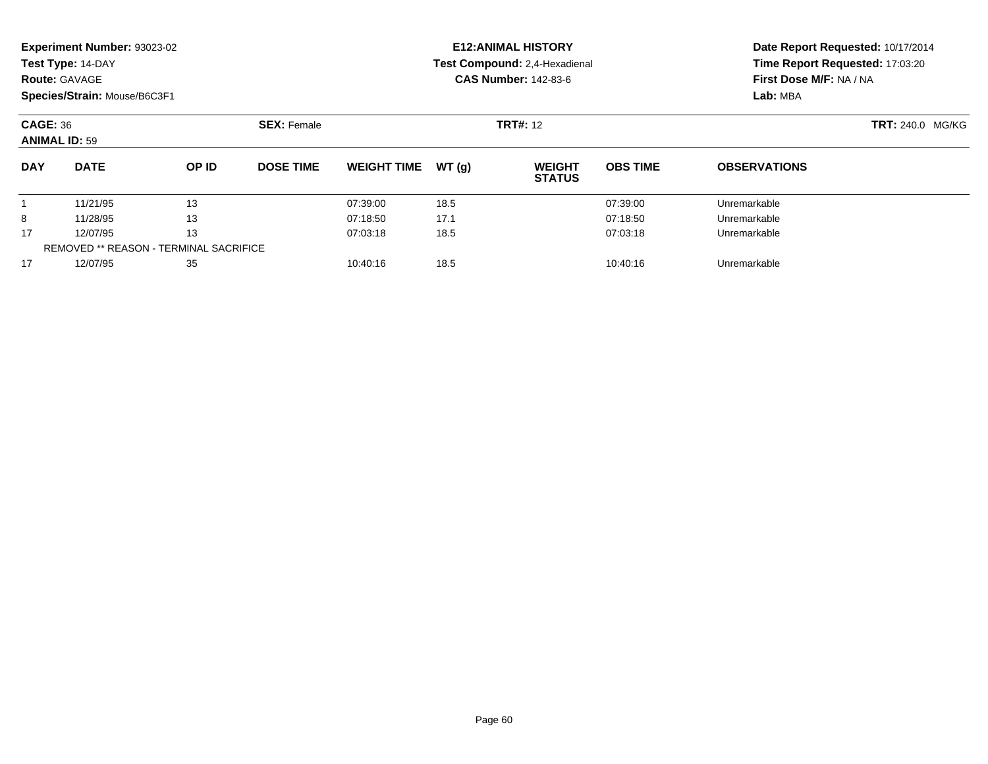|                                         | Experiment Number: 93023-02                   |       |                    |                              |       | <b>E12: ANIMAL HISTORY</b>     |                 | Date Report Requested: 10/17/2014 |  |  |
|-----------------------------------------|-----------------------------------------------|-------|--------------------|------------------------------|-------|--------------------------------|-----------------|-----------------------------------|--|--|
|                                         | Test Type: 14-DAY                             |       |                    |                              |       | Test Compound: 2.4-Hexadienal  |                 | Time Report Requested: 17:03:20   |  |  |
| <b>Route: GAVAGE</b>                    |                                               |       |                    |                              |       | <b>CAS Number: 142-83-6</b>    |                 | First Dose M/F: NA / NA           |  |  |
|                                         | Species/Strain: Mouse/B6C3F1                  |       |                    |                              |       |                                |                 | Lab: MBA                          |  |  |
| <b>CAGE: 36</b><br><b>ANIMAL ID: 59</b> |                                               |       | <b>SEX: Female</b> |                              |       | <b>TRT#: 12</b>                |                 | <b>TRT: 240.0 MG/KG</b>           |  |  |
| <b>DAY</b>                              | <b>DATE</b>                                   | OP ID | <b>DOSE TIME</b>   | <b>WEIGHT TIME</b>           | WT(q) | <b>WEIGHT</b><br><b>STATUS</b> | <b>OBS TIME</b> | <b>OBSERVATIONS</b>               |  |  |
|                                         | 11/21/95                                      | 13    |                    | 07:39:00                     | 18.5  |                                | 07:39:00        | Unremarkable                      |  |  |
| 8                                       | 11/28/95                                      | 13    |                    | 07:18:50                     | 17.1  |                                | 07:18:50        | Unremarkable                      |  |  |
| 13<br>12/07/95<br>17                    |                                               |       | 07:03:18           | 18.5                         |       | 07:03:18                       | Unremarkable    |                                   |  |  |
|                                         | <b>REMOVED ** REASON - TERMINAL SACRIFICE</b> |       |                    |                              |       |                                |                 |                                   |  |  |
| 17                                      | 12/07/95<br>35                                |       |                    | 18.5<br>10:40:16<br>10:40:16 |       |                                |                 | Unremarkable                      |  |  |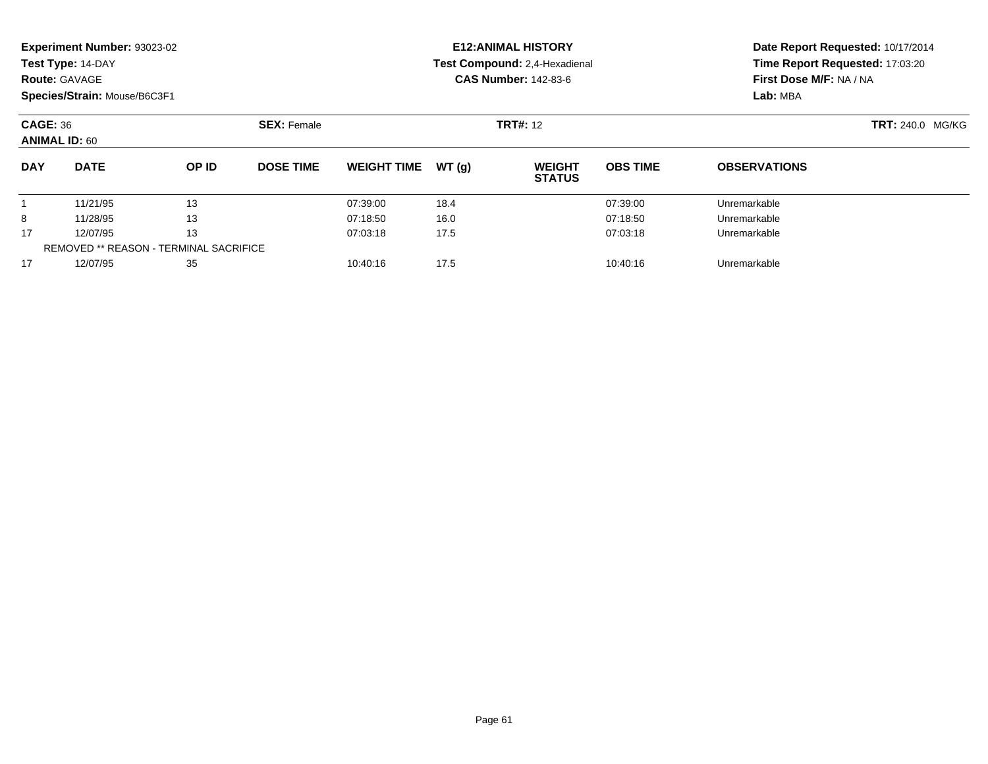| Experiment Number: 93023-02<br>Test Type: 14-DAY<br><b>Route: GAVAGE</b><br>Species/Strain: Mouse/B6C3F1 |          |                                               |  | <b>E12: ANIMAL HISTORY</b><br>Test Compound: 2.4-Hexadienal<br><b>CAS Number: 142-83-6</b> |             |       |                  | Date Report Requested: 10/17/2014<br>Time Report Requested: 17:03:20<br>First Dose M/F: NA / NA |       |                                         |                 |                     |                    |                 |  |
|----------------------------------------------------------------------------------------------------------|----------|-----------------------------------------------|--|--------------------------------------------------------------------------------------------|-------------|-------|------------------|-------------------------------------------------------------------------------------------------|-------|-----------------------------------------|-----------------|---------------------|--------------------|-----------------|--|
|                                                                                                          |          |                                               |  |                                                                                            |             |       |                  |                                                                                                 |       |                                         |                 |                     |                    | Lab: MBA        |  |
|                                                                                                          |          |                                               |  |                                                                                            |             |       |                  |                                                                                                 |       | <b>CAGE: 36</b><br><b>ANIMAL ID: 60</b> |                 |                     | <b>SEX: Female</b> | <b>TRT#: 12</b> |  |
|                                                                                                          |          |                                               |  | <b>DAY</b>                                                                                 | <b>DATE</b> | OP ID | <b>DOSE TIME</b> | <b>WEIGHT TIME</b>                                                                              | WT(q) | <b>WEIGHT</b><br><b>STATUS</b>          | <b>OBS TIME</b> | <b>OBSERVATIONS</b> |                    |                 |  |
|                                                                                                          | 11/21/95 | 13                                            |  | 07:39:00                                                                                   | 18.4        |       | 07:39:00         | Unremarkable                                                                                    |       |                                         |                 |                     |                    |                 |  |
| 8                                                                                                        | 11/28/95 | 13                                            |  | 07:18:50                                                                                   | 16.0        |       | 07:18:50         | Unremarkable                                                                                    |       |                                         |                 |                     |                    |                 |  |
| 17                                                                                                       | 12/07/95 | 13                                            |  | 07:03:18                                                                                   | 17.5        |       | 07:03:18         | Unremarkable                                                                                    |       |                                         |                 |                     |                    |                 |  |
|                                                                                                          |          | <b>REMOVED ** REASON - TERMINAL SACRIFICE</b> |  |                                                                                            |             |       |                  |                                                                                                 |       |                                         |                 |                     |                    |                 |  |
| 17                                                                                                       | 12/07/95 | 35                                            |  | 10:40:16                                                                                   | 17.5        |       | 10:40:16         | Unremarkable                                                                                    |       |                                         |                 |                     |                    |                 |  |